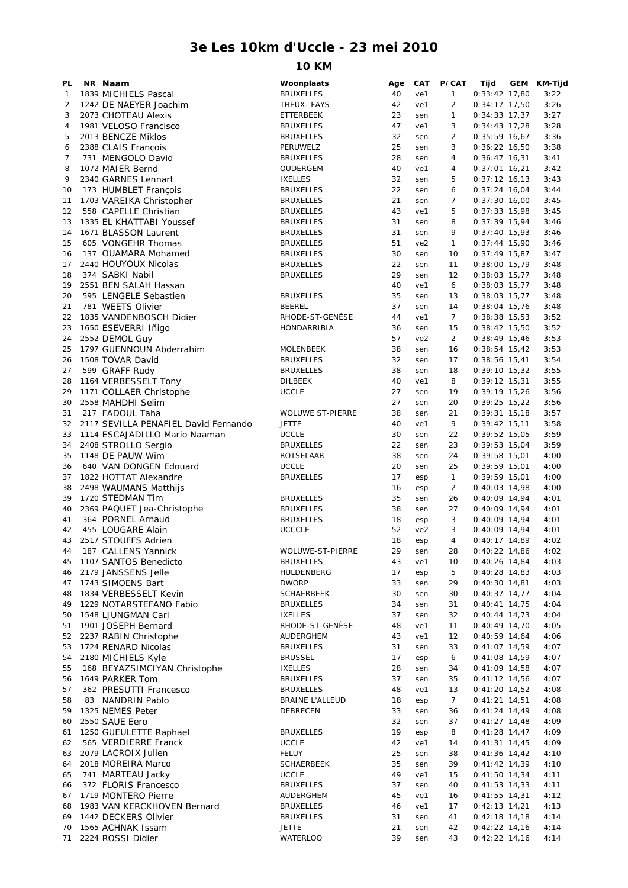## **3e Les 10km d'Uccle - 23 mei 2010**

## **10 KM**

| PL | NR Naam                              | Woonplaats              | Age      | <b>CAT</b>      | P/CAT          | Tijd            | GEM KM-Tijd |
|----|--------------------------------------|-------------------------|----------|-----------------|----------------|-----------------|-------------|
| 1  | 1839 MICHIELS Pascal                 | <b>BRUXELLES</b>        | 40       | ve1             | $\mathbf{1}$   | $0:33:42$ 17,80 | 3:22        |
| 2  | 1242 DE NAEYER Joachim               | THEUX- FAYS             | 42       | ve1             | $\overline{2}$ | $0:34:17$ 17,50 | 3:26        |
| 3  | 2073 CHOTEAU Alexis                  | ETTERBEEK               | 23       | sen             | 1              | $0:34:33$ 17,37 | 3:27        |
| 4  | 1981 VELOSO Francisco                | <b>BRUXELLES</b>        | 47       | ve1             | 3              | $0:34:43$ 17,28 | 3:28        |
| 5  | 2013 BENCZE Miklos                   | <b>BRUXELLES</b>        | 32       | sen             | 2              | $0:35:59$ 16,67 | 3:36        |
| 6  | 2388 CLAIS François                  | PERUWELZ                | 25       | sen             | 3              | $0:36:22$ 16,50 | 3:38        |
| 7  | 731 MENGOLO David                    | <b>BRUXELLES</b>        | 28       | sen             | 4              | $0:36:47$ 16,31 | 3:41        |
| 8  | 1072 MAIER Bernd                     | OUDERGEM                | 40       | ve1             | 4              | $0:37:01$ 16,21 | 3:42        |
| 9  | 2340 GARNES Lennart                  | <b>IXELLES</b>          | 32       | sen             | 5              | $0:37:12$ 16,13 | 3:43        |
| 10 | 173 HUMBLET Francois                 | <b>BRUXELLES</b>        | 22       | sen             | 6              | $0:37:24$ 16,04 | 3:44        |
| 11 | 1703 VAREIKA Christopher             | <b>BRUXELLES</b>        | 21       | sen             | 7              | $0:37:30$ 16,00 | 3:45        |
| 12 | 558 CAPELLE Christian                | <b>BRUXELLES</b>        | 43       | ve1             | 5              | $0:37:33$ 15,98 | 3:45        |
| 13 | 1335 EL KHATTABI Youssef             | <b>BRUXELLES</b>        | 31       | sen             | 8              | $0:37:39$ 15,94 | 3:46        |
| 14 | 1671 BLASSON Laurent                 | <b>BRUXELLES</b>        | 31       | sen             | 9              | $0:37:40$ 15,93 | 3:46        |
| 15 | 605 VONGEHR Thomas                   | <b>BRUXELLES</b>        | 51       | ve <sub>2</sub> | $\mathbf{1}$   | $0:37:44$ 15,90 | 3:46        |
| 16 | 137 OUAMARA Mohamed                  | <b>BRUXELLES</b>        | 30       | sen             | 10             | $0:37:49$ 15,87 | 3:47        |
| 17 | 2440 HOUYOUX Nicolas                 | <b>BRUXELLES</b>        | 22       | sen             | 11             | $0:38:00$ 15,79 | 3:48        |
| 18 | 374 SABKI Nabil                      | <b>BRUXELLES</b>        | 29       | sen             | 12             | $0:38:03$ 15,77 | 3:48        |
| 19 | 2551 BEN SALAH Hassan                |                         | 40       | ve1             | 6              | $0:38:03$ 15,77 | 3:48        |
| 20 | 595 LENGELE Sebastien                | <b>BRUXELLES</b>        | 35       | sen             | 13             | $0:38:03$ 15,77 | 3:48        |
| 21 | 781 WEETS Olivier                    | <b>BEEREL</b>           | 37       | sen             | 14             | $0:38:04$ 15,76 | 3:48        |
| 22 | 1835 VANDENBOSCH Didier              | RHODE-ST-GENESE         | 44       | ve1             | $\overline{7}$ | $0:38:38$ 15,53 | 3:52        |
| 23 | 1650 ESEVERRI Iñigo                  | <b>HONDARRIBIA</b>      | 36       | sen             | 15             | $0:38:42$ 15,50 | 3:52        |
| 24 |                                      |                         | 57       | ve2             | $\overline{2}$ | $0:38:49$ 15,46 | 3:53        |
|    | 2552 DEMOL Guy                       |                         |          |                 |                |                 |             |
| 25 | 1797 GUENNOUN Abderrahim             | MOLENBEEK               | 38<br>32 | sen             | 16             | $0:38:54$ 15,42 | 3:53        |
| 26 | 1508 TOVAR David                     | <b>BRUXELLES</b>        |          | sen             | 17             | $0:38:56$ 15,41 | 3:54        |
| 27 | 599 GRAFF Rudy                       | <b>BRUXELLES</b>        | 38       | sen             | 18             | $0:39:10$ 15,32 | 3:55        |
| 28 | 1164 VERBESSELT Tony                 | <b>DILBEEK</b>          | 40       | ve1             | 8              | $0:39:12$ 15,31 | 3:55        |
| 29 | 1171 COLLAER Christophe              | <b>UCCLE</b>            | 27       | sen             | 19             | $0:39:19$ 15,26 | 3:56        |
| 30 | 2558 MAHDHI Selim                    |                         | 27       | sen             | 20             | $0:39:25$ 15,22 | 3:56        |
| 31 | 217 FADOUL Taha                      | <b>WOLUWE ST-PIERRE</b> | 38       | sen             | 21             | $0:39:31$ 15,18 | 3:57        |
| 32 | 2117 SEVILLA PENAFIEL David Fernando | <b>JETTE</b>            | 40       | ve1             | 9              | $0:39:42$ 15,11 | 3:58        |
| 33 | 1114 ESCAJADILLO Mario Naaman        | <b>UCCLE</b>            | 30       | sen             | 22             | $0:39:52$ 15,05 | 3:59        |
| 34 | 2408 STROLLO Sergio                  | <b>BRUXELLES</b>        | 22       | sen             | 23             | $0:39:53$ 15,04 | 3:59        |
| 35 | 1148 DE PAUW Wim                     | ROTSELAAR               | 38       | sen             | 24             | $0:39:58$ 15,01 | 4:00        |
| 36 | 640 VAN DONGEN Edouard               | <b>UCCLE</b>            | 20       | sen             | 25             | $0:39:59$ 15,01 | 4:00        |
| 37 | 1822 HOTTAT Alexandre                | <b>BRUXELLES</b>        | 17       | esp             | $\mathbf{1}$   | $0:39:59$ 15,01 | 4:00        |
| 38 | 2498 WAUMANS Matthijs                |                         | 16       | esp             | 2              | $0:40:03$ 14,98 | 4:00        |
| 39 | 1720 STEDMAN Tim                     | <b>BRUXELLES</b>        | 35       | sen             | 26             | $0:40:09$ 14,94 | 4:01        |
| 40 | 2369 PAQUET Jea-Christophe           | <b>BRUXELLES</b>        | 38       | sen             | 27             | $0:40:09$ 14,94 | 4:01        |
| 41 | 364 PORNEL Arnaud                    | <b>BRUXELLES</b>        | 18       | esp             | 3              | $0:40:09$ 14,94 | 4:01        |
| 42 | 455 LOUGARE Alain                    | <b>UCCCLE</b>           | 52       | ve <sub>2</sub> | 3              | $0:40:09$ 14,94 | 4:01        |
| 43 | 2517 STOUFFS Adrien                  |                         | 18       | esp             | 4              | $0:40:17$ 14,89 | 4:02        |
| 44 | 187 CALLENS Yannick                  | WOLUWE-ST-PIERRE        | 29       | sen             | 28             | $0:40:22$ 14,86 | 4:02        |
| 45 | 1107 SANTOS Benedicto                | <b>BRUXELLES</b>        | 43       | ve1             | 10             | 0:40:26 14,84   | 4:03        |
| 46 | 2179 JANSSENS Jelle                  | HULDENBERG              | 17       | esp             | 5              | $0:40:28$ 14,83 | 4:03        |
| 47 | 1743 SIMOENS Bart                    | <b>DWORP</b>            | 33       | sen             | 29             | $0:40:30$ 14,81 | 4:03        |
| 48 | 1834 VERBESSELT Kevin                | <b>SCHAERBEEK</b>       | 30       | sen             | 30             | $0:40:37$ 14,77 | 4:04        |
| 49 | 1229 NOTARSTEFANO Fabio              | <b>BRUXELLES</b>        | 34       | sen             | 31             | $0:40:41$ 14,75 | 4:04        |
| 50 | 1548 LJUNGMAN Carl                   | <b>IXELLES</b>          | 37       | sen             | 32             | $0:40:44$ 14,73 | 4:04        |
| 51 | 1901 JOSEPH Bernard                  | RHODE-ST-GENÈSE         | 48       | ve1             | 11             | $0:40:49$ 14,70 | 4:05        |
| 52 | 2237 RABIN Christophe                | AUDERGHEM               | 43       | ve1             | 12             | $0:40:59$ 14,64 | 4:06        |
| 53 | 1724 RENARD Nicolas                  | <b>BRUXELLES</b>        | 31       | sen             | 33             | $0:41:07$ 14,59 | 4:07        |
| 54 | 2180 MICHIELS Kyle                   | <b>BRUSSEL</b>          | 17       | esp             | 6              | $0:41:08$ 14,59 | 4:07        |
| 55 | 168 BEYAZSIMCIYAN Christophe         | <b>IXELLES</b>          | 28       | sen             | 34             | $0:41:09$ 14,58 | 4:07        |
| 56 | 1649 PARKER Tom                      | <b>BRUXELLES</b>        | 37       | sen             | 35             | $0:41:12$ 14,56 | 4:07        |
| 57 | 362 PRESUTTI Francesco               | <b>BRUXELLES</b>        | 48       | ve1             | 13             | $0:41:20$ 14,52 | 4:08        |
| 58 | 83 NANDRIN Pablo                     | <b>BRAINE L'ALLEUD</b>  | 18       | esp             | $\overline{7}$ | $0:41:21$ 14,51 | 4:08        |
| 59 | 1325 NEMES Peter                     | DEBRECEN                | 33       | sen             | 36             | $0:41:24$ 14,49 | 4:08        |
| 60 | 2550 SAUE Eero                       |                         | 32       | sen             | 37             | $0:41:27$ 14,48 | 4:09        |
| 61 | 1250 GUEULETTE Raphael               | <b>BRUXELLES</b>        | 19       | esp             | 8              | $0:41:28$ 14,47 | 4:09        |
| 62 | 565 VERDIERRE Franck                 | <b>UCCLE</b>            | 42       | ve1             | 14             | $0:41:31$ 14,45 | 4:09        |
|    |                                      |                         |          |                 |                |                 |             |
| 63 | 2079 LACROIX Julien                  | FELUY                   | 25       | sen             | 38             | $0:41:36$ 14,42 | 4:10        |
| 64 | 2018 MOREIRA Marco                   | <b>SCHAERBEEK</b>       | 35       | sen             | 39             | $0:41:42$ 14,39 | 4:10        |
| 65 | 741 MARTEAU Jacky                    | <b>UCCLE</b>            | 49       | ve1             | 15             | $0:41:50$ 14,34 | 4:11        |
| 66 | 372 FLORIS Francesco                 | <b>BRUXELLES</b>        | 37       | sen             | 40             | $0:41:53$ 14,33 | 4:11        |
| 67 | 1719 MONTERO Pierre                  | AUDERGHEM               | 45       | ve1             | 16             | $0:41:55$ 14,31 | 4:12        |
| 68 | 1983 VAN KERCKHOVEN Bernard          | <b>BRUXELLES</b>        | 46       | ve1             | 17             | $0:42:13$ 14,21 | 4:13        |
| 69 | 1442 DECKERS Olivier                 | <b>BRUXELLES</b>        | 31       | sen             | 41             | $0:42:18$ 14,18 | 4:14        |
| 70 | 1565 ACHNAK Issam                    | <b>JETTE</b>            | 21       | sen             | 42             | $0:42:22$ 14,16 | 4:14        |
| 71 | 2224 ROSSI Didier                    | <b>WATERLOO</b>         | 39       | sen             | 43             | $0:42:22$ 14,16 | 4:14        |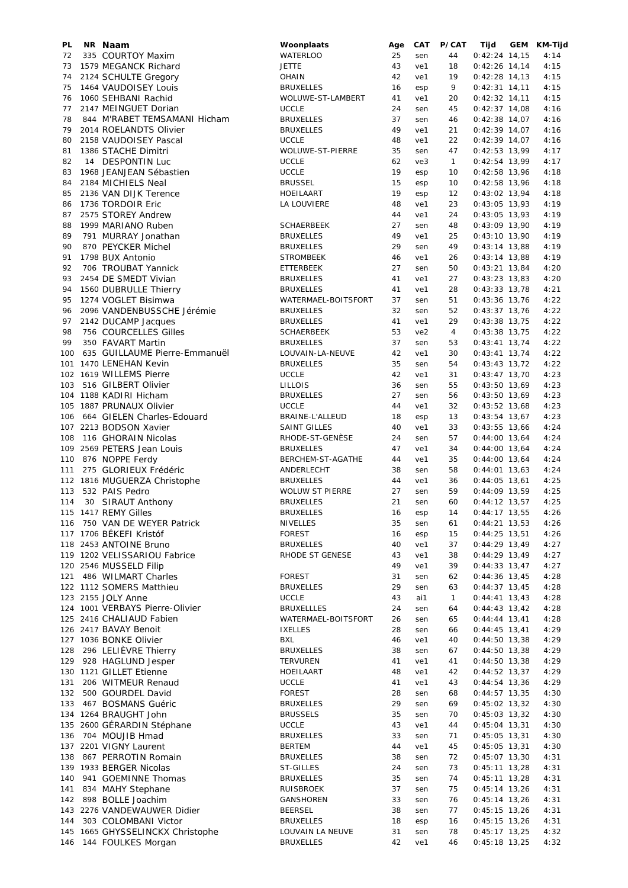| PL  | NR Naam                          | Woonplaats             | Age | CAT | P/CAT          | Tijd            | GEM KM-Tijd |
|-----|----------------------------------|------------------------|-----|-----|----------------|-----------------|-------------|
| 72  | 335 COURTOY Maxim                | <b>WATERLOO</b>        | 25  | sen | 44             | $0:42:24$ 14,15 | 4:14        |
| 73  | 1579 MEGANCK Richard             | JETTE                  | 43  | ve1 | 18             | $0:42:26$ 14,14 | 4:15        |
| 74  | 2124 SCHULTE Gregory             | <b>OHAIN</b>           | 42  | ve1 | 19             | $0:42:28$ 14,13 | 4:15        |
| 75  | 1464 VAUDOISEY Louis             | <b>BRUXELLES</b>       | 16  | esp | 9              | $0:42:31$ 14,11 | 4:15        |
| 76  | 1060 SEHBANI Rachid              | WOLUWE-ST-LAMBERT      | 41  |     | 20             | $0:42:32$ 14,11 | 4:15        |
|     |                                  |                        |     | ve1 |                |                 |             |
| 77  | 2147 MEINGUET Dorian             | <b>UCCLE</b>           | 24  | sen | 45             | $0:42:37$ 14,08 | 4:16        |
| 78  | 844 M'RABET TEMSAMANI Hicham     | <b>BRUXELLES</b>       | 37  | sen | 46             | $0:42:38$ 14,07 | 4:16        |
| 79  | 2014 ROELANDTS Olivier           | <b>BRUXELLES</b>       | 49  | ve1 | 21             | $0:42:39$ 14,07 | 4:16        |
| 80  | 2158 VAUDOISEY Pascal            | <b>UCCLE</b>           | 48  | ve1 | 22             | $0:42:39$ 14,07 | 4:16        |
| 81  | 1386 STACHE Dimitri              | WOLUWE-ST-PIERRE       | 35  | sen | 47             | $0:42:53$ 13,99 | 4:17        |
| 82  | 14 DESPONTIN Luc                 | <b>UCCLE</b>           | 62  | ve3 | $\mathbf{1}$   | $0:42:54$ 13,99 | 4:17        |
|     |                                  |                        | 19  |     |                |                 |             |
| 83  | 1968 JEANJEAN Sébastien          | <b>UCCLE</b>           |     | esp | 10             | $0:42:58$ 13,96 | 4:18        |
| 84  | 2184 MICHIELS Neal               | <b>BRUSSEL</b>         | 15  | esp | 10             | $0:42:58$ 13,96 | 4:18        |
| 85  | 2136 VAN DIJK Terence            | HOEILAART              | 19  | esp | 12             | $0:43:02$ 13,94 | 4:18        |
| 86  | 1736 TORDOIR Eric                | LA LOUVIERE            | 48  | ve1 | 23             | $0:43:05$ 13,93 | 4:19        |
| 87  | 2575 STOREY Andrew               |                        | 44  | ve1 | 24             | $0:43:05$ 13,93 | 4:19        |
| 88  | 1999 MARIANO Ruben               | <b>SCHAERBEEK</b>      | 27  | sen | 48             | 0:43:09 13,90   | 4:19        |
| 89  | 791 MURRAY Jonathan              | <b>BRUXELLES</b>       | 49  | ve1 | 25             | $0:43:10$ 13,90 | 4:19        |
| 90  |                                  |                        | 29  |     |                |                 |             |
|     | 870 PEYCKER Michel               | <b>BRUXELLES</b>       |     | sen | 49             | $0:43:14$ 13,88 | 4:19        |
| 91  | 1798 BUX Antonio                 | <b>STROMBEEK</b>       | 46  | ve1 | 26             | $0:43:14$ 13,88 | 4:19        |
| 92  | 706 TROUBAT Yannick              | ETTERBEEK              | 27  | sen | 50             | $0:43:21$ 13,84 | 4:20        |
| 93  | 2454 DE SMEDT Vivian             | <b>BRUXELLES</b>       | 41  | ve1 | 27             | $0:43:23$ 13,83 | 4:20        |
| 94  | 1560 DUBRULLE Thierry            | <b>BRUXELLES</b>       | 41  | ve1 | 28             | $0:43:33$ 13,78 | 4:21        |
| 95  | 1274 VOGLET Bisimwa              | WATERMAEL-BOITSFORT    | 37  | sen | 51             | $0:43:36$ 13,76 | 4:22        |
| 96  | 2096 VANDENBUSSCHE Jérémie       | <b>BRUXELLES</b>       | 32  | sen | 52             | $0:43:37$ 13,76 | 4:22        |
|     |                                  |                        |     |     |                |                 |             |
| 97  | 2142 DUCAMP Jacques              | <b>BRUXELLES</b>       | 41  | ve1 | 29             | $0:43:38$ 13,75 | 4:22        |
| 98  | 756 COURCELLES Gilles            | <b>SCHAERBEEK</b>      | 53  | ve2 | $\overline{4}$ | $0:43:38$ 13,75 | 4:22        |
| 99  | 350 FAVART Martin                | <b>BRUXELLES</b>       | 37  | sen | 53             | $0:43:41$ 13,74 | 4:22        |
| 100 | 635 GUILLAUME Pierre-Emmanuël    | LOUVAIN-LA-NEUVE       | 42  | ve1 | 30             | $0:43:41$ 13,74 | 4:22        |
|     | 101 1470 LENEHAN Kevin           | <b>BRUXELLES</b>       | 35  | sen | 54             | $0:43:43$ 13,72 | 4:22        |
|     | 102 1619 WILLEMS Pierre          | <b>UCCLE</b>           | 42  | ve1 | 31             | $0:43:47$ 13,70 | 4:23        |
|     |                                  |                        |     |     |                |                 |             |
| 103 | 516 GILBERT Olivier              | <b>LILLOIS</b>         | 36  | sen | 55             | $0:43:50$ 13,69 | 4:23        |
|     | 104 1188 KADIRI Hicham           | <b>BRUXELLES</b>       | 27  | sen | 56             | $0:43:50$ 13,69 | 4:23        |
|     | 105 1887 PRUNAUX Olivier         | <b>UCCLE</b>           | 44  | ve1 | 32             | $0:43:52$ 13,68 | 4:23        |
| 106 | 664 GIELEN Charles-Edouard       | BRAINE-L'ALLEUD        | 18  | esp | 13             | $0:43:54$ 13,67 | 4:23        |
|     | 107 2213 BODSON Xavier           | <b>SAINT GILLES</b>    | 40  | ve1 | 33             | $0:43:55$ 13,66 | 4:24        |
| 108 | 116 GHORAIN Nicolas              | RHODE-ST-GENESE        | 24  | sen | 57             | $0:44:00$ 13,64 | 4:24        |
|     |                                  |                        | 47  |     |                |                 |             |
|     | 109 2569 PETERS Jean Louis       | <b>BRUXELLES</b>       |     | ve1 | 34             | $0:44:00$ 13,64 | 4:24        |
|     | 110 876 NOPPE Ferdy              | BERCHEM-ST-AGATHE      | 44  | ve1 | 35             | $0:44:00$ 13,64 | 4:24        |
| 111 | 275 GLORIEUX Frédéric            | ANDERLECHT             | 38  | sen | 58             | $0:44:01$ 13,63 | 4:24        |
|     | 112 1816 MUGUERZA Christophe     | <b>BRUXELLES</b>       | 44  | ve1 | 36             | $0:44:05$ 13,61 | 4:25        |
| 113 | 532 PAIS Pedro                   | <b>WOLUW ST PIERRE</b> | 27  | sen | 59             | $0:44:09$ 13,59 | 4:25        |
| 114 | 30 SIRAUT Anthony                | <b>BRUXELLES</b>       | 21  | sen | 60             | $0:44:12$ 13,57 | 4:25        |
|     | 115 1417 REMY Gilles             | <b>BRUXELLES</b>       | 16  | esp | 14             | $0:44:17$ 13,55 | 4:26        |
|     |                                  |                        |     |     |                |                 |             |
|     | 116 750 VAN DE WEYER Patrick     | <b>NIVELLES</b>        | 35  | sen | 61             | $0:44:21$ 13,53 | 4:26        |
|     | 117 1706 BÉKEFI Kristóf          | <b>FOREST</b>          | 16  | esp | 15             | $0:44:25$ 13,51 | 4:26        |
|     | 118 2453 ANTOINE Bruno           | <b>BRUXELLES</b>       | 40  | ve1 | 37             | $0:44:29$ 13,49 | 4:27        |
|     | 119 1202 VELISSARIOU Fabrice     | RHODE ST GENESE        | 43  | ve1 | 38             | $0:44:29$ 13,49 | 4:27        |
|     | 120 2546 MUSSELD Filip           |                        | 49  | ve1 | 39             | $0:44:33$ 13,47 | 4:27        |
| 121 | 486 WILMART Charles              | <b>FOREST</b>          | 31  | sen | 62             | $0:44:36$ 13,45 | 4:28        |
|     | 122 1112 SOMERS Matthieu         | <b>BRUXELLES</b>       | 29  | sen | 63             | $0:44:37$ 13,45 | 4:28        |
|     | 123 2155 JOLY Anne               |                        |     |     |                |                 |             |
|     |                                  | <b>UCCLE</b>           | 43  | ai1 | $\mathbf{1}$   | $0:44:41$ 13,43 | 4:28        |
|     | 124 1001 VERBAYS Pierre-Olivier  | <b>BRUXELLLES</b>      | 24  | sen | 64             | $0:44:43$ 13,42 | 4:28        |
|     | 125 2416 CHALIAUD Fabien         | WATERMAEL-BOITSFORT    | 26  | sen | 65             | $0:44:44$ 13,41 | 4:28        |
|     | 126 2417 BAVAY Benoit            | <b>IXELLES</b>         | 28  | sen | 66             | $0:44:45$ 13,41 | 4:29        |
|     | 127 1036 BONKE Olivier           | <b>BXL</b>             | 46  | ve1 | 40             | $0:44:50$ 13,38 | 4:29        |
| 128 | 296 LELIÈVRE Thierry             | <b>BRUXELLES</b>       | 38  | sen | 67             | $0:44:50$ 13,38 | 4:29        |
| 129 | 928 HAGLUND Jesper               | <b>TERVUREN</b>        | 41  | ve1 | 41             | $0:44:50$ 13,38 | 4:29        |
|     |                                  |                        |     |     |                |                 |             |
|     | 130 1121 GILLET Etienne          | HOEILAART              | 48  | ve1 | 42             | $0:44:52$ 13,37 | 4:29        |
| 131 | 206 WITMEUR Renaud               | <b>UCCLE</b>           | 41  | ve1 | 43             | $0:44:54$ 13,36 | 4:29        |
| 132 | 500 GOURDEL David                | <b>FOREST</b>          | 28  | sen | 68             | $0:44:57$ 13,35 | 4:30        |
| 133 | 467 BOSMANS Guéric               | <b>BRUXELLES</b>       | 29  | sen | 69             | $0:45:02$ 13,32 | 4:30        |
|     | 134 1264 BRAUGHT John            | <b>BRUSSELS</b>        | 35  | sen | 70             | $0:45:03$ 13,32 | 4:30        |
| 135 | 2600 GÉRARDIN Stéphane           | <b>UCCLE</b>           | 43  | ve1 | 44             | $0:45:04$ 13,31 | 4:30        |
| 136 | 704 MOUJIB Hmad                  | <b>BRUXELLES</b>       | 33  | sen | 71             | $0:45:05$ 13,31 |             |
|     |                                  |                        |     |     |                |                 | 4:30        |
|     | 137 2201 VIGNY Laurent           | <b>BERTEM</b>          | 44  | ve1 | 45             | $0:45:05$ 13,31 | 4:30        |
| 138 | 867 PERROTIN Romain              | <b>BRUXELLES</b>       | 38  | sen | 72             | $0:45:07$ 13,30 | 4:31        |
|     | 139 1933 BERGER Nicolas          | ST-GILLES              | 24  | sen | 73             | $0:45:11$ 13,28 | 4:31        |
| 140 | 941 GOEMINNE Thomas              | <b>BRUXELLES</b>       | 35  | sen | 74             | $0:45:11$ 13,28 | 4:31        |
| 141 | 834 MAHY Stephane                | RUISBROEK              | 37  | sen | 75             | $0:45:14$ 13,26 | 4:31        |
| 142 | 898 BOLLE Joachim                | GANSHOREN              | 33  | sen | 76             | $0:45:14$ 13,26 | 4:31        |
|     | 143 2276 VANDEWAUWER Didier      | <b>BEERSEL</b>         | 38  | sen | 77             | $0:45:15$ 13,26 | 4:31        |
|     |                                  |                        |     |     |                |                 |             |
| 144 | 303 COLOMBANI Victor             | <b>BRUXELLES</b>       | 18  | esp | 16             | $0:45:15$ 13,26 | 4:31        |
|     | 145 1665 GHYSSELINCKX Christophe | LOUVAIN LA NEUVE       | 31  | sen | 78             | $0:45:17$ 13,25 | 4:32        |
|     | 146 144 FOULKES Morgan           | <b>BRUXELLES</b>       | 42  | ve1 | 46             | $0:45:18$ 13,25 | 4:32        |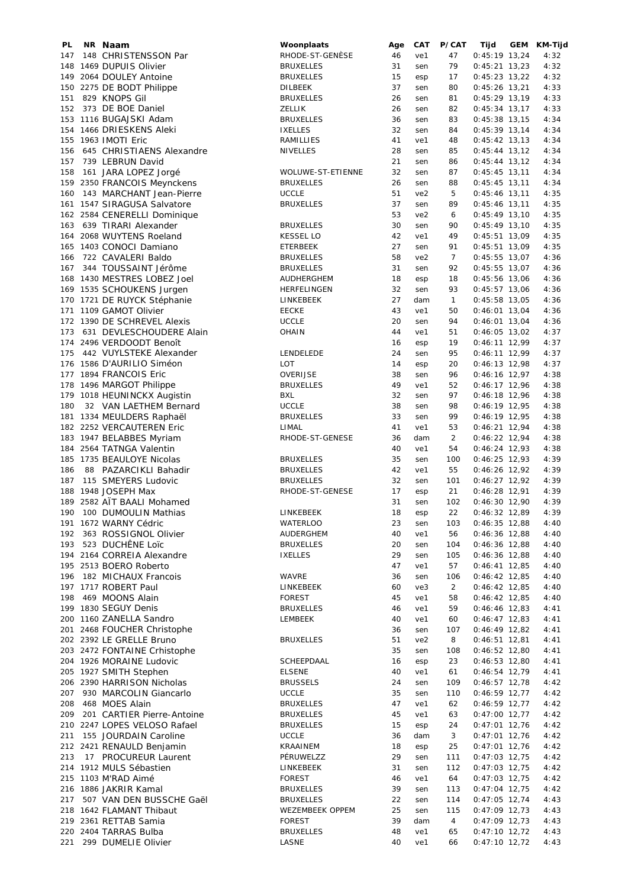| PL. | NR Naam                      | Woonplaats        | Age | CAT             | P/CAT          | Tijd            | GEM | KM-Tijd |
|-----|------------------------------|-------------------|-----|-----------------|----------------|-----------------|-----|---------|
| 147 | 148 CHRISTENSSON Par         | RHODE-ST-GENÈSE   | 46  | ve1             | 47             | $0:45:19$ 13,24 |     | 4:32    |
|     | 148 1469 DUPUIS Olivier      | <b>BRUXELLES</b>  | 31  | sen             | 79             | $0:45:21$ 13,23 |     | 4:32    |
|     | 149 2064 DOULEY Antoine      | <b>BRUXELLES</b>  | 15  | esp             | 17             | $0:45:23$ 13,22 |     | 4:32    |
|     | 150 2275 DE BODT Philippe    | DILBEEK           | 37  | sen             | 80             | $0:45:26$ 13,21 |     | 4:33    |
| 151 | 829 KNOPS Gil                | <b>BRUXELLES</b>  | 26  | sen             | 81             | $0:45:29$ 13,19 |     | 4:33    |
| 152 | 373 DE BOE Daniel            | ZELLIK            | 26  | sen             | 82             | $0:45:34$ 13,17 |     | 4:33    |
|     | 153 1116 BUGAJSKI Adam       | <b>BRUXELLES</b>  | 36  | sen             | 83             | $0:45:38$ 13,15 |     | 4:34    |
|     | 154 1466 DRIESKENS Aleki     | <b>IXELLES</b>    | 32  | sen             | 84             | $0:45:39$ 13,14 |     | 4:34    |
|     | 155 1963 IMOTI Eric          | RAMILLIES         | 41  | ve1             | 48             | $0:45:42$ 13,13 |     | 4:34    |
| 156 | 645 CHRISTIAENS Alexandre    | <b>NIVELLES</b>   | 28  | sen             | 85             | $0:45:44$ 13,12 |     | 4:34    |
| 157 | 739 LEBRUN David             |                   | 21  |                 | 86             | $0:45:44$ 13,12 |     | 4:34    |
|     |                              |                   |     | sen             |                |                 |     |         |
| 158 | 161 JARA LOPEZ Jorgé         | WOLUWE-ST-ETIENNE | 32  | sen             | 87             | $0:45:45$ 13,11 |     | 4:34    |
|     | 159 2350 FRANCOIS Meynckens  | <b>BRUXELLES</b>  | 26  | sen             | 88             | $0:45:45$ 13,11 |     | 4:34    |
|     | 160 143 MARCHANT Jean-Pierre | <b>UCCLE</b>      | 51  | ve2             | 5              | $0:45:46$ 13,11 |     | 4:35    |
|     | 161 1547 SIRAGUSA Salvatore  | <b>BRUXELLES</b>  | 37  | sen             | 89             | $0:45:46$ 13,11 |     | 4:35    |
|     | 162 2584 CENERELLI Dominique |                   | 53  | ve <sub>2</sub> | 6              | $0:45:49$ 13,10 |     | 4:35    |
|     | 163 639 TIRARI Alexander     | <b>BRUXELLES</b>  | 30  | sen             | 90             | $0:45:49$ 13,10 |     | 4:35    |
|     | 164 2068 WUYTENS Roeland     | <b>KESSEL LO</b>  | 42  | ve1             | 49             | $0:45:51$ 13,09 |     | 4:35    |
|     | 165 1403 CONOCI Damiano      | ETERBEEK          | 27  | sen             | 91             | $0:45:51$ 13,09 |     | 4:35    |
| 166 | 722 CAVALERI Baldo           | <b>BRUXELLES</b>  | 58  | ve <sub>2</sub> | $\overline{7}$ | $0:45:55$ 13,07 |     | 4:36    |
| 167 | 344 TOUSSAINT Jérôme         | <b>BRUXELLES</b>  | 31  | sen             | 92             | $0:45:55$ 13,07 |     | 4:36    |
|     | 168 1430 MESTRES LOBEZ Joel  | AUDHERGHEM        | 18  | esp             | 18             | $0:45:56$ 13,06 |     | 4:36    |
|     | 169 1535 SCHOUKENS Jurgen    | HERFELINGEN       | 32  | sen             | 93             | $0:45:57$ 13,06 |     | 4:36    |
|     | 170 1721 DE RUYCK Stéphanie  | LINKEBEEK         | 27  | dam             | $\mathbf{1}$   | $0:45:58$ 13,05 |     | 4:36    |
|     | 171 1109 GAMOT Olivier       | <b>EECKE</b>      | 43  | ve1             | 50             | $0:46:01$ 13,04 |     | 4:36    |
|     | 172 1390 DE SCHREVEL Alexis  | <b>UCCLE</b>      | 20  | sen             | 94             | $0:46:01$ 13,04 |     | 4:36    |
| 173 | 631 DEVLESCHOUDERE Alain     | <b>OHAIN</b>      | 44  | ve1             | 51             | $0:46:05$ 13,02 |     | 4:37    |
|     | 174 2496 VERDOODT Benoît     |                   | 16  | esp             | 19             | $0:46:11$ 12,99 |     | 4:37    |
| 175 | 442 VUYLSTEKE Alexander      | LENDELEDE         | 24  | sen             | 95             | $0:46:11$ 12,99 |     | 4:37    |
|     |                              | LOT               | 14  |                 |                |                 |     |         |
|     | 176 1586 D'AURILIO Siméon    |                   |     | esp             | 20             | $0:46:13$ 12,98 |     | 4:37    |
|     | 177 1894 FRANCOIS Eric       | OVERIJSE          | 38  | sen             | 96             | $0:46:16$ 12,97 |     | 4:38    |
|     | 178 1496 MARGOT Philippe     | <b>BRUXELLES</b>  | 49  | ve1             | 52             | $0:46:17$ 12,96 |     | 4:38    |
|     | 179 1018 HEUNINCKX Augistin  | BXL               | 32  | sen             | 97             | $0:46:18$ 12,96 |     | 4:38    |
| 180 | 32 VAN LAETHEM Bernard       | <b>UCCLE</b>      | 38  | sen             | 98             | $0:46:19$ 12,95 |     | 4:38    |
|     | 181 1334 MEULDERS Raphaël    | <b>BRUXELLES</b>  | 33  | sen             | 99             | $0:46:19$ 12,95 |     | 4:38    |
|     | 182 2252 VERCAUTEREN Eric    | LIMAL             | 41  | ve1             | 53             | $0:46:21$ 12,94 |     | 4:38    |
|     | 183 1947 BELABBES Myriam     | RHODE-ST-GENESE   | 36  | dam             | $\overline{2}$ | $0:46:22$ 12,94 |     | 4:38    |
|     | 184 2564 TATNGA Valentin     |                   | 40  | ve1             | 54             | $0:46:24$ 12,93 |     | 4:38    |
|     | 185 1735 BEAULOYE Nicolas    | <b>BRUXELLES</b>  | 35  | sen             | 100            | $0:46:25$ 12,93 |     | 4:39    |
| 186 | 88 PAZARCIKLI Bahadir        | <b>BRUXELLES</b>  | 42  | ve1             | 55             | $0:46:26$ 12,92 |     | 4:39    |
| 187 | 115 SMEYERS Ludovic          | <b>BRUXELLES</b>  | 32  | sen             | 101            | $0:46:27$ 12,92 |     | 4:39    |
|     | 188 1948 JOSEPH Max          | RHODE-ST-GENESE   | 17  | esp             | 21             | $0:46:28$ 12,91 |     | 4:39    |
|     | 189 2582 AÏT BAALI Mohamed   |                   | 31  | sen             | 102            | $0:46:30$ 12,90 |     | 4:39    |
|     | 190 100 DUMOULIN Mathias     | LINKEBEEK         | 18  | esp             | 22             | $0:46:32$ 12,89 |     | 4:39    |
|     | 191 1672 WARNY Cédric        | WATERLOO          | 23  | sen             | 103            | $0:46:35$ 12,88 |     | 4:40    |
| 192 | 363 ROSSIGNOL Olivier        | AUDERGHEM         | 40  | ve1             | 56             | $0:46:36$ 12,88 |     | 4:40    |
|     | 193 523 DUCHÊNE Loïc         | <b>BRUXELLES</b>  | 20  | sen             | 104            | $0:46:36$ 12,88 |     | 4:40    |
|     | 194 2164 CORREIA Alexandre   | <b>IXELLES</b>    | 29  | sen             | 105            | $0:46:36$ 12,88 |     | 4:40    |
|     |                              |                   | 47  |                 |                |                 |     |         |
|     | 195 2513 BOERO Roberto       |                   |     | ve1             | 57             | $0:46:41$ 12,85 |     | 4:40    |
| 196 | 182 MICHAUX Francois         | WAVRE             | 36  | sen             | 106            | $0:46:42$ 12,85 |     | 4:40    |
|     | 197 1717 ROBERT Paul         | LINKEBEEK         | 60  | ve3             | $\overline{2}$ | $0:46:42$ 12,85 |     | 4:40    |
| 198 | 469 MOONS Alain              | <b>FOREST</b>     | 45  | ve1             | 58             | $0:46:42$ 12,85 |     | 4:40    |
|     | 199 1830 SEGUY Denis         | <b>BRUXELLES</b>  | 46  | ve1             | 59             | 0:46:46 12,83   |     | 4:41    |
|     | 200 1160 ZANELLA Sandro      | LEMBEEK           | 40  | ve1             | 60             | $0:46:47$ 12,83 |     | 4:41    |
|     | 201 2468 FOUCHER Christophe  |                   | 36  | sen             | 107            | $0:46:49$ 12,82 |     | 4:41    |
|     | 202 2392 LE GRELLE Bruno     | <b>BRUXELLES</b>  | 51  | ve2             | 8              | $0:46:51$ 12,81 |     | 4:41    |
|     | 203 2472 FONTAINE Crhistophe |                   | 35  | sen             | 108            | $0:46:52$ 12,80 |     | 4:41    |
|     | 204 1926 MORAINE Ludovic     | SCHEEPDAAL        | 16  | esp             | 23             | $0:46:53$ 12,80 |     | 4:41    |
|     | 205 1927 SMITH Stephen       | <b>ELSENE</b>     | 40  | ve1             | 61             | $0:46:54$ 12,79 |     | 4:41    |
|     | 206 2390 HARRISON Nicholas   | <b>BRUSSELS</b>   | 24  | sen             | 109            | $0:46:57$ 12,78 |     | 4:42    |
| 207 | 930 MARCOLIN Giancarlo       | <b>UCCLE</b>      | 35  | sen             | 110            | $0:46:59$ 12,77 |     | 4:42    |
| 208 | 468 MOES Alain               | <b>BRUXELLES</b>  | 47  | ve1             | 62             | $0:46:59$ 12,77 |     | 4:42    |
| 209 | 201 CARTIER Pierre-Antoine   | <b>BRUXELLES</b>  | 45  | ve1             | 63             | $0:47:00$ 12,77 |     | 4:42    |
|     | 210 2247 LOPES VELOSO Rafael | <b>BRUXELLES</b>  | 15  | esp             | 24             | $0:47:01$ 12,76 |     | 4:42    |
| 211 | 155 JOURDAIN Caroline        | <b>UCCLE</b>      | 36  | dam             | 3              | $0:47:01$ 12,76 |     | 4:42    |
|     | 212 2421 RENAULD Benjamin    | KRAAINEM          | 18  | esp             | 25             | $0:47:01$ 12,76 |     | 4:42    |
| 213 | 17 PROCUREUR Laurent         | PÉRUWELZZ         | 29  | sen             | 111            | $0:47:03$ 12,75 |     | 4:42    |
|     | 214 1912 MULS Sébastien      |                   | 31  |                 |                | $0:47:03$ 12,75 |     |         |
|     |                              | LINKEBEEK         |     | sen             | 112            |                 |     | 4:42    |
|     | 215 1103 M'RAD Aimé          | <b>FOREST</b>     | 46  | ve1             | 64             | $0:47:03$ 12,75 |     | 4:42    |
|     | 216 1886 JAKRIR Kamal        | <b>BRUXELLES</b>  | 39  | sen             | 113            | $0:47:04$ 12,75 |     | 4:42    |
| 217 | 507 VAN DEN BUSSCHE Gaël     | <b>BRUXELLES</b>  | 22  | sen             | 114            | $0:47:05$ 12,74 |     | 4:43    |
|     | 218 1642 FLAMANT Thibaut     | WEZEMBEEK OPPEM   | 25  | sen             | 115            | $0:47:09$ 12,73 |     | 4:43    |
|     | 219 2361 RETTAB Samia        | <b>FOREST</b>     | 39  | dam             | 4              | $0:47:09$ 12,73 |     | 4:43    |
|     | 220 2404 TARRAS Bulba        | <b>BRUXELLES</b>  | 48  | ve1             | 65             | $0:47:10$ 12,72 |     | 4:43    |
| 221 | 299 DUMELIE Olivier          | LASNE             | 40  | ve1             | 66             | $0:47:10$ 12,72 |     | 4:43    |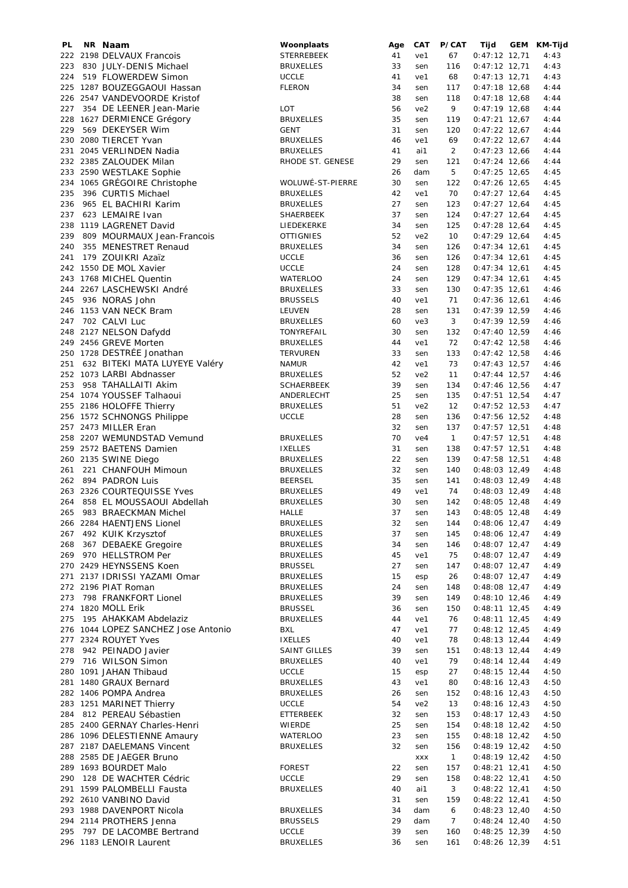| PL  | NR Naam                                            | Woonplaats                      | Age      | <b>CAT</b> | P/CAT                 | Tijd                               | GEM | KM-Tijd      |
|-----|----------------------------------------------------|---------------------------------|----------|------------|-----------------------|------------------------------------|-----|--------------|
|     | 222 2198 DELVAUX Francois                          | STERREBEEK                      | 41       | ve1        | 67                    | $0:47:12$ 12,71                    |     | 4:43         |
| 223 | 830 JULY-DENIS Michael                             | <b>BRUXELLES</b>                | 33       | sen        | 116                   | $0:47:12$ 12,71                    |     | 4:43         |
| 224 | 519 FLOWERDEW Simon                                | <b>UCCLE</b>                    | 41       | ve1        | 68                    | $0:47:13$ 12,71                    |     | 4:43         |
|     | 225 1287 BOUZEGGAOUI Hassan                        | <b>FLERON</b>                   | 34       | sen        | 117                   | $0:47:18$ 12,68                    |     | 4:44         |
|     | 226 2547 VANDEVOORDE Kristof                       |                                 | 38       | sen        | 118                   | $0:47:18$ 12,68                    |     | 4:44         |
| 227 | 354 DE LEENER Jean-Marie                           | LOT                             | 56       | ve2        | 9                     | $0:47:19$ 12,68                    |     | 4:44         |
|     | 228 1627 DERMIENCE Grégory                         | <b>BRUXELLES</b>                | 35       | sen        | 119                   | $0:47:21$ 12,67                    |     | 4:44         |
| 229 | 569 DEKEYSER Wim                                   | GENT                            | 31       | sen        | 120                   | $0:47:22$ 12,67                    |     | 4:44         |
|     | 230 2080 TIERCET Yvan                              | <b>BRUXELLES</b>                | 46       | ve1        | 69                    | $0:47:22$ 12,67                    |     | 4:44         |
|     | 231 2045 VERLINDEN Nadia                           | <b>BRUXELLES</b>                | 41       | ai1        | $\overline{2}$        | $0:47:23$ 12,66                    |     | 4:44         |
|     | 232 2385 ZALOUDEK Milan                            | RHODE ST. GENESE                | 29       | sen        | 121                   | $0:47:24$ 12,66                    |     | 4:44         |
|     | 233 2590 WESTLAKE Sophie                           |                                 | 26       | dam        | 5                     | $0:47:25$ 12,65                    |     | 4:45         |
|     | 234 1065 GRÉGOIRE Christophe                       | WOLUWÉ-ST-PIERRE                | 30       | sen        | 122                   | $0:47:26$ 12,65                    |     | 4:45         |
| 235 | 396 CURTIS Michael                                 | <b>BRUXELLES</b>                | 42       | ve1        | 70                    | $0:47:27$ 12,64                    |     | 4:45         |
|     | 236 965 EL BACHIRI Karim                           | <b>BRUXELLES</b>                | 27       | sen        | 123                   | $0:47:27$ 12,64                    |     | 4:45         |
| 237 | 623 LEMAIRE Ivan                                   | SHAERBEEK                       | 37       | sen        | 124                   | $0:47:27$ 12,64                    |     | 4:45         |
|     | 238 1119 LAGRENET David                            | LIEDEKERKE                      | 34       | sen        | 125                   | $0:47:28$ 12,64                    |     | 4:45         |
| 239 |                                                    | <b>OTTIGNIES</b>                | 52       | ve2        | 10                    | $0:47:29$ 12,64                    |     | 4:45         |
|     | 809 MOURMAUX Jean-Francois                         |                                 | 34       |            |                       |                                    |     |              |
| 240 | 355 MENESTRET Renaud                               | <b>BRUXELLES</b>                |          | sen        | 126                   | $0:47:34$ 12,61                    |     | 4:45         |
| 241 | 179 ZOUIKRI Azaïz                                  | <b>UCCLE</b>                    | 36       | sen        | 126                   | $0:47:34$ 12,61                    |     | 4:45         |
|     | 242 1550 DE MOL Xavier                             | <b>UCCLE</b>                    | 24       | sen        | 128                   | $0:47:34$ 12,61                    |     | 4:45         |
|     | 243 1768 MICHEL Quentin                            | <b>WATERLOO</b>                 | 24       | sen        | 129                   | $0:47:34$ 12,61                    |     | 4:45         |
|     | 244 2267 LASCHEWSKI André                          | <b>BRUXELLES</b>                | 33       | sen        | 130                   | $0:47:35$ 12,61                    |     | 4:46         |
| 245 | 936 NORAS John                                     | <b>BRUSSELS</b>                 | 40       | ve1        | 71                    | $0:47:36$ 12,61                    |     | 4:46         |
|     | 246 1153 VAN NECK Bram                             | LEUVEN                          | 28       | sen        | 131                   | $0:47:39$ 12,59                    |     | 4:46         |
| 247 | 702 CALVI Luc                                      | <b>BRUXELLES</b>                | 60       | ve3        | 3                     | $0:47:39$ 12,59                    |     | 4:46         |
|     | 248 2127 NELSON Dafydd                             | TONYREFAIL                      | 30       | sen        | 132                   | $0:47:40$ 12,59                    |     | 4:46         |
|     | 249 2456 GREVE Morten                              | <b>BRUXELLES</b>                | 44       | ve1        | 72                    | $0:47:42$ 12,58                    |     | 4:46         |
|     | 250 1728 DESTRÉE Jonathan                          | TERVUREN                        | 33       | sen        | 133                   | $0:47:42$ 12,58                    |     | 4:46         |
| 251 | 632 BITEKI MATA LUYEYE Valéry                      | <b>NAMUR</b>                    | 42       | ve1        | 73                    | $0:47:43$ 12,57                    |     | 4:46         |
|     | 252 1073 LARBI Abdnasser                           | <b>BRUXELLES</b>                | 52       | ve2        | 11                    | $0:47:44$ 12,57                    |     | 4:46         |
| 253 | 958 TAHALLAITI Akim                                | <b>SCHAERBEEK</b>               | 39       | sen        | 134                   | $0:47:46$ 12,56                    |     | 4:47         |
|     | 254 1074 YOUSSEF Talhaoui                          | ANDERLECHT                      | 25       | sen        | 135                   | $0:47:51$ 12,54                    |     | 4:47         |
|     | 255 2186 HOLOFFE Thierry                           | <b>BRUXELLES</b>                | 51       | ve2        | 12                    | $0:47:52$ 12,53                    |     | 4:47         |
|     | 256 1572 SCHNONGS Philippe                         | <b>UCCLE</b>                    | 28       | sen        | 136                   | $0:47:56$ 12,52                    |     | 4:48         |
|     | 257 2473 MILLER Eran                               |                                 | 32       | sen        | 137                   | $0:47:57$ 12,51                    |     | 4:48         |
|     | 258 2207 WEMUNDSTAD Vemund                         | <b>BRUXELLES</b>                | 70       | ve4        | $\mathbf{1}$          | $0:47:57$ 12,51                    |     | 4:48         |
|     | 259 2572 BAETENS Damien                            | <b>IXELLES</b>                  | 31       | sen        | 138                   | $0:47:57$ 12,51                    |     | 4:48         |
|     | 260 2135 SWINE Diego                               | <b>BRUXELLES</b>                | 22       | sen        | 139                   | $0:47:58$ 12,51                    |     | 4:48         |
| 261 | 221 CHANFOUH Mimoun                                | <b>BRUXELLES</b>                | 32       | sen        | 140                   | $0:48:03$ 12,49                    |     | 4:48         |
| 262 | 894 PADRON Luis                                    | <b>BEERSEL</b>                  | 35       | sen        | 141                   | $0:48:03$ 12,49                    |     | 4:48         |
|     | 263 2326 COURTEQUISSE Yves                         | <b>BRUXELLES</b>                | 49       | ve1        | 74                    | $0:48:03$ 12,49                    |     | 4:48         |
| 264 | 858 EL MOUSSAOUI Abdellah                          | <b>BRUXELLES</b>                | 30       | sen        | 142                   | $0:48:05$ 12,48                    |     | 4:49         |
| 265 | 983 BRAECKMAN Michel                               | HALLE                           | 37       | sen        | 143                   | $0:48:05$ 12,48                    |     | 4:49         |
|     | 266 2284 HAENTJENS Lionel                          | <b>BRUXELLES</b>                | 32       | sen        | 144                   | $0:48:06$ 12,47                    |     | 4:49         |
|     | 267 492 KUIK Krzysztof                             | <b>BRUXELLES</b>                | 37       | sen        | 145                   | $0:48:06$ 12,47                    |     | 4:49         |
| 268 | 367 DEBAEKE Gregoire                               | <b>BRUXELLES</b>                | 34       | sen        | 146                   | $0:48:07$ 12,47                    |     | 4:49         |
| 269 | 970 HELLSTROM Per                                  | <b>BRUXELLES</b>                | 45       | ve1        | 75                    | $0:48:07$ 12,47                    |     | 4:49         |
|     | 270 2429 HEYNSSENS Koen                            | <b>BRUSSEL</b>                  | 27       | sen        | 147                   | $0:48:07$ 12,47                    |     | 4:49         |
|     | 271 2137 IDRISSI YAZAMI Omar                       | <b>BRUXELLES</b>                | 15       | esp        | 26                    | $0:48:07$ 12,47                    |     | 4:49         |
|     | 272 2196 PIAT Roman                                | <b>BRUXELLES</b>                | 24       | sen        | 148                   | $0:48:08$ 12,47                    |     | 4:49         |
| 273 | 798 FRANKFORT Lionel                               | <b>BRUXELLES</b>                | 39       | sen        | 149                   | $0:48:10$ 12,46                    |     | 4:49         |
|     | 274 1820 MOLL Erik                                 | <b>BRUSSEL</b>                  | 36       | sen        | 150                   | $0:48:11$ 12,45                    |     | 4:49         |
| 275 | 195 AHAKKAM Abdelaziz                              | <b>BRUXELLES</b>                | 44       | ve1        | 76                    | $0:48:11$ 12,45                    |     | 4:49         |
|     | 276 1044 LOPEZ SANCHEZ Jose Antonio                | BXL                             | 47       | ve1        | 77                    | $0:48:12$ 12,45                    |     | 4:49         |
|     | 277 2324 ROUYET Yves                               | <b>IXELLES</b>                  | 40       | ve1        | 78                    | $0:48:13$ 12,44                    |     | 4:49         |
| 278 | 942 PEINADO Javier                                 | SAINT GILLES                    | 39       | sen        | 151                   | $0:48:13$ 12,44                    |     | 4:49         |
|     | 279 716 WILSON Simon                               | <b>BRUXELLES</b>                | 40       | ve1        | 79                    | $0:48:14$ 12,44                    |     | 4:49         |
|     | 280 1091 JAHAN Thibaud                             | <b>UCCLE</b>                    |          |            |                       | $0:48:15$ 12,44                    |     |              |
|     | 281 1480 GRAUX Bernard                             | <b>BRUXELLES</b>                | 15<br>43 | esp        | 27                    | $0:48:16$ 12,43                    |     | 4:50<br>4:50 |
|     |                                                    |                                 |          | ve1        | 80                    |                                    |     |              |
|     | 282 1406 POMPA Andrea                              | <b>BRUXELLES</b>                | 26       | sen        | 152                   | $0:48:16$ 12,43                    |     | 4:50         |
|     | 283 1251 MARINET Thierry                           | <b>UCCLE</b>                    | 54       | ve2        | 13                    | $0:48:16$ 12,43                    |     | 4:50         |
| 284 | 812 PEREAU Sébastien                               | ETTERBEEK                       | 32       | sen        | 153                   | $0:48:17$ 12,43                    |     | 4:50         |
|     | 285 2400 GERNAY Charles-Henri                      | <b>WIERDE</b>                   | 25       | sen        | 154                   | $0:48:18$ 12,42                    |     | 4:50         |
|     | 286 1096 DELESTIENNE Amaury                        | <b>WATERLOO</b>                 | 23       | sen        | 155                   | $0:48:18$ 12,42                    |     | 4:50         |
|     | 287 2187 DAELEMANS Vincent                         | <b>BRUXELLES</b>                | 32       | sen        | 156                   | $0:48:19$ 12,42                    |     | 4:50         |
|     | 288 2585 DE JAEGER Bruno                           |                                 |          | XXX        | $\mathbf{1}$          | $0:48:19$ 12,42                    |     | 4:50         |
|     | 289 1693 BOURDET Malo                              | <b>FOREST</b>                   | 22       | sen        | 157                   | $0:48:21$ 12,41                    |     | 4:50         |
|     | 290 128 DE WACHTER Cédric                          | <b>UCCLE</b>                    | 29       | sen        | 158                   | $0:48:22$ 12,41                    |     | 4:50         |
|     | 291 1599 PALOMBELLI Fausta                         | <b>BRUXELLES</b>                | 40       | ai1        | 3                     | $0:48:22$ 12,41                    |     | 4:50         |
|     | 292 2610 VANBINO David                             |                                 | 31       | sen        | 159                   | $0:48:22$ 12,41                    |     | 4:50         |
|     | 293 1988 DAVENPORT Nicola                          | <b>BRUXELLES</b>                | 34       | dam        | 6                     | $0:48:23$ 12,40                    |     | 4:50         |
| 295 | 294 2114 PROTHERS Jenna<br>797 DE LACOMBE Bertrand | <b>BRUSSELS</b><br><b>UCCLE</b> | 29<br>39 | dam        | $\overline{7}$<br>160 | $0:48:24$ 12,40<br>$0:48:25$ 12,39 |     | 4:50<br>4:50 |
|     | 296 1183 LENOIR Laurent                            |                                 | 36       | sen        | 161                   | $0:48:26$ 12,39                    |     | 4:51         |
|     |                                                    | <b>BRUXELLES</b>                |          | sen        |                       |                                    |     |              |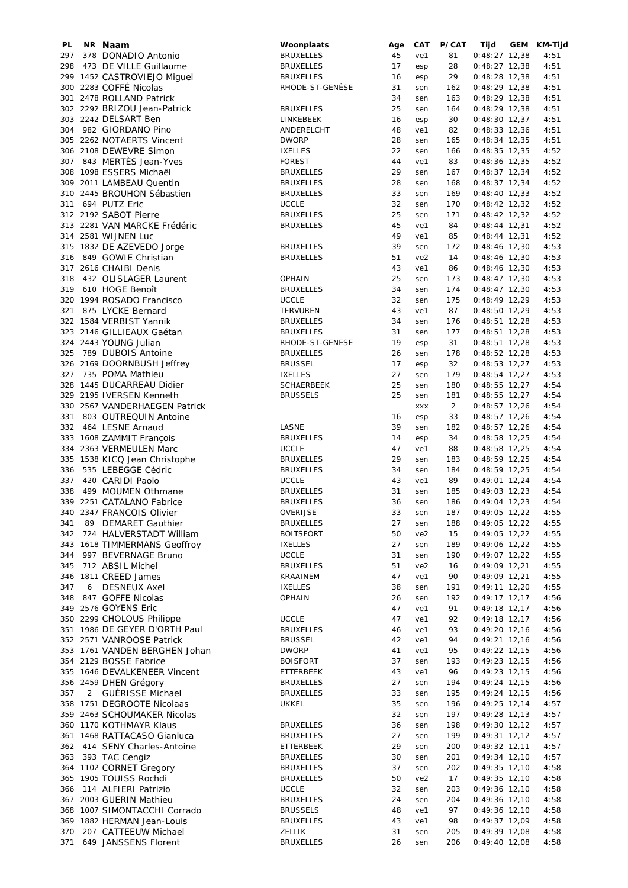| PL. | NR Naam                       | Woonplaats        | Age | CAT             | P/CAT | Tijd            | GEM | KM-Tijd |
|-----|-------------------------------|-------------------|-----|-----------------|-------|-----------------|-----|---------|
| 297 | 378 DONADIO Antonio           | <b>BRUXELLES</b>  | 45  | ve1             | 81    | $0:48:27$ 12,38 |     | 4:51    |
| 298 | 473 DE VILLE Guillaume        | <b>BRUXELLES</b>  | 17  | esp             | 28    | $0:48:27$ 12,38 |     | 4:51    |
|     | 299 1452 CASTROVIEJO Miquel   | <b>BRUXELLES</b>  | 16  | esp             | 29    | $0:48:28$ 12,38 |     | 4:51    |
|     | 300 2283 COFFÉ Nicolas        | RHODE-ST-GENÈSE   | 31  | sen             | 162   | $0:48:29$ 12,38 |     | 4:51    |
|     | 301 2478 ROLLAND Patrick      |                   | 34  | sen             | 163   | $0:48:29$ 12,38 |     | 4:51    |
|     | 302 2292 BRIZOU Jean-Patrick  | <b>BRUXELLES</b>  | 25  | sen             | 164   | $0:48:29$ 12,38 |     | 4:51    |
|     | 303 2242 DELSART Ben          | LINKEBEEK         | 16  | esp             | 30    | $0:48:30$ 12,37 |     | 4:51    |
|     | 304 982 GIORDANO Pino         | ANDERELCHT        | 48  | ve1             | 82    | $0:48:33$ 12,36 |     | 4:51    |
|     | 305 2262 NOTAERTS Vincent     | <b>DWORP</b>      | 28  | sen             | 165   | $0:48:34$ 12,35 |     | 4:51    |
|     | 306 2108 DEWEVRE Simon        | <b>IXELLES</b>    | 22  | sen             | 166   | $0:48:35$ 12,35 |     | 4:52    |
|     | 307 843 MERTÈS Jean-Yves      | <b>FOREST</b>     | 44  | ve1             | 83    | $0:48:36$ 12,35 |     | 4:52    |
|     | 308 1098 ESSERS Michaël       | <b>BRUXELLES</b>  | 29  | sen             | 167   | $0:48:37$ 12,34 |     | 4:52    |
|     | 309 2011 LAMBEAU Quentin      | <b>BRUXELLES</b>  | 28  | sen             | 168   | $0:48:37$ 12,34 |     | 4:52    |
|     | 310 2445 BROUHON Sébastien    | <b>BRUXELLES</b>  | 33  | sen             | 169   | $0:48:40$ 12,33 |     | 4:52    |
|     | 311 694 PUTZ Eric             | <b>UCCLE</b>      | 32  | sen             | 170   | $0:48:42$ 12,32 |     | 4:52    |
|     | 312 2192 SABOT Pierre         | <b>BRUXELLES</b>  | 25  | sen             | 171   | $0:48:42$ 12,32 |     | 4:52    |
|     | 313 2281 VAN MARCKE Frédéric  | <b>BRUXELLES</b>  | 45  | ve1             | 84    | $0:48:44$ 12,31 |     | 4:52    |
|     | 314 2581 WIJNEN Luc           |                   | 49  | ve1             | 85    | $0:48:44$ 12,31 |     | 4:52    |
|     | 315 1832 DE AZEVEDO Jorge     | <b>BRUXELLES</b>  | 39  | sen             | 172   | $0:48:46$ 12,30 |     | 4:53    |
|     | 316 849 GOWIE Christian       | <b>BRUXELLES</b>  | 51  | ve <sub>2</sub> | 14    | $0:48:46$ 12,30 |     | 4:53    |
|     | 317 2616 CHAIBI Denis         |                   | 43  | ve1             | 86    | $0:48:46$ 12,30 |     | 4:53    |
| 318 | 432 OLISLAGER Laurent         | <b>OPHAIN</b>     | 25  | sen             | 173   | $0:48:47$ 12,30 |     | 4:53    |
| 319 | 610 HOGE Benoît               | <b>BRUXELLES</b>  | 34  | sen             | 174   | $0:48:47$ 12,30 |     | 4:53    |
|     | 320 1994 ROSADO Francisco     | <b>UCCLE</b>      | 32  | sen             | 175   | $0:48:49$ 12,29 |     | 4:53    |
| 321 | 875 LYCKE Bernard             | <b>TERVUREN</b>   | 43  | ve1             | 87    | $0:48:50$ 12,29 |     | 4:53    |
|     | 322 1584 VERBIST Yannik       | <b>BRUXELLES</b>  | 34  |                 |       |                 |     |         |
|     |                               |                   | 31  | sen             | 176   | $0:48:51$ 12,28 |     | 4:53    |
|     | 323 2146 GILLIEAUX Gaétan     | <b>BRUXELLES</b>  |     | sen             | 177   | $0:48:51$ 12,28 |     | 4:53    |
|     | 324 2443 YOUNG Julian         | RHODE-ST-GENESE   | 19  | esp             | 31    | $0:48:51$ 12,28 |     | 4:53    |
| 325 | 789 DUBOIS Antoine            | <b>BRUXELLES</b>  | 26  | sen             | 178   | $0:48:52$ 12,28 |     | 4:53    |
|     | 326 2169 DOORNBUSH Jeffrey    | <b>BRUSSEL</b>    | 17  | esp             | 32    | $0:48:53$ 12,27 |     | 4:53    |
|     | 327 735 POMA Mathieu          | <b>IXELLES</b>    | 27  | sen             | 179   | $0:48:54$ 12,27 |     | 4:53    |
|     | 328 1445 DUCARREAU Didier     | <b>SCHAERBEEK</b> | 25  | sen             | 180   | $0:48:55$ 12,27 |     | 4:54    |
|     | 329 2195 IVERSEN Kenneth      | <b>BRUSSELS</b>   | 25  | sen             | 181   | $0:48:55$ 12,27 |     | 4:54    |
|     | 330 2567 VANDERHAEGEN Patrick |                   |     | <b>XXX</b>      | 2     | $0:48:57$ 12,26 |     | 4:54    |
| 331 | 803 OUTREQUIN Antoine         |                   | 16  | esp             | 33    | $0:48:57$ 12,26 |     | 4:54    |
|     | 332 464 LESNE Arnaud          | LASNE             | 39  | sen             | 182   | $0:48:57$ 12,26 |     | 4:54    |
|     | 333 1608 ZAMMIT François      | <b>BRUXELLES</b>  | 14  | esp             | 34    | $0:48:58$ 12,25 |     | 4:54    |
|     | 334 2363 VERMEULEN Marc       | <b>UCCLE</b>      | 47  | ve1             | 88    | $0:48:58$ 12,25 |     | 4:54    |
|     | 335 1538 KICQ Jean Christophe | <b>BRUXELLES</b>  | 29  | sen             | 183   | $0:48:59$ 12,25 |     | 4:54    |
| 336 | 535 LEBEGGE Cédric            | <b>BRUXELLES</b>  | 34  | sen             | 184   | $0:48:59$ 12,25 |     | 4:54    |
| 337 | 420 CARIDI Paolo              | <b>UCCLE</b>      | 43  | ve1             | 89    | $0:49:01$ 12,24 |     | 4:54    |
| 338 | 499 MOUMEN Othmane            | <b>BRUXELLES</b>  | 31  | sen             | 185   | $0:49:03$ 12,23 |     | 4:54    |
|     | 339 2251 CATALANO Fabrice     | <b>BRUXELLES</b>  | 36  | sen             | 186   | $0:49:04$ 12,23 |     | 4:54    |
|     | 340 2347 FRANCOIS Olivier     | OVERIJSE          | 33  | sen             | 187   | $0:49:05$ 12,22 |     | 4:55    |
| 341 | 89 DEMARET Gauthier           | <b>BRUXELLES</b>  | 27  | sen             | 188   | $0:49:05$ 12,22 |     | 4:55    |
| 342 | 724 HALVERSTADT William       | <b>BOITSFORT</b>  | 50  | ve2             | 15    | $0:49:05$ 12,22 |     | 4:55    |
|     | 343 1618 TIMMERMANS Geoffroy  | <b>IXELLES</b>    | 27  | sen             | 189   | $0:49:06$ 12,22 |     | 4:55    |
| 344 | 997 BEVERNAGE Bruno           | <b>UCCLE</b>      | 31  | sen             | 190   | $0:49:07$ 12,22 |     | 4:55    |
| 345 | 712 ABSIL Michel              | <b>BRUXELLES</b>  | 51  | ve2             | 16    | $0:49:09$ 12,21 |     | 4:55    |
|     | 346 1811 CREED James          | KRAAINEM          | 47  | ve1             | 90    | $0:49:09$ 12,21 |     | 4:55    |
| 347 | 6 DESNEUX Axel                | <b>IXELLES</b>    | 38  | sen             | 191   | $0:49:11$ 12,20 |     | 4:55    |
|     | 348 847 GOFFE Nicolas         | OPHAIN            | 26  | sen             | 192   | $0:49:17$ 12,17 |     | 4:56    |
|     | 349 2576 GOYENS Eric          |                   | 47  | ve1             | 91    | $0:49:18$ 12,17 |     | 4:56    |
|     | 350 2299 CHOLOUS Philippe     | <b>UCCLE</b>      | 47  | ve1             | 92    | $0:49:18$ 12,17 |     | 4:56    |
|     | 351 1986 DE GEYER D'ORTH Paul | <b>BRUXELLES</b>  | 46  | ve1             | 93    | $0:49:20$ 12,16 |     | 4:56    |
|     | 352 2571 VANROOSE Patrick     | <b>BRUSSEL</b>    | 42  | ve1             | 94    | $0:49:21$ 12,16 |     | 4:56    |
|     |                               |                   |     |                 |       |                 |     |         |
|     | 353 1761 VANDEN BERGHEN Johan | <b>DWORP</b>      | 41  | ve1             | 95    | $0:49:22$ 12,15 |     | 4:56    |
|     | 354 2129 BOSSE Fabrice        | <b>BOISFORT</b>   | 37  | sen             | 193   | $0:49:23$ 12,15 |     | 4:56    |
|     | 355 1646 DEVALKENEER Vincent  | ETTERBEEK         | 43  | ve1             | 96    | $0:49:23$ 12,15 |     | 4:56    |
|     | 356 2459 DHEN Grégory         | <b>BRUXELLES</b>  | 27  | sen             | 194   | $0:49:24$ 12,15 |     | 4:56    |
| 357 | 2 GUÉRISSE Michael            | <b>BRUXELLES</b>  | 33  | sen             | 195   | $0:49:24$ 12,15 |     | 4:56    |
|     | 358 1751 DEGROOTE Nicolaas    | <b>UKKEL</b>      | 35  | sen             | 196   | $0:49:25$ 12,14 |     | 4:57    |
|     | 359 2463 SCHOUMAKER Nicolas   |                   | 32  | sen             | 197   | $0:49:28$ 12,13 |     | 4:57    |
|     | 360 1170 KOTHMAYR Klaus       | <b>BRUXELLES</b>  | 36  | sen             | 198   | $0:49:30$ 12,12 |     | 4:57    |
|     | 361 1468 RATTACASO Gianluca   | <b>BRUXELLES</b>  | 27  | sen             | 199   | $0:49:31$ 12,12 |     | 4:57    |
|     | 362 414 SENY Charles-Antoine  | ETTERBEEK         | 29  | sen             | 200   | $0:49:32$ 12,11 |     | 4:57    |
| 363 | 393 TAC Cengiz                | <b>BRUXELLES</b>  | 30  | sen             | 201   | $0:49:34$ 12,10 |     | 4:57    |
|     | 364 1102 CORNET Gregory       | <b>BRUXELLES</b>  | 37  | sen             | 202   | $0:49:35$ 12,10 |     | 4:58    |
|     | 365 1905 TOUISS Rochdi        | <b>BRUXELLES</b>  | 50  | ve2             | 17    | $0:49:35$ 12,10 |     | 4:58    |
| 366 | 114 ALFIERI Patrizio          | <b>UCCLE</b>      | 32  | sen             | 203   | $0:49:36$ 12,10 |     | 4:58    |
|     | 367 2003 GUERIN Mathieu       | <b>BRUXELLES</b>  | 24  | sen             | 204   | $0:49:36$ 12,10 |     | 4:58    |
|     | 368 1007 SIMONTACCHI Corrado  | <b>BRUSSELS</b>   | 48  | ve1             | 97    | $0:49:36$ 12,10 |     | 4:58    |
|     | 369 1882 HERMAN Jean-Louis    | <b>BRUXELLES</b>  | 43  | ve1             | 98    | $0:49:37$ 12,09 |     | 4:58    |
| 370 | 207 CATTEEUW Michael          | ZELLIK            | 31  | sen             | 205   | $0:49:39$ 12,08 |     | 4:58    |
| 371 | 649 JANSSENS Florent          | <b>BRUXELLES</b>  | 26  | sen             | 206   | $0:49:40$ 12,08 |     | 4:58    |
|     |                               |                   |     |                 |       |                 |     |         |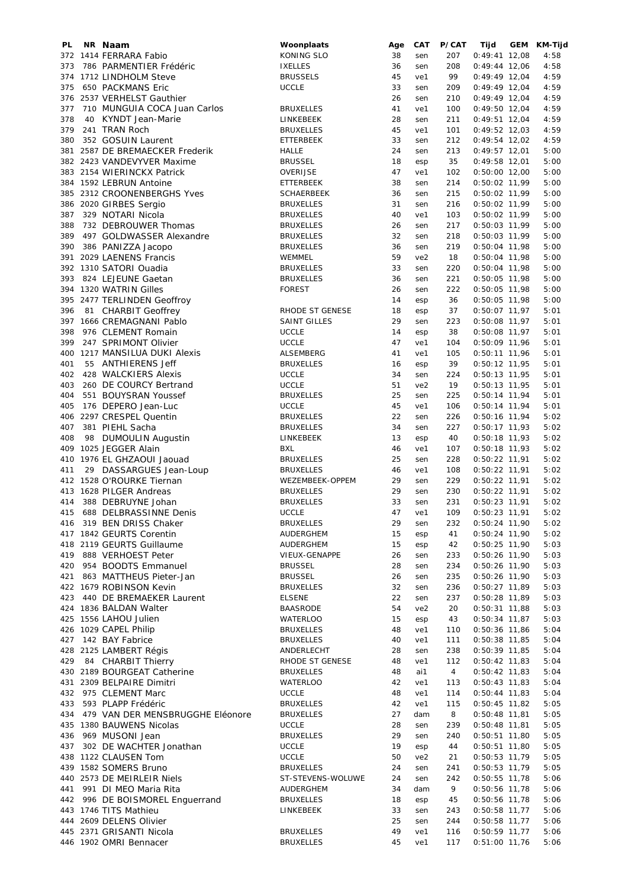| PL  | NR Naam                          | Woonplaats        | Age | CAT             | P/CAT | Tijd            | GEM | KM-Tijd |
|-----|----------------------------------|-------------------|-----|-----------------|-------|-----------------|-----|---------|
|     | 372 1414 FERRARA Fabio           | KONING SLO        | 38  | sen             | 207   | $0:49:41$ 12,08 |     | 4:58    |
| 373 | 786 PARMENTIER Frédéric          | <b>IXELLES</b>    | 36  | sen             | 208   | $0:49:44$ 12,06 |     | 4:58    |
|     | 374 1712 LINDHOLM Steve          | <b>BRUSSELS</b>   | 45  | ve1             | 99    | $0:49:49$ 12,04 |     | 4:59    |
| 375 | 650 PACKMANS Eric                | <b>UCCLE</b>      | 33  | sen             | 209   | $0:49:49$ 12,04 |     | 4:59    |
|     | 376 2537 VERHELST Gauthier       |                   | 26  | sen             | 210   | $0:49:49$ 12,04 |     | 4:59    |
| 377 | 710 MUNGUIA COCA Juan Carlos     | <b>BRUXELLES</b>  | 41  | ve1             | 100   | $0:49:50$ 12,04 |     | 4:59    |
| 378 | 40 KYNDT Jean-Marie              | <b>LINKEBEEK</b>  | 28  | sen             | 211   | $0:49:51$ 12,04 |     | 4:59    |
| 379 | 241 TRAN Roch                    | <b>BRUXELLES</b>  | 45  | ve1             | 101   | $0:49:52$ 12,03 |     | 4:59    |
| 380 | 352 GOSUIN Laurent               | <b>ETTERBEEK</b>  | 33  | sen             | 212   | 0:49:54 12,02   |     | 4:59    |
| 381 | 2587 DE BREMAECKER Frederik      | <b>HALLE</b>      | 24  | sen             | 213   | $0:49:57$ 12,01 |     | 5:00    |
|     | 382 2423 VANDEVYVER Maxime       | <b>BRUSSEL</b>    | 18  | esp             | 35    | $0:49:58$ 12,01 |     | 5:00    |
|     | 383 2154 WIERINCKX Patrick       | OVERIJSE          | 47  | ve1             | 102   | $0:50:00$ 12,00 |     | 5:00    |
|     | 384 1592 LEBRUN Antoine          | ETTERBEEK         | 38  | sen             | 214   | 0:50:02 11,99   |     | 5:00    |
|     | 385 2312 CROONENBERGHS Yves      | <b>SCHAERBEEK</b> | 36  | sen             | 215   | $0:50:02$ 11,99 |     | 5:00    |
|     | 386 2020 GIRBES Sergio           |                   | 31  |                 | 216   |                 |     |         |
|     |                                  | <b>BRUXELLES</b>  |     | sen             |       | $0:50:02$ 11,99 |     | 5:00    |
| 387 | 329 NOTARI Nicola                | <b>BRUXELLES</b>  | 40  | ve1             | 103   | $0:50:02$ 11,99 |     | 5:00    |
| 388 | 732 DEBROUWER Thomas             | <b>BRUXELLES</b>  | 26  | sen             | 217   | 0:50:03 11,99   |     | 5:00    |
| 389 | 497 GOLDWASSER Alexandre         | <b>BRUXELLES</b>  | 32  | sen             | 218   | $0:50:03$ 11,99 |     | 5:00    |
| 390 | 386 PANIZZA Jacopo               | <b>BRUXELLES</b>  | 36  | sen             | 219   | $0:50:04$ 11,98 |     | 5:00    |
| 391 | 2029 LAENENS Francis             | WEMMEL            | 59  | ve <sub>2</sub> | 18    | 0:50:04 11,98   |     | 5:00    |
|     | 392 1310 SATORI Ouadia           | <b>BRUXELLES</b>  | 33  | sen             | 220   | $0:50:04$ 11,98 |     | 5:00    |
| 393 | 824 LEJEUNE Gaetan               | <b>BRUXELLES</b>  | 36  | sen             | 221   | $0:50:05$ 11,98 |     | 5:00    |
|     | 394 1320 WATRIN Gilles           | <b>FOREST</b>     | 26  | sen             | 222   | $0:50:05$ 11,98 |     | 5:00    |
|     | 395 2477 TERLINDEN Geoffroy      |                   | 14  | esp             | 36    | $0:50:05$ 11,98 |     | 5:00    |
| 396 | 81 CHARBIT Geoffrey              | RHODE ST GENESE   | 18  | esp             | 37    | $0:50:07$ 11,97 |     | 5:01    |
|     | 397 1666 CREMAGNANI Pablo        | SAINT GILLES      | 29  | sen             | 223   | 0:50:08 11,97   |     | 5:01    |
| 398 | 976 CLEMENT Romain               | <b>UCCLE</b>      | 14  | esp             | 38    | $0:50:08$ 11,97 |     | 5:01    |
| 399 | 247 SPRIMONT Olivier             | <b>UCCLE</b>      | 47  | ve1             | 104   |                 |     | 5:01    |
|     |                                  |                   |     |                 |       | 0:50:09 11,96   |     |         |
|     | 400 1217 MANSILUA DUKI Alexis    | ALSEMBERG         | 41  | ve1             | 105   | $0:50:11$ 11,96 |     | 5:01    |
| 401 | 55 ANTHIERENS Jeff               | <b>BRUXELLES</b>  | 16  | esp             | 39    | $0:50:12$ 11,95 |     | 5:01    |
| 402 | 428 WALCKIERS Alexis             | <b>UCCLE</b>      | 34  | sen             | 224   | 0:50:13 11,95   |     | 5:01    |
| 403 | 260 DE COURCY Bertrand           | <b>UCCLE</b>      | 51  | ve <sub>2</sub> | 19    | $0:50:13$ 11,95 |     | 5:01    |
| 404 | 551 BOUYSRAN Youssef             | <b>BRUXELLES</b>  | 25  | sen             | 225   | $0:50:14$ 11,94 |     | 5:01    |
| 405 | 176 DEPERO Jean-Luc              | <b>UCCLE</b>      | 45  | ve1             | 106   | $0:50:14$ 11,94 |     | 5:01    |
|     | 406 2297 CRESPEL Quentin         | <b>BRUXELLES</b>  | 22  | sen             | 226   | 0:50:16 11,94   |     | 5:02    |
| 407 | 381 PIEHL Sacha                  | <b>BRUXELLES</b>  | 34  | sen             | 227   | $0:50:17$ 11,93 |     | 5:02    |
| 408 | 98 DUMOULIN Augustin             | LINKEBEEK         | 13  | esp             | 40    | $0:50:18$ 11,93 |     | 5:02    |
|     | 409 1025 JEGGER Alain            | <b>BXL</b>        | 46  | ve1             | 107   | $0:50:18$ 11,93 |     | 5:02    |
|     | 410 1976 EL GHZAOUI Jaouad       | <b>BRUXELLES</b>  | 25  | sen             | 228   | $0:50:22$ 11,91 |     | 5:02    |
| 411 |                                  |                   | 46  | ve1             | 108   |                 |     | 5:02    |
|     | 29 DASSARGUES Jean-Loup          | <b>BRUXELLES</b>  |     |                 |       | 0:50:22 11,91   |     |         |
|     | 412 1528 O'ROURKE Tiernan        | WEZEMBEEK-OPPEM   | 29  | sen             | 229   | 0:50:22 11,91   |     | 5:02    |
|     | 413 1628 PILGER Andreas          | <b>BRUXELLES</b>  | 29  | sen             | 230   | $0:50:22$ 11,91 |     | 5:02    |
| 414 | 388 DEBRUYNE Johan               | <b>BRUXELLES</b>  | 33  | sen             | 231   | $0:50:23$ 11,91 |     | 5:02    |
| 415 | 688 DELBRASSINNE Denis           | <b>UCCLE</b>      | 47  | ve1             | 109   | $0:50:23$ 11,91 |     | 5:02    |
|     | 416 319 BEN DRISS Chaker         | <b>BRUXELLES</b>  | 29  | sen             | 232   | 0:50:24 11,90   |     | 5:02    |
|     | 417 1842 GEURTS Corentin         | AUDERGHEM         | 15  | esp             | 41    | $0:50:24$ 11,90 |     | 5:02    |
|     | 418 2119 GEURTS Guillaume        | AUDERGHEM         | 15  | esp             | 42    | $0:50:25$ 11,90 |     | 5:03    |
|     | 419 888 VERHOEST Peter           | VIEUX-GENAPPE     | 26  | sen             | 233   | $0:50:26$ 11,90 |     | 5:03    |
|     | 420 954 BOODTS Emmanuel          | <b>BRUSSEL</b>    | 28  | sen             | 234   | $0:50:26$ 11,90 |     | 5:03    |
| 421 | 863 MATTHEUS Pieter-Jan          | <b>BRUSSEL</b>    | 26  | sen             | 235   | $0:50:26$ 11,90 |     | 5:03    |
|     | 422 1679 ROBINSON Kevin          | <b>BRUXELLES</b>  | 32  | sen             | 236   | $0:50:27$ 11,89 |     | 5:03    |
|     | 423 440 DE BREMAEKER Laurent     | <b>ELSENE</b>     | 22  | sen             | 237   | $0:50:28$ 11,89 |     | 5:03    |
|     | 424 1836 BALDAN Walter           | <b>BAASRODE</b>   | 54  | ve2             | 20    | $0:50:31$ 11,88 |     | 5:03    |
|     | 425 1556 LAHOU Julien            | <b>WATERLOO</b>   | 15  | esp             | 43    | $0:50:34$ 11,87 |     | 5:03    |
|     | 426 1029 CAPEL Philip            |                   | 48  |                 | 110   | $0:50:36$ 11,86 |     |         |
|     |                                  | <b>BRUXELLES</b>  |     | ve1             |       |                 |     | 5:04    |
| 427 | 142 BAY Fabrice                  | <b>BRUXELLES</b>  | 40  | ve1             | 111   | $0:50:38$ 11,85 |     | 5:04    |
|     | 428 2125 LAMBERT Régis           | ANDERLECHT        | 28  | sen             | 238   | $0:50:39$ 11,85 |     | 5:04    |
| 429 | 84 CHARBIT Thierry               | RHODE ST GENESE   | 48  | ve1             | 112   | $0:50:42$ 11,83 |     | 5:04    |
|     | 430 2189 BOURGEAT Catherine      | <b>BRUXELLES</b>  | 48  | ai1             | 4     | $0:50:42$ 11,83 |     | 5:04    |
|     | 431 2309 BELPAIRE Dimitri        | <b>WATERLOO</b>   | 42  | ve1             | 113   | $0:50:43$ 11,83 |     | 5:04    |
|     | 432 975 CLEMENT Marc             | <b>UCCLE</b>      | 48  | ve1             | 114   | $0:50:44$ 11,83 |     | 5:04    |
| 433 | 593 PLAPP Frédéric               | <b>BRUXELLES</b>  | 42  | ve1             | 115   | $0:50:45$ 11,82 |     | 5:05    |
| 434 | 479 VAN DER MENSBRUGGHE Eléonore | <b>BRUXELLES</b>  | 27  | dam             | 8     | $0:50:48$ 11,81 |     | 5:05    |
|     | 435 1380 BAUWENS Nicolas         | <b>UCCLE</b>      | 28  | sen             | 239   | $0:50:48$ 11,81 |     | 5:05    |
|     | 436 969 MUSONI Jean              | <b>BRUXELLES</b>  | 29  | sen             | 240   | $0:50:51$ 11,80 |     | 5:05    |
|     | 437 302 DE WACHTER Jonathan      | <b>UCCLE</b>      | 19  | esp             | 44    | $0:50:51$ 11,80 |     | 5:05    |
|     | 438 1122 CLAUSEN Tom             | <b>UCCLE</b>      | 50  | ve2             | 21    | $0:50:53$ 11,79 |     | 5:05    |
|     |                                  |                   |     |                 |       |                 |     |         |
|     | 439 1582 SOMERS Bruno            | <b>BRUXELLES</b>  | 24  | sen             | 241   | $0:50:53$ 11,79 |     | 5:05    |
|     | 440 2573 DE MEIRLEIR Niels       | ST-STEVENS-WOLUWE | 24  | sen             | 242   | $0:50:55$ 11,78 |     | 5:06    |
| 441 | 991 DI MEO Maria Rita            | AUDERGHEM         | 34  | dam             | 9     | $0:50:56$ 11,78 |     | 5:06    |
|     | 442 996 DE BOISMOREL Enguerrand  | <b>BRUXELLES</b>  | 18  | esp             | 45    | $0:50:56$ 11,78 |     | 5:06    |
|     | 443 1746 TITS Mathieu            | LINKEBEEK         | 33  | sen             | 243   | $0:50:58$ 11,77 |     | 5:06    |
|     | 444 2609 DELENS Olivier          |                   | 25  | sen             | 244   | $0:50:58$ 11,77 |     | 5:06    |
|     | 445 2371 GRISANTI Nicola         | <b>BRUXELLES</b>  | 49  | ve1             | 116   | $0:50:59$ 11,77 |     | 5:06    |
|     | 446 1902 OMRI Bennacer           | <b>BRUXELLES</b>  | 45  | ve1             | 117   | $0:51:00$ 11,76 |     | 5:06    |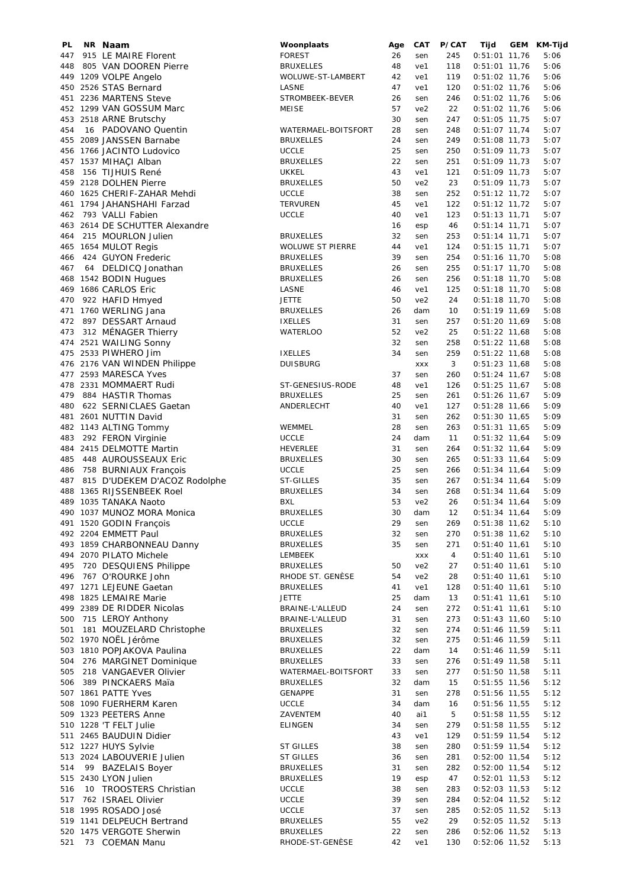| PL  | NR Naam                                                   | Woonplaats                           | Age      | CAT               | P/CAT      | Tijd                               | GEM KM-Tijd  |
|-----|-----------------------------------------------------------|--------------------------------------|----------|-------------------|------------|------------------------------------|--------------|
| 447 | 915 LE MAIRE Florent                                      | <b>FOREST</b>                        | 26       | sen               | 245        | $0:51:01$ 11,76                    | 5:06         |
| 448 | 805 VAN DOOREN Pierre                                     | <b>BRUXELLES</b>                     | 48       | ve1               | 118        | $0:51:01$ 11,76                    | 5:06         |
|     | 449 1209 VOLPE Angelo                                     | WOLUWE-ST-LAMBERT                    | 42       | ve1               | 119        | $0:51:02$ 11,76                    | 5:06         |
|     | 450 2526 STAS Bernard<br>451 2236 MARTENS Steve           | LASNE<br>STROMBEEK-BEVER             | 47<br>26 | ve1<br>sen        | 120<br>246 | $0:51:02$ 11,76<br>$0:51:02$ 11,76 | 5:06<br>5:06 |
|     | 452 1299 VAN GOSSUM Marc                                  | <b>MEISE</b>                         | 57       | ve <sub>2</sub>   | 22         | $0:51:02$ 11,76                    | 5:06         |
|     | 453 2518 ARNE Brutschy                                    |                                      | 30       | sen               | 247        | $0:51:05$ 11,75                    | 5:07         |
| 454 | 16 PADOVANO Quentin                                       | WATERMAEL-BOITSFORT                  | 28       | sen               | 248        | $0:51:07$ 11,74                    | 5:07         |
|     | 455 2089 JANSSEN Barnabe                                  | <b>BRUXELLES</b>                     | 24       | sen               | 249        | $0:51:08$ 11,73                    | 5:07         |
|     | 456 1766 JACINTO Ludovico                                 | <b>UCCLE</b>                         | 25       | sen               | 250        | $0:51:09$ 11,73                    | 5:07         |
|     | 457 1537 MIHACI Alban                                     | <b>BRUXELLES</b>                     | 22       | sen               | 251        | $0:51:09$ 11,73                    | 5:07         |
| 458 | 156 TIJHUIS René                                          | <b>UKKEL</b>                         | 43       | ve1               | 121        | $0:51:09$ 11,73                    | 5:07         |
|     | 459 2128 DOLHEN Pierre                                    | <b>BRUXELLES</b>                     | 50       | ve2               | 23         | $0:51:09$ 11,73                    | 5:07         |
|     | 460 1625 CHERIF-ZAHAR Mehdi<br>461 1794 JAHANSHAHI Farzad | <b>UCCLE</b><br><b>TERVUREN</b>      | 38<br>45 | sen<br>ve1        | 252<br>122 | $0:51:12$ 11,72<br>$0:51:12$ 11,72 | 5:07<br>5:07 |
| 462 | 793 VALLI Fabien                                          | <b>UCCLE</b>                         | 40       | ve1               | 123        | $0:51:13$ 11,71                    | 5:07         |
|     | 463 2614 DE SCHUTTER Alexandre                            |                                      | 16       | esp               | 46         | $0:51:14$ 11,71                    | 5:07         |
| 464 | 215 MOURLON Julien                                        | <b>BRUXELLES</b>                     | 32       | sen               | 253        | $0:51:14$ 11,71                    | 5:07         |
|     | 465 1654 MULOT Regis                                      | <b>WOLUWE ST PIERRE</b>              | 44       | ve1               | 124        | $0:51:15$ 11,71                    | 5:07         |
| 466 | 424 GUYON Frederic                                        | <b>BRUXELLES</b>                     | 39       | sen               | 254        | $0:51:16$ 11,70                    | 5:08         |
| 467 | 64 DELDICQ Jonathan                                       | <b>BRUXELLES</b>                     | 26       | sen               | 255        | $0:51:17$ 11,70                    | 5:08         |
|     | 468 1542 BODIN Hugues                                     | <b>BRUXELLES</b>                     | 26       | sen               | 256        | $0:51:18$ 11,70                    | 5:08         |
|     | 469 1686 CARLOS Eric                                      | LASNE                                | 46       | ve1               | 125        | $0:51:18$ 11,70                    | 5:08         |
| 470 | 922 HAFID Hmyed                                           | <b>JETTE</b>                         | 50       | ve2               | 24         | $0:51:18$ 11,70                    | 5:08         |
| 472 | 471 1760 WERLING Jana<br>897 DESSART Arnaud               | <b>BRUXELLES</b><br><b>IXELLES</b>   | 26<br>31 | dam<br>sen        | 10<br>257  | $0:51:19$ 11,69<br>$0:51:20$ 11,69 | 5:08<br>5:08 |
| 473 | 312 MÉNAGER Thierry                                       | <b>WATERLOO</b>                      | 52       | ve <sub>2</sub>   | 25         | $0:51:22$ 11,68                    | 5:08         |
|     | 474 2521 WAILING Sonny                                    |                                      | 32       | sen               | 258        | $0:51:22$ 11,68                    | 5:08         |
|     | 475 2533 PIWHERO Jim                                      | <b>IXELLES</b>                       | 34       | sen               | 259        | $0:51:22$ 11,68                    | 5:08         |
|     | 476 2176 VAN WINDEN Philippe                              | <b>DUISBURG</b>                      |          | <b>XXX</b>        | 3          | $0:51:23$ 11,68                    | 5:08         |
|     | 477 2593 MARESCA Yves                                     |                                      | 37       | sen               | 260        | $0:51:24$ 11,67                    | 5:08         |
|     | 478 2331 MOMMAERT Rudi                                    | ST-GENESIUS-RODE                     | 48       | ve1               | 126        | $0:51:25$ 11,67                    | 5:08         |
| 479 | 884 HASTIR Thomas                                         | <b>BRUXELLES</b>                     | 25       | sen               | 261        | $0:51:26$ 11,67                    | 5:09         |
| 480 | 622 SERNICLAES Gaetan                                     | ANDERLECHT                           | 40       | ve1               | 127        | $0:51:28$ 11,66                    | 5:09         |
|     | 481 2601 NUTTIN David                                     |                                      | 31       | sen               | 262        | $0:51:30$ 11,65                    | 5:09         |
| 483 | 482 1143 ALTING Tommy<br>292 FERON Virginie               | WEMMEL<br><b>UCCLE</b>               | 28<br>24 | sen<br>dam        | 263<br>11  | $0:51:31$ 11,65                    | 5:09<br>5:09 |
|     | 484 2415 DELMOTTE Martin                                  | <b>HEVERLEE</b>                      | 31       | sen               | 264        | $0:51:32$ 11,64<br>$0:51:32$ 11,64 | 5:09         |
| 485 | 448 AUROUSSEAUX Eric                                      | <b>BRUXELLES</b>                     | 30       | sen               | 265        | $0:51:33$ 11,64                    | 5:09         |
| 486 | 758 BURNIAUX François                                     | <b>UCCLE</b>                         | 25       | sen               | 266        | $0:51:34$ 11,64                    | 5:09         |
| 487 | 815 D'UDEKEM D'ACOZ Rodolphe                              | ST-GILLES                            | 35       | sen               | 267        | $0:51:34$ 11,64                    | 5:09         |
| 488 | 1365 RIJSSENBEEK Roel                                     | <b>BRUXELLES</b>                     | 34       | sen               | 268        | $0:51:34$ 11,64                    | 5:09         |
| 489 | 1035 TANAKA Naoto                                         | <b>BXL</b>                           | 53       | ve2               | 26         | $0:51:34$ 11,64                    | 5:09         |
|     | 490 1037 MUNOZ MORA Monica                                | <b>BRUXELLES</b>                     | 30       | dam               | 12         | $0:51:34$ 11,64                    | 5:09         |
|     | 491 1520 GODIN François                                   | <b>UCCLE</b>                         | 29       | sen               | 269        | $0:51:38$ 11,62                    | 5:10         |
|     | 492 2204 EMMETT Paul                                      | <b>BRUXELLES</b>                     | 32<br>35 | sen               | 270        | $0:51:38$ 11,62                    | 5:10         |
|     | 493 1859 CHARBONNEAU Danny<br>494 2070 PILATO Michele     | <b>BRUXELLES</b><br>LEMBEEK          |          | sen<br><b>XXX</b> | 271<br>4   | $0:51:40$ 11,61<br>$0:51:40$ 11,61 | 5:10<br>5:10 |
| 495 | 720 DESQUIENS Philippe                                    | <b>BRUXELLES</b>                     | 50       | ve <sub>2</sub>   | 27         | $0:51:40$ 11,61                    | 5:10         |
| 496 | 767 O'ROURKE John                                         | RHODE ST. GENÈSE                     | 54       | ve2               | 28         | $0:51:40$ 11,61                    | 5:10         |
|     | 497 1271 LEJEUNE Gaetan                                   | <b>BRUXELLES</b>                     | 41       | ve1               | 128        | $0:51:40$ 11,61                    | 5:10         |
|     | 498 1825 LEMAIRE Marie                                    | <b>JETTE</b>                         | 25       | dam               | 13         | $0:51:41$ 11,61                    | 5:10         |
|     | 499 2389 DE RIDDER Nicolas                                | BRAINE-L'ALLEUD                      | 24       | sen               | 272        | $0:51:41$ 11,61                    | 5:10         |
| 500 | 715 LEROY Anthony                                         | BRAINE-L'ALLEUD                      | 31       | sen               | 273        | $0:51:43$ 11,60                    | 5:10         |
| 501 | 181 MOUZELARD Christophe                                  | <b>BRUXELLES</b>                     | 32       | sen               | 274        | $0:51:46$ 11,59                    | 5:11         |
|     | 502 1970 NOËL Jérôme                                      | <b>BRUXELLES</b>                     | 32       | sen               | 275        | $0:51:46$ 11,59                    | 5:11         |
| 504 | 503 1810 POPJAKOVA Paulina<br>276 MARGINET Dominique      | <b>BRUXELLES</b><br><b>BRUXELLES</b> | 22<br>33 | dam<br>sen        | 14<br>276  | $0:51:46$ 11,59<br>$0:51:49$ 11,58 | 5:11<br>5:11 |
| 505 | 218 VANGAEVER Olivier                                     | WATERMAEL-BOITSFORT                  | 33       | sen               | 277        | $0:51:50$ 11,58                    | 5:11         |
| 506 | 389 PINCKAERS Maïa                                        | <b>BRUXELLES</b>                     | 32       | dam               | 15         | $0:51:55$ 11,56                    | 5:12         |
|     | 507 1861 PATTE Yves                                       | <b>GENAPPE</b>                       | 31       | sen               | 278        | $0:51:56$ 11,55                    | 5:12         |
|     | 508 1090 FUERHERM Karen                                   | <b>UCCLE</b>                         | 34       | dam               | 16         | $0:51:56$ 11,55                    | 5:12         |
|     | 509 1323 PEETERS Anne                                     | ZAVENTEM                             | 40       | ai1               | 5          | $0:51:58$ 11,55                    | 5:12         |
|     | 510 1228 'T FELT Julie                                    | <b>ELINGEN</b>                       | 34       | sen               | 279        | $0:51:58$ 11,55                    | 5:12         |
|     | 511 2465 BAUDUIN Didier                                   |                                      | 43       | ve1               | 129        | $0:51:59$ 11,54                    | 5:12         |
|     | 512 1227 HUYS Sylvie                                      | ST GILLES                            | 38       | sen               | 280        | $0:51:59$ 11,54                    | 5:12         |
| 514 | 513 2024 LABOUVERIE Julien<br>99 BAZELAIS Boyer           | <b>ST GILLES</b><br><b>BRUXELLES</b> | 36<br>31 | sen<br>sen        | 281<br>282 | $0:52:00$ 11,54<br>$0:52:00$ 11,54 | 5:12<br>5:12 |
|     | 515 2430 LYON Julien                                      | <b>BRUXELLES</b>                     | 19       | esp               | 47         | $0:52:01$ 11,53                    | 5:12         |
| 516 | 10 TROOSTERS Christian                                    | <b>UCCLE</b>                         | 38       | sen               | 283        | $0:52:03$ 11,53                    | 5:12         |
| 517 | 762 ISRAEL Olivier                                        | <b>UCCLE</b>                         | 39       | sen               | 284        | $0:52:04$ 11,52                    | 5:12         |
|     | 518 1995 ROSADO José                                      | <b>UCCLE</b>                         | 37       | sen               | 285        | $0:52:05$ 11,52                    | 5:13         |
|     | 519 1141 DELPEUCH Bertrand                                | <b>BRUXELLES</b>                     | 55       | ve <sub>2</sub>   | 29         | $0:52:05$ 11,52                    | 5:13         |
|     | 520 1475 VERGOTE Sherwin                                  | <b>BRUXELLES</b>                     | 22       | sen               | 286        | $0:52:06$ 11,52                    | 5:13         |
| 521 | 73 COEMAN Manu                                            | RHODE-ST-GENÈSE                      | 42       | ve1               | 130        | $0:52:06$ 11,52                    | 5:13         |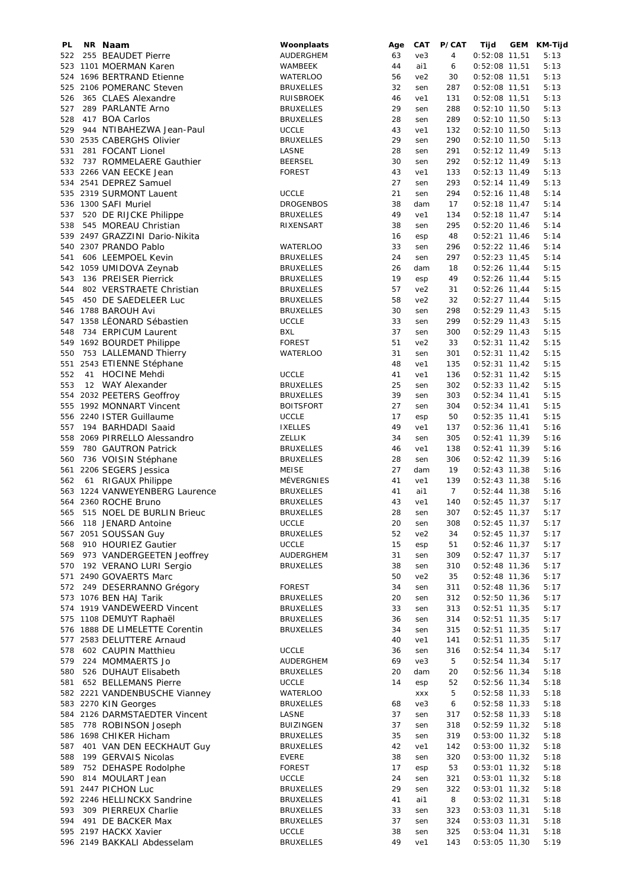| PL  | NR Naam                        | Woonplaats       | Age | CAT             | P/CAT          | Tijd            | GEM | KM-Tijd |
|-----|--------------------------------|------------------|-----|-----------------|----------------|-----------------|-----|---------|
| 522 | 255 BEAUDET Pierre             | AUDERGHEM        | 63  | ve3             | 4              | $0:52:08$ 11,51 |     | 5:13    |
|     | 523 1101 MOERMAN Karen         | WAMBEEK          | 44  | ai1             | 6              | $0:52:08$ 11,51 |     | 5:13    |
|     | 524 1696 BERTRAND Etienne      | <b>WATERLOO</b>  | 56  | ve2             | 30             | $0:52:08$ 11,51 |     | 5:13    |
|     | 525 2106 POMERANC Steven       | <b>BRUXELLES</b> | 32  | sen             | 287            | $0:52:08$ 11,51 |     | 5:13    |
| 526 | 365 CLAES Alexandre            | <b>RUISBROEK</b> | 46  | ve1             | 131            | $0:52:08$ 11,51 |     | 5:13    |
| 527 | 289 PARLANTE Arno              | <b>BRUXELLES</b> | 29  | sen             | 288            | $0:52:10$ 11,50 |     | 5:13    |
| 528 | 417 BOA Carlos                 | <b>BRUXELLES</b> | 28  | sen             | 289            | $0:52:10$ 11,50 |     | 5:13    |
| 529 | 944 NTIBAHEZWA Jean-Paul       | <b>UCCLE</b>     | 43  | ve1             | 132            | $0:52:10$ 11,50 |     | 5:13    |
|     |                                |                  |     |                 |                |                 |     |         |
|     | 530 2535 CABERGHS Olivier      | <b>BRUXELLES</b> | 29  | sen             | 290            | $0:52:10$ 11,50 |     | 5:13    |
| 531 | 281 FOCANT Lionel              | LASNE            | 28  | sen             | 291            | $0:52:12$ 11,49 |     | 5:13    |
| 532 | 737 ROMMELAERE Gauthier        | <b>BEERSEL</b>   | 30  | sen             | 292            | $0:52:12$ 11,49 |     | 5:13    |
|     | 533 2266 VAN EECKE Jean        | <b>FOREST</b>    | 43  | ve1             | 133            | $0:52:13$ 11,49 |     | 5:13    |
|     | 534 2541 DEPREZ Samuel         |                  | 27  | sen             | 293            | $0:52:14$ 11,49 |     | 5:13    |
|     | 535 2319 SURMONT Lauent        | <b>UCCLE</b>     | 21  | sen             | 294            | $0:52:16$ 11,48 |     | 5:14    |
|     | 536 1300 SAFI Muriel           | <b>DROGENBOS</b> | 38  | dam             | 17             | $0:52:18$ 11,47 |     | 5:14    |
| 537 | 520 DE RIJCKE Philippe         | <b>BRUXELLES</b> | 49  | ve1             | 134            | $0:52:18$ 11,47 |     | 5:14    |
| 538 | 545 MOREAU Christian           | RIXENSART        | 38  | sen             | 295            | $0:52:20$ 11,46 |     | 5:14    |
|     | 539 2497 GRAZZINI Dario-Nikita |                  | 16  | esp             | 48             | $0:52:21$ 11,46 |     | 5:14    |
|     |                                |                  | 33  |                 |                |                 |     |         |
|     | 540 2307 PRANDO Pablo          | <b>WATERLOO</b>  |     | sen             | 296            | $0:52:22$ 11,46 |     | 5:14    |
| 541 | 606 LEEMPOEL Kevin             | <b>BRUXELLES</b> | 24  | sen             | 297            | $0:52:23$ 11,45 |     | 5:14    |
|     | 542 1059 UMIDOVA Zeynab        | <b>BRUXELLES</b> | 26  | dam             | 18             | $0:52:26$ 11,44 |     | 5:15    |
| 543 | 136 PREISER Pierrick           | <b>BRUXELLES</b> | 19  | esp             | 49             | $0:52:26$ 11,44 |     | 5:15    |
| 544 | 802 VERSTRAETE Christian       | <b>BRUXELLES</b> | 57  | ve <sub>2</sub> | 31             | $0:52:26$ 11,44 |     | 5:15    |
| 545 | 450 DE SAEDELEER Luc           | <b>BRUXELLES</b> | 58  | ve <sub>2</sub> | 32             | $0:52:27$ 11,44 |     | 5:15    |
|     | 546 1788 BAROUH Avi            | <b>BRUXELLES</b> | 30  | sen             | 298            | $0:52:29$ 11,43 |     | 5:15    |
|     | 547 1358 LÉONARD Sébastien     | <b>UCCLE</b>     | 33  | sen             | 299            | $0:52:29$ 11,43 |     | 5:15    |
| 548 | 734 ERPICUM Laurent            | BXL              | 37  | sen             | 300            | $0:52:29$ 11,43 |     | 5:15    |
|     | 549 1692 BOURDET Philippe      | <b>FOREST</b>    | 51  | ve2             | 33             | $0:52:31$ 11,42 |     | 5:15    |
|     |                                |                  | 31  |                 |                |                 |     |         |
| 550 | 753 LALLEMAND Thierry          | <b>WATERLOO</b>  |     | sen             | 301            | $0:52:31$ 11,42 |     | 5:15    |
|     | 551 2543 ETIENNE Stéphane      |                  | 48  | ve1             | 135            | $0:52:31$ 11,42 |     | 5:15    |
| 552 | 41 HOCINE Mehdi                | <b>UCCLE</b>     | 41  | ve1             | 136            | $0:52:31$ 11,42 |     | 5:15    |
| 553 | 12 WAY Alexander               | <b>BRUXELLES</b> | 25  | sen             | 302            | $0:52:33$ 11,42 |     | 5:15    |
|     | 554 2032 PEETERS Geoffroy      | <b>BRUXELLES</b> | 39  | sen             | 303            | $0:52:34$ 11,41 |     | 5:15    |
|     | 555 1992 MONNART Vincent       | <b>BOITSFORT</b> | 27  | sen             | 304            | $0:52:34$ 11,41 |     | 5:15    |
|     | 556 2240 ISTER Guillaume       | <b>UCCLE</b>     | 17  | esp             | 50             | $0:52:35$ 11,41 |     | 5:15    |
| 557 | 194 BARHDADI Saaid             | <b>IXELLES</b>   | 49  | ve1             | 137            | $0:52:36$ 11,41 |     | 5:16    |
|     | 558 2069 PIRRELLO Alessandro   | <b>ZELLIK</b>    | 34  | sen             | 305            | $0:52:41$ 11,39 |     | 5:16    |
| 559 | 780 GAUTRON Patrick            | <b>BRUXELLES</b> | 46  | ve1             | 138            | $0:52:41$ 11,39 |     | 5:16    |
|     |                                |                  |     |                 |                |                 |     |         |
| 560 | 736 VOISIN Stéphane            | <b>BRUXELLES</b> | 28  | sen             | 306            | $0:52:42$ 11,39 |     | 5:16    |
|     | 561 2206 SEGERS Jessica        | <b>MEISE</b>     | 27  | dam             | 19             | $0:52:43$ 11,38 |     | 5:16    |
| 562 | 61 RIGAUX Philippe             | MÉVERGNIES       | 41  | ve1             | 139            | $0:52:43$ 11,38 |     | 5:16    |
|     | 563 1224 VANWEYENBERG Laurence | <b>BRUXELLES</b> | 41  | ai1             | $\overline{7}$ | $0:52:44$ 11,38 |     | 5:16    |
|     | 564 2360 ROCHE Bruno           | <b>BRUXELLES</b> | 43  | ve1             | 140            | $0:52:45$ 11,37 |     | 5:17    |
|     | 565 515 NOEL DE BURLIN Brieuc  | <b>BRUXELLES</b> | 28  | sen             | 307            | $0:52:45$ 11,37 |     | 5:17    |
|     | 566 118 JENARD Antoine         | <b>UCCLE</b>     | 20  | sen             | 308            | $0:52:45$ 11,37 |     | 5:17    |
|     | 567 2051 SOUSSAN Guy           | <b>BRUXELLES</b> | 52  | ve2             | 34             | $0:52:45$ 11,37 |     | 5:17    |
|     | 568 910 HOURIEZ Gautier        | <b>UCCLE</b>     | 15  | esp             | 51             | $0:52:46$ 11,37 |     | 5:17    |
| 569 | 973 VANDERGEETEN Jeoffrey      | AUDERGHEM        | 31  | sen             | 309            | $0:52:47$ 11,37 |     | 5:17    |
|     |                                |                  |     |                 |                |                 |     |         |
|     | 570 192 VERANO LURI Sergio     | <b>BRUXELLES</b> | 38  | sen             | 310            | $0:52:48$ 11,36 |     | 5:17    |
|     | 571 2490 GOVAERTS Marc         |                  | 50  | ve2             | 35             | $0:52:48$ 11,36 |     | 5:17    |
|     | 572 249 DESERRANNO Grégory     | <b>FOREST</b>    | 34  | sen             | 311            | $0:52:48$ 11,36 |     | 5:17    |
|     | 573 1076 BEN HAJ Tarik         | <b>BRUXELLES</b> | 20  | sen             | 312            | $0:52:50$ 11,36 |     | 5:17    |
|     | 574 1919 VANDEWEERD Vincent    | <b>BRUXELLES</b> | 33  | sen             | 313            | $0:52:51$ 11,35 |     | 5:17    |
|     | 575 1108 DEMUYT Raphaël        | <b>BRUXELLES</b> | 36  | sen             | 314            | $0:52:51$ 11,35 |     | 5:17    |
|     | 576 1888 DE LIMELETTE Corentin | <b>BRUXELLES</b> | 34  | sen             | 315            | $0:52:51$ 11,35 |     | 5:17    |
|     | 577 2583 DELUTTERE Arnaud      |                  | 40  | ve1             | 141            | $0:52:51$ 11,35 |     | 5:17    |
| 578 | 602 CAUPIN Matthieu            | <b>UCCLE</b>     | 36  | sen             | 316            | $0:52:54$ 11,34 |     | 5:17    |
| 579 | 224 MOMMAERTS Jo               | AUDERGHEM        | 69  | ve3             | 5              | $0:52:54$ 11,34 |     | 5:17    |
| 580 | 526 DUHAUT Elisabeth           | <b>BRUXELLES</b> | 20  | dam             | 20             | $0:52:56$ 11,34 |     |         |
|     |                                |                  |     |                 |                |                 |     | 5:18    |
| 581 | 652 BELLEMANS Pierre           | <b>UCCLE</b>     | 14  | esp             | 52             | $0:52:56$ 11,34 |     | 5:18    |
|     | 582 2221 VANDENBUSCHE Vianney  | WATERLOO         |     | <b>XXX</b>      | 5              | $0:52:58$ 11,33 |     | 5:18    |
|     | 583 2270 KIN Georges           | <b>BRUXELLES</b> | 68  | ve3             | 6              | $0:52:58$ 11,33 |     | 5:18    |
|     | 584 2126 DARMSTAEDTER Vincent  | LASNE            | 37  | sen             | 317            | $0:52:58$ 11,33 |     | 5:18    |
|     | 585 778 ROBINSON Joseph        | <b>BUIZINGEN</b> | 37  | sen             | 318            | $0:52:59$ 11,32 |     | 5:18    |
|     | 586 1698 CHIKER Hicham         | <b>BRUXELLES</b> | 35  | sen             | 319            | $0:53:00$ 11,32 |     | 5:18    |
| 587 | 401 VAN DEN EECKHAUT Guy       | <b>BRUXELLES</b> | 42  | ve1             | 142            | $0:53:00$ 11,32 |     | 5:18    |
| 588 | 199 GERVAIS Nicolas            | <b>EVERE</b>     | 38  | sen             | 320            | $0:53:00$ 11,32 |     | 5:18    |
| 589 | 752 DEHASPE Rodolphe           | <b>FOREST</b>    | 17  | esp             | 53             | $0:53:01$ 11,32 |     | 5:18    |
| 590 | 814 MOULART Jean               | <b>UCCLE</b>     | 24  | sen             | 321            | $0:53:01$ 11,32 |     | 5:18    |
|     |                                |                  | 29  |                 |                |                 |     |         |
|     | 591 2447 PICHON Luc            | <b>BRUXELLES</b> |     | sen             | 322            | $0:53:01$ 11,32 |     | 5:18    |
|     | 592 2246 HELLINCKX Sandrine    | <b>BRUXELLES</b> | 41  | ai1             | 8              | $0:53:02$ 11,31 |     | 5:18    |
|     | 593 309 PIERREUX Charlie       | <b>BRUXELLES</b> | 33  | sen             | 323            | $0:53:03$ 11,31 |     | 5:18    |
|     | 594 491 DE BACKER Max          | <b>BRUXELLES</b> | 37  | sen             | 324            | $0:53:03$ 11,31 |     | 5:18    |
|     | 595 2197 HACKX Xavier          | <b>UCCLE</b>     | 38  | sen             | 325            | $0:53:04$ 11,31 |     | 5:18    |
|     | 596 2149 BAKKALI Abdesselam    | <b>BRUXELLES</b> | 49  | ve1             | 143            | $0:53:05$ 11,30 |     | 5:19    |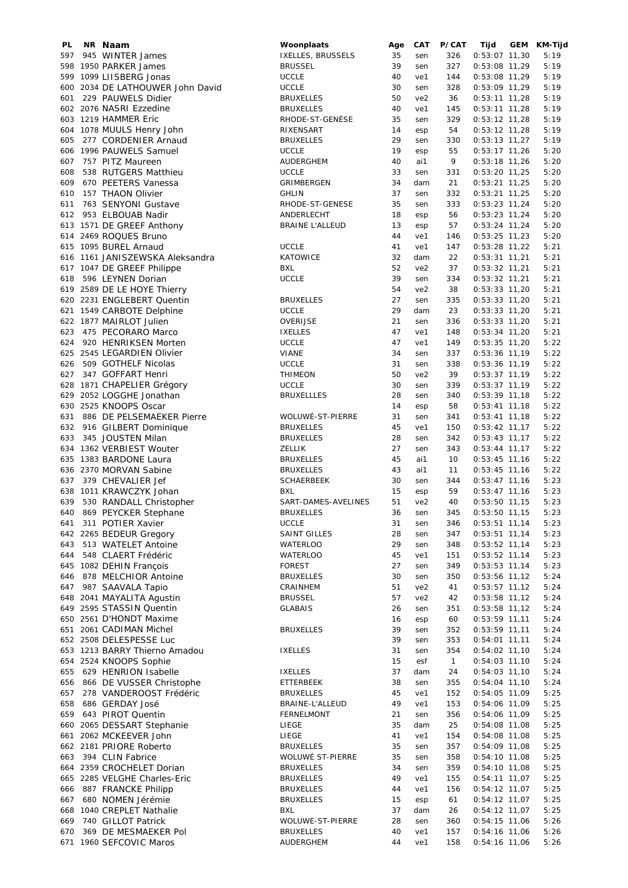| PL  | NR Naam                          | Woonplaats             | Age | CAT             | P/CAT        | Tijd            | GEM | KM-Tijd |
|-----|----------------------------------|------------------------|-----|-----------------|--------------|-----------------|-----|---------|
| 597 | 945 WINTER James                 | IXELLES, BRUSSELS      | 35  | sen             | 326          | $0:53:07$ 11,30 |     | 5:19    |
|     | 598 1950 PARKER James            | <b>BRUSSEL</b>         | 39  | sen             | 327          | $0:53:08$ 11,29 |     | 5:19    |
|     | 599 1099 LIISBERG Jonas          | <b>UCCLE</b>           | 40  | ve1             | 144          | 0:53:08 11,29   |     | 5:19    |
|     | 600 2034 DE LATHOUWER John David | <b>UCCLE</b>           | 30  | sen             | 328          | $0:53:09$ 11,29 |     | 5:19    |
| 601 | 229 PAUWELS Didier               | <b>BRUXELLES</b>       | 50  | ve <sub>2</sub> | 36           |                 |     |         |
|     |                                  |                        |     |                 |              | $0:53:11$ 11,28 |     | 5:19    |
|     | 602 2076 NASRI Ezzedine          | <b>BRUXELLES</b>       | 40  | ve1             | 145          | $0:53:11$ 11,28 |     | 5:19    |
|     | 603 1219 HAMMER Eric             | RHODE-ST-GENESE        | 35  | sen             | 329          | $0:53:12$ 11,28 |     | 5:19    |
|     | 604 1078 MUULS Henry John        | RIXENSART              | 14  | esp             | 54           | $0:53:12$ 11,28 |     | 5:19    |
| 605 | 277 CORDENIER Arnaud             | <b>BRUXELLES</b>       | 29  | sen             | 330          | $0:53:13$ 11,27 |     | 5:19    |
|     | 606 1996 PAUWELS Samuel          | <b>UCCLE</b>           | 19  | esp             | 55           | $0:53:17$ 11,26 |     | 5:20    |
| 607 | 757 PITZ Maureen                 | AUDERGHEM              | 40  | ai1             | 9            | $0:53:18$ 11,26 |     | 5:20    |
| 608 | 538 RUTGERS Matthieu             | <b>UCCLE</b>           | 33  |                 | 331          |                 |     | 5:20    |
|     |                                  |                        |     | sen             |              | $0:53:20$ 11,25 |     |         |
| 609 | 670 PEETERS Vanessa              | GRIMBERGEN             | 34  | dam             | 21           | $0:53:21$ 11,25 |     | 5:20    |
| 610 | 157 THAON Olivier                | <b>GHLIN</b>           | 37  | sen             | 332          | $0:53:21$ 11,25 |     | 5:20    |
| 611 | 763 SENYONI Gustave              | RHODE-ST-GENESE        | 35  | sen             | 333          | $0:53:23$ 11,24 |     | 5:20    |
| 612 | 953 ELBOUAB Nadir                | ANDERLECHT             | 18  | esp             | 56           | $0:53:23$ 11,24 |     | 5:20    |
|     | 613 1571 DE GREEF Anthony        | <b>BRAINE L'ALLEUD</b> | 13  | esp             | 57           | $0:53:24$ 11,24 |     | 5:20    |
|     | 614 2469 ROQUES Bruno            |                        | 44  | ve1             | 146          | $0:53:25$ 11,23 |     | 5:20    |
|     | 615 1095 BUREL Arnaud            | <b>UCCLE</b>           | 41  | ve1             | 147          | $0:53:28$ 11,22 |     | 5:21    |
|     | 616 1161 JANISZEWSKA Aleksandra  | KATOWICE               | 32  | dam             | 22           | $0:53:31$ 11,21 |     | 5:21    |
|     |                                  |                        |     |                 |              |                 |     |         |
|     | 617 1047 DE GREEF Philippe       | <b>BXL</b>             | 52  | ve <sub>2</sub> | 37           | $0:53:32$ 11,21 |     | 5:21    |
| 618 | 596 LEYNEN Dorian                | <b>UCCLE</b>           | 39  | sen             | 334          | $0:53:32$ 11,21 |     | 5:21    |
|     | 619 2589 DE LE HOYE Thierry      |                        | 54  | ve <sub>2</sub> | 38           | $0:53:33$ 11,20 |     | 5:21    |
|     | 620 2231 ENGLEBERT Quentin       | <b>BRUXELLES</b>       | 27  | sen             | 335          | $0:53:33$ 11,20 |     | 5:21    |
|     | 621 1549 CARBOTE Delphine        | <b>UCCLE</b>           | 29  | dam             | 23           | $0:53:33$ 11,20 |     | 5:21    |
|     | 622 1877 MAIRLOT Julien          | OVERIJSE               | 21  | sen             | 336          | $0:53:33$ 11,20 |     | 5:21    |
|     | 623 475 PECORARO Marco           | <b>IXELLES</b>         | 47  | ve1             | 148          | $0:53:34$ 11,20 |     | 5:21    |
| 624 | 920 HENRIKSEN Morten             | <b>UCCLE</b>           | 47  | ve1             | 149          | $0:53:35$ 11,20 |     | 5:22    |
|     |                                  |                        |     |                 |              |                 |     |         |
|     | 625 2545 LEGARDIEN Olivier       | <b>VIANE</b>           | 34  | sen             | 337          | $0:53:36$ 11,19 |     | 5:22    |
| 626 | 509 GOTHELF Nicolas              | <b>UCCLE</b>           | 31  | sen             | 338          | $0:53:36$ 11,19 |     | 5:22    |
|     | 627 347 GOFFART Henri            | <b>THIMEON</b>         | 50  | ve <sub>2</sub> | 39           | $0:53:37$ 11,19 |     | 5:22    |
|     | 628 1871 CHAPELIER Grégory       | <b>UCCLE</b>           | 30  | sen             | 339          | $0:53:37$ 11,19 |     | 5:22    |
|     | 629 2052 LOGGHE Jonathan         | <b>BRUXELLLES</b>      | 28  | sen             | 340          | $0:53:39$ 11,18 |     | 5:22    |
|     | 630 2525 KNOOPS Oscar            |                        | 14  | esp             | 58           | $0:53:41$ 11,18 |     | 5:22    |
| 631 | 886 DE PELSEMAEKER Pierre        | WOLUWÉ-ST-PIERRE       | 31  | sen             | 341          | $0:53:41$ 11,18 |     | 5:22    |
| 632 | 916 GILBERT Dominique            | <b>BRUXELLES</b>       | 45  | ve1             | 150          | $0:53:42$ 11,17 |     | 5:22    |
| 633 | 345 JOUSTEN Milan                | <b>BRUXELLES</b>       | 28  | sen             | 342          | $0:53:43$ 11,17 |     | 5:22    |
|     | 634 1362 VERBIEST Wouter         | ZELLIK                 | 27  | sen             | 343          | $0:53:44$ 11,17 |     | 5:22    |
|     |                                  |                        |     |                 |              |                 |     |         |
|     | 635 1383 BARDONE Laura           | <b>BRUXELLES</b>       | 45  | ai1             | 10           | $0:53:45$ 11,16 |     | 5:22    |
|     | 636 2370 MORVAN Sabine           | <b>BRUXELLES</b>       | 43  | ai1             | 11           | $0:53:45$ 11,16 |     | 5:22    |
| 637 | 379 CHEVALIER Jef                | <b>SCHAERBEEK</b>      | 30  | sen             | 344          | $0:53:47$ 11,16 |     | 5:23    |
|     | 638 1011 KRAWCZYK Johan          | BXL                    | 15  | esp             | 59           | $0:53:47$ 11,16 |     | 5:23    |
| 639 | 530 RANDALL Christopher          | SART-DAMES-AVELINES    | 51  | ve <sub>2</sub> | 40           | $0:53:50$ 11,15 |     | 5:23    |
| 640 | 869 PEYCKER Stephane             | <b>BRUXELLES</b>       | 36  | sen             | 345          | $0:53:50$ 11,15 |     | 5:23    |
| 641 | 311 POTIER Xavier                | <b>UCCLE</b>           | 31  | sen             | 346          | $0:53:51$ 11,14 |     | 5:23    |
|     | 642 2265 BEDEUR Gregory          | SAINT GILLES           | 28  | sen             | 347          | $0:53:51$ 11,14 |     | 5:23    |
| 643 | 513 WATELET Antoine              | <b>WATERLOO</b>        | 29  | sen             | 348          | $0:53:52$ 11,14 |     | 5:23    |
| 644 | 548 CLAERT Frédéric              | <b>WATERLOO</b>        | 45  | ve1             | 151          | $0:53:52$ 11,14 |     | 5:23    |
|     | 645 1082 DEHIN Francois          | <b>FOREST</b>          | 27  |                 | 349          | $0:53:53$ 11,14 |     |         |
|     |                                  |                        |     | sen             |              |                 |     | 5:23    |
| 646 | 878 MELCHIOR Antoine             | <b>BRUXELLES</b>       | 30  | sen             | 350          | $0:53:56$ 11,12 |     | 5:24    |
| 647 | 987 SAAVALA Tapio                | CRAINHEM               | 51  | ve <sub>2</sub> | 41           | $0:53:57$ 11,12 |     | 5:24    |
|     | 648 2041 MAYALITA Agustin        | <b>BRUSSEL</b>         | 57  | ve <sub>2</sub> | 42           | $0:53:58$ 11,12 |     | 5:24    |
|     | 649 2595 STASSIN Quentin         | <b>GLABAIS</b>         | 26  | sen             | 351          | $0:53:58$ 11,12 |     | 5:24    |
|     | 650 2561 D'HONDT Maxime          |                        | 16  | esp             | 60           | $0:53:59$ 11,11 |     | 5:24    |
|     | 651 2061 CADIMAN Michel          | <b>BRUXELLES</b>       | 39  | sen             | 352          | $0:53:59$ 11,11 |     | 5:24    |
|     | 652 2508 DELESPESSE Luc          |                        | 39  | sen             | 353          | $0:54:01$ 11,11 |     | 5:24    |
|     | 653 1213 BARRY Thierno Amadou    | <b>IXELLES</b>         | 31  | sen             | 354          | $0:54:02$ 11,10 |     | 5:24    |
|     | 654 2524 KNOOPS Sophie           |                        | 15  | esf             | $\mathbf{1}$ | $0:54:03$ 11,10 |     | 5:24    |
|     |                                  |                        |     |                 |              |                 |     |         |
| 655 | 629 HENRION Isabelle             | <b>IXELLES</b>         | 37  | dam             | 24           | $0:54:03$ 11,10 |     | 5:24    |
| 656 | 866 DE VUSSER Christophe         | ETTERBEEK              | 38  | sen             | 355          | $0:54:04$ 11,10 |     | 5:24    |
| 657 | 278 VANDEROOST Frédéric          | <b>BRUXELLES</b>       | 45  | ve1             | 152          | $0:54:05$ 11,09 |     | 5:25    |
| 658 | 686 GERDAY José                  | BRAINE-L'ALLEUD        | 49  | ve1             | 153          | 0:54:06 11,09   |     | 5:25    |
| 659 | 643 PIROT Quentin                | <b>FERNELMONT</b>      | 21  | sen             | 356          | 0:54:06 11,09   |     | 5:25    |
|     | 660 2065 DESSART Stephanie       | LIEGE                  | 35  | dam             | 25           | $0:54:08$ 11,08 |     | 5:25    |
|     | 661 2062 MCKEEVER John           | LIEGE                  | 41  | ve1             | 154          | $0:54:08$ 11,08 |     | 5:25    |
|     | 662 2181 PRIORE Roberto          | <b>BRUXELLES</b>       | 35  | sen             | 357          | $0:54:09$ 11,08 |     | 5:25    |
| 663 | 394 CLIN Fabrice                 | WOLUWÉ ST-PIERRE       | 35  | sen             | 358          | $0:54:10$ 11,08 |     | 5:25    |
|     | 664 2359 CROCHELET Dorian        | <b>BRUXELLES</b>       | 34  | sen             | 359          | $0:54:10$ 11,08 |     | 5:25    |
|     | 665 2285 VELGHE Charles-Eric     | <b>BRUXELLES</b>       | 49  | ve1             | 155          | $0:54:11$ 11,07 |     | 5:25    |
|     |                                  |                        |     |                 |              |                 |     |         |
| 666 | 887 FRANCKE Philipp              | BRUXELLES              | 44  | ve1             | 156          | $0:54:12$ 11,07 |     | 5:25    |
| 667 | 680 NOMEN Jérémie                | BRUXELLES              | 15  | esp             | 61           | $0:54:12$ 11,07 |     | 5:25    |
|     | 668 1040 CREPLET Nathalie        | <b>BXL</b>             | 37  | dam             | 26           | $0:54:12$ 11,07 |     | 5:25    |
| 669 | 740 GILLOT Patrick               | WOLUWE-ST-PIERRE       | 28  | sen             | 360          | $0:54:15$ 11,06 |     | 5:26    |
| 670 | 369 DE MESMAEKER Pol             | <b>BRUXELLES</b>       | 40  | ve1             | 157          | $0:54:16$ 11,06 |     | 5:26    |
|     | 671 1960 SEFCOVIC Maros          | AUDERGHEM              | 44  | ve1             | 158          | $0:54:16$ 11,06 |     | 5:26    |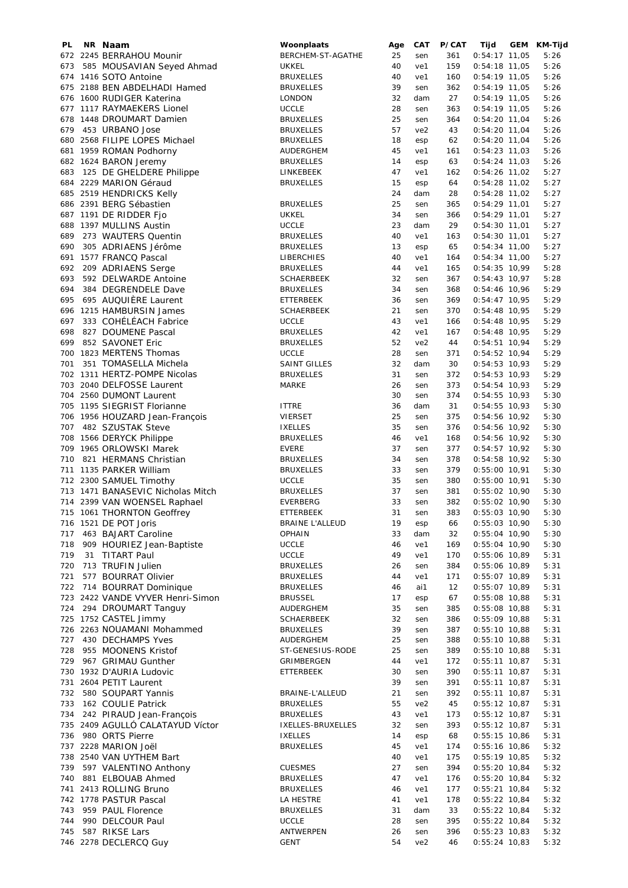| PL  | NR Naam                           | Woonplaats             | Age | <b>CAT</b>      | P/CAT | Tijd            | GEM KM-Tijd |
|-----|-----------------------------------|------------------------|-----|-----------------|-------|-----------------|-------------|
|     | 672 2245 BERRAHOU Mounir          | BERCHEM-ST-AGATHE      | 25  | sen             | 361   | $0:54:17$ 11,05 | 5:26        |
| 673 | 585 MOUSAVIAN Seyed Ahmad         | <b>UKKEL</b>           | 40  | ve1             | 159   | $0:54:18$ 11,05 | 5:26        |
|     | 674 1416 SOTO Antoine             | <b>BRUXELLES</b>       | 40  | ve1             | 160   | $0:54:19$ 11,05 | 5:26        |
|     | 675 2188 BEN ABDELHADI Hamed      | <b>BRUXELLES</b>       | 39  | sen             | 362   | $0:54:19$ 11,05 | 5:26        |
|     | 676 1600 RUDIGER Katerina         | <b>LONDON</b>          | 32  | dam             | 27    | $0:54:19$ 11,05 | 5:26        |
|     | 677 1117 RAYMAEKERS Lionel        | <b>UCCLE</b>           | 28  | sen             | 363   | $0:54:19$ 11,05 | 5:26        |
|     | 678 1448 DROUMART Damien          | <b>BRUXELLES</b>       | 25  | sen             | 364   | $0:54:20$ 11,04 | 5:26        |
|     |                                   | <b>BRUXELLES</b>       | 57  | ve <sub>2</sub> | 43    | $0:54:20$ 11,04 | 5:26        |
|     | 679 453 URBANO Jose               |                        |     |                 |       |                 |             |
|     | 680 2568 FILIPE LOPES Michael     | <b>BRUXELLES</b>       | 18  | esp             | 62    | $0:54:20$ 11,04 | 5:26        |
|     | 681 1959 ROMAN Podhorny           | AUDERGHEM              | 45  | ve1             | 161   | $0:54:23$ 11,03 | 5:26        |
|     | 682 1624 BARON Jeremy             | <b>BRUXELLES</b>       | 14  | esp             | 63    | $0:54:24$ 11,03 | 5:26        |
|     | 683 125 DE GHELDERE Philippe      | LINKEBEEK              | 47  | ve1             | 162   | $0:54:26$ 11,02 | 5:27        |
|     | 684 2229 MARION Géraud            | <b>BRUXELLES</b>       | 15  | esp             | 64    | $0:54:28$ 11,02 | 5:27        |
|     | 685 2519 HENDRICKS Kelly          |                        | 24  | dam             | 28    | $0:54:28$ 11,02 | 5:27        |
|     | 686 2391 BERG Sébastien           | <b>BRUXELLES</b>       | 25  | sen             | 365   | $0:54:29$ 11,01 | 5:27        |
|     | 687 1191 DE RIDDER Fjo            | <b>UKKEL</b>           | 34  | sen             | 366   | $0:54:29$ 11,01 | 5:27        |
|     | 688 1397 MULLINS Austin           | <b>UCCLE</b>           | 23  | dam             | 29    | $0:54:30$ 11,01 | 5:27        |
| 689 | 273 WAUTERS Quentin               | <b>BRUXELLES</b>       | 40  | ve1             | 163   | $0:54:30$ 11,01 | 5:27        |
| 690 | 305 ADRIAENS Jérôme               | <b>BRUXELLES</b>       | 13  |                 | 65    | $0:54:34$ 11,00 | 5:27        |
|     |                                   |                        |     | esp             |       |                 |             |
|     | 691 1577 FRANCQ Pascal            | LIBERCHIES             | 40  | ve1             | 164   | $0:54:34$ 11,00 | 5:27        |
| 692 | 209 ADRIAENS Serge                | <b>BRUXELLES</b>       | 44  | ve1             | 165   | $0:54:35$ 10,99 | 5:28        |
| 693 | 592 DELWARDE Antoine              | <b>SCHAERBEEK</b>      | 32  | sen             | 367   | $0:54:43$ 10,97 | 5:28        |
| 694 | 384 DEGRENDELE Dave               | <b>BRUXELLES</b>       | 34  | sen             | 368   | $0:54:46$ 10,96 | 5:29        |
| 695 | 695 AUQUIÈRE Laurent              | <b>ETTERBEEK</b>       | 36  | sen             | 369   | $0:54:47$ 10,95 | 5:29        |
|     | 696 1215 HAMBURSIN James          | <b>SCHAERBEEK</b>      | 21  | sen             | 370   | $0:54:48$ 10,95 | 5:29        |
| 697 | 333 COHÉLÉACH Fabrice             | <b>UCCLE</b>           | 43  | ve1             | 166   | $0:54:48$ 10,95 | 5:29        |
|     | 698 827 DOUMENE Pascal            | <b>BRUXELLES</b>       | 42  | ve1             | 167   | $0:54:48$ 10,95 | 5:29        |
| 699 | 852 SAVONET Eric                  | <b>BRUXELLES</b>       | 52  | ve <sub>2</sub> | 44    | $0:54:51$ 10,94 | 5:29        |
|     | 700 1823 MERTENS Thomas           | <b>UCCLE</b>           | 28  | sen             | 371   | $0:54:52$ 10,94 | 5:29        |
| 701 | 351 TOMASELLA Michela             |                        | 32  |                 | 30    |                 | 5:29        |
|     |                                   | SAINT GILLES           |     | dam             |       | $0:54:53$ 10,93 |             |
|     | 702 1311 HERTZ-POMPE Nicolas      | <b>BRUXELLES</b>       | 31  | sen             | 372   | $0:54:53$ 10,93 | 5:29        |
|     | 703 2040 DELFOSSE Laurent         | MARKE                  | 26  | sen             | 373   | $0:54:54$ 10,93 | 5:29        |
|     | 704 2560 DUMONT Laurent           |                        | 30  | sen             | 374   | $0:54:55$ 10,93 | 5:30        |
|     | 705 1195 SIEGRIST Florianne       | <b>ITTRE</b>           | 36  | dam             | 31    | $0:54:55$ 10,93 | 5:30        |
|     | 706 1956 HOUZARD Jean-François    | <b>VIERSET</b>         | 25  | sen             | 375   | $0:54:56$ 10,92 | 5:30        |
| 707 | 482 SZUSTAK Steve                 | <b>IXELLES</b>         | 35  | sen             | 376   | $0:54:56$ 10,92 | 5:30        |
|     | 708 1566 DERYCK Philippe          | <b>BRUXELLES</b>       | 46  | ve1             | 168   | 0:54:56 10,92   | 5:30        |
|     | 709 1965 ORLOWSKI Marek           | <b>EVERE</b>           | 37  | sen             | 377   | $0:54:57$ 10,92 | 5:30        |
| 710 | 821 HERMANS Christian             | <b>BRUXELLES</b>       | 34  | sen             | 378   | $0:54:58$ 10,92 | 5:30        |
|     | 711 1135 PARKER William           | <b>BRUXELLES</b>       | 33  | sen             | 379   | $0:55:00$ 10,91 | 5:30        |
|     | 712 2300 SAMUEL Timothy           | <b>UCCLE</b>           | 35  | sen             | 380   | $0:55:00$ 10,91 | 5:30        |
|     |                                   |                        |     |                 |       |                 |             |
|     | 713 1471 BANASEVIC Nicholas Mitch | <b>BRUXELLES</b>       | 37  | sen             | 381   | $0:55:02$ 10,90 | 5:30        |
|     | 714 2399 VAN WOENSEL Raphael      | <b>EVERBERG</b>        | 33  | sen             | 382   | $0:55:02$ 10,90 | 5:30        |
|     | 715 1061 THORNTON Geoffrey        | ETTERBEEK              | 31  | sen             | 383   | $0:55:03$ 10,90 | 5:30        |
|     | 716 1521 DE POT Joris             | <b>BRAINE L'ALLEUD</b> | 19  | esp             | 66    | $0:55:03$ 10,90 | 5:30        |
| 717 | 463 BAJART Caroline               | OPHAIN                 | 33  | dam             | 32    | $0:55:04$ 10,90 | 5:30        |
| 718 | 909 HOURIEZ Jean-Baptiste         | <b>UCCLE</b>           | 46  | ve1             | 169   | $0:55:04$ 10,90 | 5:30        |
| 719 | 31 TITART Paul                    | <b>UCCLE</b>           | 49  | ve1             | 170   | $0:55:06$ 10,89 | 5:31        |
| 720 | 713 TRUFIN Julien                 | <b>BRUXELLES</b>       | 26  | sen             | 384   | $0:55:06$ 10,89 | 5:31        |
| 721 | 577 BOURRAT Olivier               | <b>BRUXELLES</b>       | 44  | ve1             | 171   | $0:55:07$ 10,89 | 5:31        |
| 722 | 714 BOURRAT Dominique             | <b>BRUXELLES</b>       | 46  | ai1             | 12    | $0:55:07$ 10,89 | 5:31        |
|     | 723 2422 VANDE VYVER Henri-Simon  | <b>BRUSSEL</b>         | 17  | esp             | 67    | $0:55:08$ 10,88 | 5:31        |
| 724 | 294 DROUMART Tanguy               | AUDERGHEM              | 35  | sen             | 385   | $0:55:08$ 10,88 | 5:31        |
|     | 725 1752 CASTEL Jimmy             |                        | 32  |                 | 386   | $0:55:09$ 10,88 |             |
|     |                                   | SCHAERBEEK             |     | sen             |       |                 | 5:31        |
|     | 726 2263 NOUAMANI Mohammed        | <b>BRUXELLES</b>       | 39  | sen             | 387   | $0:55:10$ 10,88 | 5:31        |
| 727 | 430 DECHAMPS Yves                 | AUDERGHEM              | 25  | sen             | 388   | $0:55:10$ 10,88 | 5:31        |
| 728 | 955 MOONENS Kristof               | ST-GENESIUS-RODE       | 25  | sen             | 389   | $0:55:10$ 10,88 | 5:31        |
| 729 | 967 GRIMAU Gunther                | GRIMBERGEN             | 44  | ve1             | 172   | $0:55:11$ 10,87 | 5:31        |
|     | 730 1932 D'AURIA Ludovic          | ETTERBEEK              | 30  | sen             | 390   | $0:55:11$ 10,87 | 5:31        |
|     | 731 2604 PETIT Laurent            |                        | 39  | sen             | 391   | $0:55:11$ 10,87 | 5:31        |
| 732 | 580 SOUPART Yannis                | BRAINE-L'ALLEUD        | 21  | sen             | 392   | $0:55:11$ 10,87 | 5:31        |
| 733 | 162 COULIE Patrick                | <b>BRUXELLES</b>       | 55  | ve <sub>2</sub> | 45    | $0:55:12$ 10,87 | 5:31        |
| 734 | 242 PIRAUD Jean-François          | <b>BRUXELLES</b>       | 43  | ve1             | 173   | $0:55:12$ 10,87 | 5:31        |
|     | 735 2409 AGULLÓ CALATAYUD Víctor  | IXELLES-BRUXELLES      | 32  | sen             | 393   | $0:55:12$ 10,87 | 5:31        |
|     | 980 ORTS Pierre                   |                        | 14  |                 |       | $0:55:15$ 10,86 | 5:31        |
| 736 |                                   | <b>IXELLES</b>         |     | esp             | 68    |                 |             |
|     | 737 2228 MARION Joël              | <b>BRUXELLES</b>       | 45  | ve1             | 174   | $0:55:16$ 10,86 | 5:32        |
|     | 738 2540 VAN UYTHEM Bart          |                        | 40  | ve1             | 175   | $0:55:19$ 10,85 | 5:32        |
| 739 | 597 VALENTINO Anthony             | <b>CUESMES</b>         | 27  | sen             | 394   | $0:55:20$ 10,84 | 5:32        |
| 740 | 881 ELBOUAB Ahmed                 | <b>BRUXELLES</b>       | 47  | ve1             | 176   | $0:55:20$ 10,84 | 5:32        |
|     | 741 2413 ROLLING Bruno            | <b>BRUXELLES</b>       | 46  | ve1             | 177   | $0:55:21$ 10,84 | 5:32        |
|     | 742 1778 PASTUR Pascal            | LA HESTRE              | 41  | ve1             | 178   | $0:55:22$ 10,84 | 5:32        |
| 743 | 959 PAUL Florence                 | <b>BRUXELLES</b>       | 31  | dam             | 33    | $0:55:22$ 10,84 | 5:32        |
| 744 | 990 DELCOUR Paul                  | <b>UCCLE</b>           | 28  | sen             | 395   | $0:55:22$ 10,84 | 5:32        |
| 745 | 587 RIKSE Lars                    | ANTWERPEN              | 26  | sen             | 396   | $0:55:23$ 10,83 | 5:32        |
|     | 746 2278 DECLERCQ Guy             | <b>GENT</b>            | 54  | ve <sub>2</sub> | 46    | $0:55:24$ 10,83 | 5:32        |
|     |                                   |                        |     |                 |       |                 |             |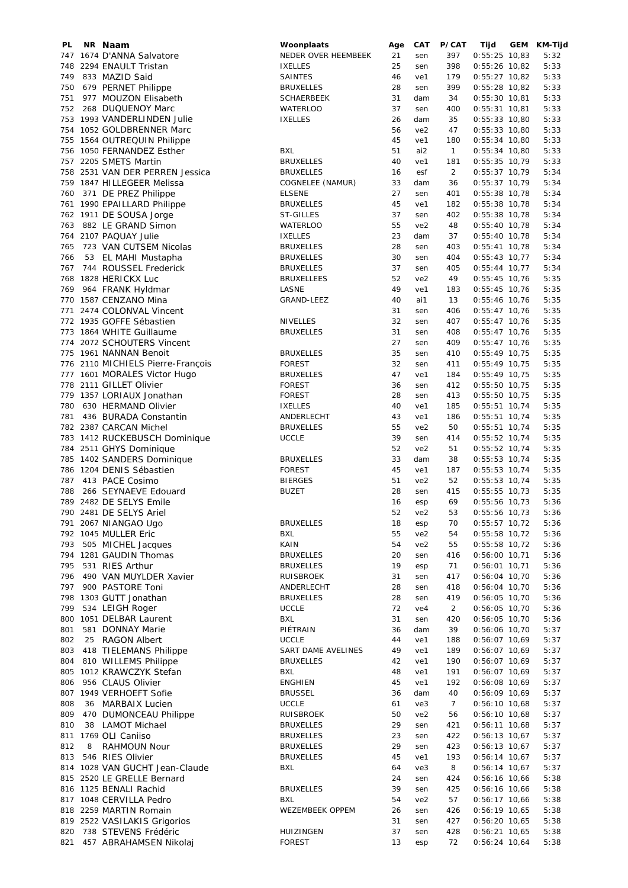| PL  |   | NR Naam                           | Woonplaats          | Age | <b>CAT</b>      | P/CAT          | Tijd            | GEM | KM-Tijd |
|-----|---|-----------------------------------|---------------------|-----|-----------------|----------------|-----------------|-----|---------|
|     |   | 747 1674 D'ANNA Salvatore         | NEDER OVER HEEMBEEK | 21  | sen             | 397            | $0:55:25$ 10,83 |     | 5:32    |
|     |   | 748 2294 ENAULT Tristan           | <b>IXELLES</b>      | 25  | sen             | 398            | $0:55:26$ 10,82 |     | 5:33    |
| 749 |   | 833 MAZID Said                    | <b>SAINTES</b>      | 46  | ve1             | 179            | $0:55:27$ 10,82 |     | 5:33    |
| 750 |   | 679 PERNET Philippe               | <b>BRUXELLES</b>    | 28  | sen             | 399            | $0:55:28$ 10,82 |     | 5:33    |
|     |   |                                   |                     |     |                 |                |                 |     |         |
| 751 |   | 977 MOUZON Elisabeth              | <b>SCHAERBEEK</b>   | 31  | dam             | 34             | $0:55:30$ 10,81 |     | 5:33    |
| 752 |   | 268 DUQUENOY Marc                 | <b>WATERLOO</b>     | 37  | sen             | 400            | $0:55:31$ 10,81 |     | 5:33    |
|     |   | 753 1993 VANDERLINDEN Julie       | <b>IXELLES</b>      | 26  | dam             | 35             | $0:55:33$ 10,80 |     | 5:33    |
|     |   | 754 1052 GOLDBRENNER Marc         |                     | 56  | ve2             | 47             | $0:55:33$ 10,80 |     | 5:33    |
|     |   | 755 1564 OUTREQUIN Philippe       |                     | 45  | ve1             | 180            | $0:55:34$ 10,80 |     | 5:33    |
|     |   | 756 1050 FERNANDEZ Esther         | BXL                 | 51  | ai2             | $\mathbf{1}$   | $0:55:34$ 10,80 |     | 5:33    |
|     |   |                                   |                     |     |                 |                |                 |     |         |
| 757 |   | 2205 SMETS Martin                 | <b>BRUXELLES</b>    | 40  | ve1             | 181            | $0:55:35$ 10,79 |     | 5:33    |
|     |   | 758 2531 VAN DER PERREN Jessica   | <b>BRUXELLES</b>    | 16  | esf             | $\overline{2}$ | $0:55:37$ 10,79 |     | 5:34    |
|     |   | 759 1847 HILLEGEER Melissa        | COGNELEE (NAMUR)    | 33  | dam             | 36             | $0:55:37$ 10,79 |     | 5:34    |
| 760 |   | 371 DE PREZ Philippe              | <b>ELSENE</b>       | 27  | sen             | 401            | $0:55:38$ 10,78 |     | 5:34    |
|     |   | 761 1990 EPAILLARD Philippe       | <b>BRUXELLES</b>    | 45  | ve1             | 182            | $0:55:38$ 10,78 |     | 5:34    |
|     |   |                                   |                     |     |                 |                |                 |     |         |
|     |   | 762 1911 DE SOUSA Jorge           | ST-GILLES           | 37  | sen             | 402            | $0:55:38$ 10,78 |     | 5:34    |
| 763 |   | 882 LE GRAND Simon                | <b>WATERLOO</b>     | 55  | ve2             | 48             | $0:55:40$ 10,78 |     | 5:34    |
|     |   | 764 2107 PAQUAY Julie             | <b>IXELLES</b>      | 23  | dam             | 37             | $0:55:40$ 10,78 |     | 5:34    |
| 765 |   | 723 VAN CUTSEM Nicolas            | <b>BRUXELLES</b>    | 28  | sen             | 403            | $0:55:41$ 10,78 |     | 5:34    |
| 766 |   | 53 EL MAHI Mustapha               | <b>BRUXELLES</b>    | 30  | sen             | 404            | $0:55:43$ 10,77 |     | 5:34    |
| 767 |   | 744 ROUSSEL Frederick             | <b>BRUXELLES</b>    | 37  | sen             | 405            | $0:55:44$ 10,77 |     | 5:34    |
|     |   |                                   |                     |     |                 |                |                 |     |         |
|     |   | 768 1828 HERICKX Luc              | <b>BRUXELLEES</b>   | 52  | ve <sub>2</sub> | 49             | $0:55:45$ 10,76 |     | 5:35    |
| 769 |   | 964 FRANK Hyldmar                 | LASNE               | 49  | ve1             | 183            | $0:55:45$ 10,76 |     | 5:35    |
|     |   | 770 1587 CENZANO Mina             | GRAND-LEEZ          | 40  | ai1             | 13             | $0:55:46$ 10,76 |     | 5:35    |
|     |   | 771 2474 COLONVAL Vincent         |                     | 31  | sen             | 406            | $0:55:47$ 10,76 |     | 5:35    |
|     |   | 772 1935 GOFFE Sébastien          | <b>NIVELLES</b>     | 32  | sen             | 407            | $0:55:47$ 10,76 |     | 5:35    |
|     |   |                                   | <b>BRUXELLES</b>    | 31  |                 | 408            |                 |     |         |
|     |   | 773 1864 WHITE Guillaume          |                     |     | sen             |                | $0:55:47$ 10,76 |     | 5:35    |
|     |   | 774 2072 SCHOUTERS Vincent        |                     | 27  | sen             | 409            | $0:55:47$ 10,76 |     | 5:35    |
|     |   | 775 1961 NANNAN Benoit            | <b>BRUXELLES</b>    | 35  | sen             | 410            | $0:55:49$ 10,75 |     | 5:35    |
|     |   | 776 2110 MICHIELS Pierre-François | <b>FOREST</b>       | 32  | sen             | 411            | $0:55:49$ 10,75 |     | 5:35    |
|     |   | 777 1601 MORALES Victor Hugo      | <b>BRUXELLES</b>    | 47  | ve1             | 184            | $0:55:49$ 10,75 |     | 5:35    |
|     |   | 778 2111 GILLET Olivier           | <b>FOREST</b>       | 36  | sen             | 412            | $0:55:50$ 10,75 |     | 5:35    |
|     |   |                                   |                     |     |                 |                |                 |     |         |
|     |   | 779 1357 LORIAUX Jonathan         | <b>FOREST</b>       | 28  | sen             | 413            | $0:55:50$ 10,75 |     | 5:35    |
| 780 |   | 630 HERMAND Olivier               | <b>IXELLES</b>      | 40  | ve1             | 185            | $0:55:51$ 10,74 |     | 5:35    |
| 781 |   | 436 BURADA Constantin             | ANDERLECHT          | 43  | ve1             | 186            | $0:55:51$ 10,74 |     | 5:35    |
|     |   | 782 2387 CARCAN Michel            | <b>BRUXELLES</b>    | 55  | ve <sub>2</sub> | 50             | $0:55:51$ 10,74 |     | 5:35    |
|     |   | 783 1412 RUCKEBUSCH Dominique     | <b>UCCLE</b>        | 39  | sen             | 414            | $0:55:52$ 10,74 |     | 5:35    |
|     |   | 784 2511 GHYS Dominique           |                     | 52  | ve2             | 51             | $0:55:52$ 10,74 |     | 5:35    |
|     |   |                                   |                     |     |                 |                |                 |     |         |
|     |   | 785 1402 SANDERS Dominique        | <b>BRUXELLES</b>    | 33  | dam             | 38             | $0:55:53$ 10,74 |     | 5:35    |
|     |   | 786 1204 DENIS Sébastien          | <b>FOREST</b>       | 45  | ve1             | 187            | $0:55:53$ 10,74 |     | 5:35    |
| 787 |   | 413 PACE Cosimo                   | <b>BIERGES</b>      | 51  | ve <sub>2</sub> | 52             | $0:55:53$ 10,74 |     | 5:35    |
| 788 |   | 266 SEYNAEVE Edouard              | <b>BUZET</b>        | 28  | sen             | 415            | $0:55:55$ 10,73 |     | 5:35    |
|     |   | 789 2482 DE SELYS Emile           |                     | 16  | esp             | 69             | $0:55:56$ 10,73 |     | 5:36    |
|     |   |                                   |                     | 52  |                 |                | $0:55:56$ 10,73 |     | 5:36    |
|     |   | 790 2481 DE SELYS Ariel           |                     |     | ve2             | 53             |                 |     |         |
|     |   | 791 2067 NIANGAO Ugo              | <b>BRUXELLES</b>    | 18  | esp             | 70             | $0:55:57$ 10,72 |     | 5:36    |
|     |   | 792 1045 MULLER Eric              | <b>BXL</b>          | 55  | ve2             | 54             | 0:55:58 10,72   |     | 5:36    |
| 793 |   | 505 MICHEL Jacques                | KAIN                | 54  | ve2             | 55             | $0:55:58$ 10,72 |     | 5:36    |
|     |   | 794 1281 GAUDIN Thomas            | <b>BRUXELLES</b>    | 20  | sen             | 416            | $0:56:00$ 10,71 |     | 5:36    |
| 795 |   | 531 RIES Arthur                   | <b>BRUXELLES</b>    | 19  | esp             | 71             | $0:56:01$ 10,71 |     | 5:36    |
|     |   |                                   |                     |     |                 |                |                 |     |         |
| 796 |   | 490 VAN MUYLDER Xavier            | RUISBROEK           | 31  | sen             | 417            | $0:56:04$ 10,70 |     | 5:36    |
| 797 |   | 900 PASTORE Toni                  | ANDERLECHT          | 28  | sen             | 418            | $0:56:04$ 10,70 |     | 5:36    |
|     |   | 798 1303 GUTT Jonathan            | <b>BRUXELLES</b>    | 28  | sen             | 419            | $0:56:05$ 10,70 |     | 5:36    |
| 799 |   | 534 LEIGH Roger                   | <b>UCCLE</b>        | 72  | ve4             | $\overline{2}$ | $0:56:05$ 10,70 |     | 5:36    |
|     |   | 800 1051 DELBAR Laurent           | BXL                 | 31  | sen             | 420            | $0:56:05$ 10,70 |     | 5:36    |
| 801 |   | 581 DONNAY Marie                  | PIÉTRAIN            | 36  | dam             | 39             | 0:56:06 10,70   |     | 5:37    |
| 802 |   | 25 RAGON Albert                   | <b>UCCLE</b>        | 44  | ve1             | 188            | $0:56:07$ 10,69 |     | 5:37    |
|     |   |                                   |                     |     |                 |                |                 |     |         |
| 803 |   | 418 TIELEMANS Philippe            | SART DAME AVELINES  | 49  | ve1             | 189            | $0:56:07$ 10,69 |     | 5:37    |
| 804 |   | 810 WILLEMS Philippe              | <b>BRUXELLES</b>    | 42  | ve1             | 190            | $0:56:07$ 10,69 |     | 5:37    |
|     |   | 805 1012 KRAWCZYK Stefan          | <b>BXL</b>          | 48  | ve1             | 191            | $0:56:07$ 10,69 |     | 5:37    |
| 806 |   | 956 CLAUS Olivier                 | <b>ENGHIEN</b>      | 45  | ve1             | 192            | $0:56:08$ 10,69 |     | 5:37    |
|     |   |                                   |                     |     |                 |                |                 |     |         |
|     |   | 807 1949 VERHOEFT Sofie           | <b>BRUSSEL</b>      | 36  | dam             | 40             | 0:56:09 10,69   |     | 5:37    |
| 808 |   | 36 MARBAIX Lucien                 | <b>UCCLE</b>        | 61  | ve3             | $\overline{7}$ | $0:56:10$ 10,68 |     | 5:37    |
| 809 |   | 470 DUMONCEAU Philippe            | RUISBROEK           | 50  | ve2             | 56             | $0:56:10$ 10,68 |     | 5:37    |
| 810 |   | 38 LAMOT Michael                  | <b>BRUXELLES</b>    | 29  | sen             | 421            | $0:56:11$ 10,68 |     | 5:37    |
|     |   | 811 1769 OLI Caniiso              | <b>BRUXELLES</b>    | 23  | sen             | 422            | $0:56:13$ 10,67 |     | 5:37    |
| 812 | 8 | RAHMOUN Nour                      | <b>BRUXELLES</b>    | 29  | sen             | 423            | $0:56:13$ 10,67 |     | 5:37    |
|     |   |                                   |                     |     |                 |                |                 |     |         |
| 813 |   | 546 RIES Olivier                  | <b>BRUXELLES</b>    | 45  | ve1             | 193            | $0:56:14$ 10,67 |     | 5:37    |
|     |   | 814 1028 VAN GUCHT Jean-Claude    | BXL                 | 64  | ve3             | 8              | $0:56:14$ 10,67 |     | 5:37    |
|     |   | 815 2520 LE GRELLE Bernard        |                     | 24  | sen             | 424            | $0:56:16$ 10,66 |     | 5:38    |
|     |   | 816 1125 BENALI Rachid            | <b>BRUXELLES</b>    | 39  | sen             | 425            | $0:56:16$ 10,66 |     | 5:38    |
|     |   | 817 1048 CERVILLA Pedro           | BXL                 | 54  | ve2             | 57             | $0:56:17$ 10,66 |     | 5:38    |
|     |   | 818 2259 MARTIN Romain            | WEZEMBEEK OPPEM     | 26  | sen             | 426            | $0:56:19$ 10,65 |     | 5:38    |
|     |   | 819 2522 VASILAKIS Grigorios      |                     | 31  | sen             | 427            | $0:56:20$ 10,65 |     | 5:38    |
|     |   |                                   |                     |     |                 |                |                 |     |         |
|     |   | 820 738 STEVENS Frédéric          | HUIZINGEN           | 37  | sen             | 428            | $0:56:21$ 10,65 |     | 5:38    |
| 821 |   | 457 ABRAHAMSEN Nikolaj            | <b>FOREST</b>       | 13  | esp             | 72             | $0:56:24$ 10,64 |     | 5:38    |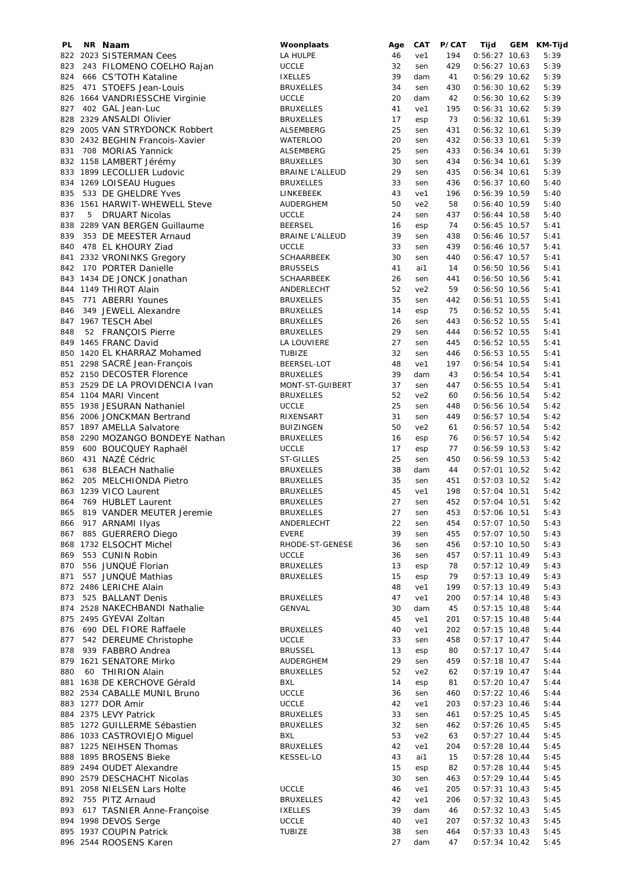| PL. |   | NR Naam                         | Woonplaats             | Age | CAT             | P/CAT | Tijd            | GEM | KM-Tijd |
|-----|---|---------------------------------|------------------------|-----|-----------------|-------|-----------------|-----|---------|
|     |   | 822 2023 SISTERMAN Cees         | LA HULPE               | 46  | ve1             | 194   | $0:56:27$ 10,63 |     | 5:39    |
| 823 |   | 243 FILOMENO COELHO Rajan       | <b>UCCLE</b>           | 32  | sen             | 429   | $0:56:27$ 10,63 |     | 5:39    |
| 824 |   | 666 CS'TOTH Kataline            | <b>IXELLES</b>         | 39  | dam             | 41    | $0:56:29$ 10,62 |     | 5:39    |
| 825 |   | 471 STOEFS Jean-Louis           | <b>BRUXELLES</b>       | 34  | sen             | 430   | $0:56:30$ 10,62 |     | 5:39    |
|     |   | 826 1664 VANDRIESSCHE Virginie  | <b>UCCLE</b>           | 20  | dam             | 42    | $0:56:30$ 10,62 |     | 5:39    |
| 827 |   | 402 GAL Jean-Luc                | <b>BRUXELLES</b>       | 41  | ve1             | 195   | $0:56:31$ 10,62 |     | 5:39    |
|     |   | 828 2329 ANSALDI Olivier        | <b>BRUXELLES</b>       | 17  | esp             | 73    | $0:56:32$ 10,61 |     | 5:39    |
|     |   | 829 2005 VAN STRYDONCK Robbert  | ALSEMBERG              | 25  | sen             | 431   | $0:56:32$ 10,61 |     | 5:39    |
|     |   | 830 2432 BEGHIN Francois-Xavier | <b>WATERLOO</b>        | 20  | sen             | 432   | $0:56:33$ 10,61 |     | 5:39    |
| 831 |   | 708 MORIAS Yannick              | ALSEMBERG              | 25  | sen             | 433   | $0:56:34$ 10,61 |     | 5:39    |
|     |   | 832 1158 LAMBERT Jérémy         | <b>BRUXELLES</b>       | 30  | sen             | 434   | $0:56:34$ 10,61 |     | 5:39    |
|     |   | 833 1899 LECOLLIER Ludovic      | <b>BRAINE L'ALLEUD</b> | 29  | sen             | 435   | $0:56:34$ 10,61 |     | 5:39    |
|     |   | 834 1269 LOISEAU Hugues         | <b>BRUXELLES</b>       | 33  | sen             | 436   | $0:56:37$ 10,60 |     | 5:40    |
|     |   | 533 DE GHELDRE Yves             |                        |     |                 |       |                 |     |         |
| 835 |   |                                 | LINKEBEEK              | 43  | ve1             | 196   | $0:56:39$ 10,59 |     | 5:40    |
|     |   | 836 1561 HARWIT-WHEWELL Steve   | AUDERGHEM              | 50  | ve <sub>2</sub> | 58    | $0:56:40$ 10,59 |     | 5:40    |
| 837 | 5 | <b>DRUART Nicolas</b>           | <b>UCCLE</b>           | 24  | sen             | 437   | $0:56:44$ 10,58 |     | 5:40    |
|     |   | 838 2289 VAN BERGEN Guillaume   | <b>BEERSEL</b>         | 16  | esp             | 74    | $0:56:45$ 10,57 |     | 5:41    |
| 839 |   | 353 DE MEESTER Arnaud           | <b>BRAINE L'ALLEUD</b> | 39  | sen             | 438   | $0:56:46$ 10,57 |     | 5:41    |
| 840 |   | 478 EL KHOURY Ziad              | <b>UCCLE</b>           | 33  | sen             | 439   | $0:56:46$ 10,57 |     | 5:41    |
|     |   | 841 2332 VRONINKS Gregory       | <b>SCHAARBEEK</b>      | 30  | sen             | 440   | $0:56:47$ 10,57 |     | 5:41    |
|     |   | 842 170 PORTER Danielle         | <b>BRUSSELS</b>        | 41  | ai1             | 14    | $0:56:50$ 10,56 |     | 5:41    |
|     |   | 843 1434 DE JONCK Jonathan      | <b>SCHAARBEEK</b>      | 26  | sen             | 441   | $0:56:50$ 10,56 |     | 5:41    |
|     |   | 844 1149 THIROT Alain           | ANDERLECHT             | 52  | ve <sub>2</sub> | 59    | $0:56:50$ 10,56 |     | 5:41    |
| 845 |   | 771 ABERRI Younes               | <b>BRUXELLES</b>       | 35  | sen             | 442   | $0:56:51$ 10,55 |     | 5:41    |
| 846 |   | 349 JEWELL Alexandre            | <b>BRUXELLES</b>       | 14  | esp             | 75    | $0:56:52$ 10,55 |     | 5:41    |
|     |   | 847 1967 TESCH Abel             | <b>BRUXELLES</b>       | 26  | sen             | 443   | $0:56:52$ 10,55 |     | 5:41    |
| 848 |   |                                 | <b>BRUXELLES</b>       | 29  | sen             | 444   | $0:56:52$ 10,55 |     | 5:41    |
|     |   | 52 FRANÇOIS Pierre              |                        |     |                 |       |                 |     |         |
|     |   | 849 1465 FRANC David            | LA LOUVIERE            | 27  | sen             | 445   | $0:56:52$ 10,55 |     | 5:41    |
|     |   | 850 1420 EL KHARRAZ Mohamed     | <b>TUBIZE</b>          | 32  | sen             | 446   | $0:56:53$ 10,55 |     | 5:41    |
|     |   | 851 2298 SACRÉ Jean-François    | BEERSEL-LOT            | 48  | ve1             | 197   | $0:56:54$ 10,54 |     | 5:41    |
|     |   | 852 2150 DECOSTER Florence      | <b>BRUXELLES</b>       | 39  | dam             | 43    | $0:56:54$ 10,54 |     | 5:41    |
|     |   | 853 2529 DE LA PROVIDENCIA Ivan | MONT-ST-GUIBERT        | 37  | sen             | 447   | $0:56:55$ 10,54 |     | 5:41    |
|     |   | 854 1104 MARI Vincent           | <b>BRUXELLES</b>       | 52  | ve2             | 60    | $0:56:56$ 10,54 |     | 5:42    |
|     |   | 855 1938 JESURAN Nathaniel      | <b>UCCLE</b>           | 25  | sen             | 448   | $0:56:56$ 10,54 |     | 5:42    |
|     |   | 856 2006 JONCKMAN Bertrand      | RIXENSART              | 31  | sen             | 449   | $0:56:57$ 10,54 |     | 5:42    |
|     |   | 857 1897 AMELLA Salvatore       | <b>BUIZINGEN</b>       | 50  | ve <sub>2</sub> | 61    | $0:56:57$ 10,54 |     | 5:42    |
|     |   | 858 2290 MOZANGO BONDEYE Nathan | <b>BRUXELLES</b>       | 16  | esp             | 76    | $0:56:57$ 10,54 |     | 5:42    |
|     |   | 859 600 BOUCQUEY Raphaël        | <b>UCCLE</b>           | 17  | esp             | 77    | $0:56:59$ 10,53 |     | 5:42    |
| 860 |   | 431 NAZÉ Cédric                 | ST-GILLES              | 25  | sen             | 450   | $0:56:59$ 10,53 |     | 5:42    |
| 861 |   | 638 BLEACH Nathalie             | <b>BRUXELLES</b>       | 38  | dam             | 44    | $0:57:01$ 10,52 |     | 5:42    |
|     |   |                                 |                        |     |                 |       |                 |     |         |
| 862 |   | 205 MELCHIONDA Pietro           | <b>BRUXELLES</b>       | 35  | sen             | 451   | $0:57:03$ 10,52 |     | 5:42    |
|     |   | 863 1239 VICO Laurent           | <b>BRUXELLES</b>       | 45  | ve1             | 198   | $0:57:04$ 10,51 |     | 5:42    |
| 864 |   | 769 HUBLET Laurent              | <b>BRUXELLES</b>       | 27  | sen             | 452   | $0:57:04$ 10,51 |     | 5:42    |
|     |   | 865 819 VANDER MEUTER Jeremie   | <b>BRUXELLES</b>       | 27  | sen             | 453   | $0:57:06$ 10,51 |     | 5:43    |
|     |   | 866 917 ARNAMI Ilyas            | ANDERLECHT             | 22  | sen             | 454   | $0:57:07$ 10,50 |     | 5:43    |
| 867 |   | 885 GUERRERO Diego              | <b>EVERE</b>           | 39  | sen             | 455   | $0:57:07$ 10,50 |     | 5:43    |
|     |   | 868 1732 ELSOCHT Michel         | RHODE-ST-GENESE        | 36  | sen             | 456   | $0:57:10$ 10,50 |     | 5:43    |
| 869 |   | 553 CUNIN Robin                 | <b>UCCLE</b>           | 36  | sen             | 457   | $0:57:11$ 10,49 |     | 5:43    |
| 870 |   | 556 JUNQUÉ Florian              | <b>BRUXELLES</b>       | 13  | esp             | 78    | $0:57:12$ 10,49 |     | 5:43    |
| 871 |   | 557 JUNQUÉ Mathias              | <b>BRUXELLES</b>       | 15  | esp             | 79    | $0:57:13$ 10,49 |     | 5:43    |
|     |   | 872 2486 LERICHE Alain          |                        | 48  | ve1             | 199   | $0:57:13$ 10,49 |     | 5:43    |
| 873 |   | 525 BALLANT Denis               | <b>BRUXELLES</b>       | 47  | ve1             | 200   | $0:57:14$ 10,48 |     | 5:43    |
|     |   | 874 2528 NAKECHBANDI Nathalie   | <b>GENVAL</b>          | 30  | dam             | 45    | $0:57:15$ 10,48 |     | 5:44    |
|     |   | 875 2495 GYEVAI Zoltan          |                        | 45  | ve1             | 201   | $0:57:15$ 10,48 |     | 5:44    |
|     |   | 876 690 DEL FIORE Raffaele      | <b>BRUXELLES</b>       | 40  | ve1             | 202   | $0:57:15$ 10,48 |     | 5:44    |
| 877 |   | 542 DEREUME Christophe          | <b>UCCLE</b>           | 33  |                 |       | $0:57:17$ 10,47 |     |         |
|     |   |                                 |                        |     | sen             | 458   |                 |     | 5:44    |
| 878 |   | 939 FABBRO Andrea               | <b>BRUSSEL</b>         | 13  | esp             | 80    | $0:57:17$ 10,47 |     | 5:44    |
|     |   | 879 1621 SENATORE Mirko         | AUDERGHEM              | 29  | sen             | 459   | $0:57:18$ 10,47 |     | 5:44    |
| 880 |   | 60 THIRION Alain                | <b>BRUXELLES</b>       | 52  | ve2             | 62    | $0:57:19$ 10,47 |     | 5:44    |
|     |   | 881 1638 DE KERCHOVE Gérald     | <b>BXL</b>             | 14  | esp             | 81    | $0:57:20$ 10,47 |     | 5:44    |
|     |   | 882 2534 CABALLE MUNIL Bruno    | <b>UCCLE</b>           | 36  | sen             | 460   | $0:57:22$ 10,46 |     | 5:44    |
|     |   | 883 1277 DOR Amir               | <b>UCCLE</b>           | 42  | ve1             | 203   | $0:57:23$ 10,46 |     | 5:44    |
|     |   | 884 2375 LEVY Patrick           | <b>BRUXELLES</b>       | 33  | sen             | 461   | $0:57:25$ 10,45 |     | 5:45    |
|     |   | 885 1272 GUILLERME Sébastien    | <b>BRUXELLES</b>       | 32  | sen             | 462   | $0:57:26$ 10,45 |     | 5:45    |
|     |   | 886 1033 CASTROVIEJO Miguel     | <b>BXL</b>             | 53  | ve2             | 63    | $0:57:27$ 10,44 |     | 5:45    |
|     |   | 887 1225 NEIHSEN Thomas         | <b>BRUXELLES</b>       | 42  | ve1             | 204   | $0:57:28$ 10,44 |     | 5:45    |
|     |   | 888 1895 BROSENS Bieke          | <b>KESSEL-LO</b>       | 43  | ai1             | 15    | $0:57:28$ 10,44 |     | 5:45    |
|     |   | 889 2494 OUDET Alexandre        |                        | 15  | esp             | 82    | $0:57:28$ 10,44 |     | 5:45    |
|     |   | 890 2579 DESCHACHT Nicolas      |                        | 30  | sen             | 463   | $0:57:29$ 10,44 |     | 5:45    |
|     |   |                                 |                        |     |                 |       |                 |     |         |
|     |   | 891 2058 NIELSEN Lars Holte     | <b>UCCLE</b>           | 46  | ve1             | 205   | $0:57:31$ 10,43 |     | 5:45    |
|     |   | 892 755 PITZ Arnaud             | <b>BRUXELLES</b>       | 42  | ve1             | 206   | $0:57:32$ 10,43 |     | 5:45    |
|     |   | 893 617 TASNIER Anne-Françoise  | <b>IXELLES</b>         | 39  | dam             | 46    | $0:57:32$ 10,43 |     | 5:45    |
|     |   | 894 1998 DEVOS Serge            | <b>UCCLE</b>           | 40  | ve1             | 207   | $0:57:32$ 10,43 |     | 5:45    |
|     |   | 895 1937 COUPIN Patrick         | TUBIZE                 | 38  | sen             | 464   | $0:57:33$ 10,43 |     | 5:45    |
|     |   | 896 2544 ROOSENS Karen          |                        | 27  | dam             | 47    | $0:57:34$ 10,42 |     | 5:45    |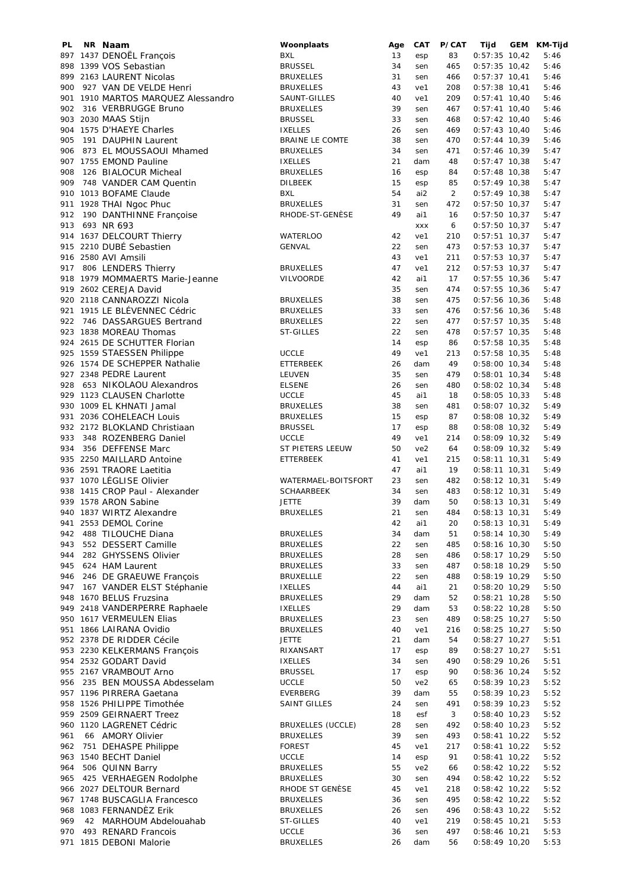| PL. | NR Naam                            | Woonplaats               | Age | CAT        | P/CAT          | Tijd            | GEM | KM-Tijd |
|-----|------------------------------------|--------------------------|-----|------------|----------------|-----------------|-----|---------|
|     | 897 1437 DENOËL François           | BXL                      | 13  | esp        | 83             | $0:57:35$ 10,42 |     | 5:46    |
|     | 898 1399 VOS Sebastian             | <b>BRUSSEL</b>           | 34  | sen        | 465            | $0:57:35$ 10,42 |     | 5:46    |
|     | 899 2163 LAURENT Nicolas           | <b>BRUXELLES</b>         | 31  | sen        | 466            | $0:57:37$ 10,41 |     | 5:46    |
| 900 | 927 VAN DE VELDE Henri             | <b>BRUXELLES</b>         | 43  | ve1        | 208            | $0:57:38$ 10,41 |     | 5:46    |
|     | 901 1910 MARTOS MARQUEZ Alessandro | SAUNT-GILLES             | 40  | ve1        | 209            | $0:57:41$ 10,40 |     | 5:46    |
|     |                                    |                          | 39  |            |                |                 |     |         |
|     | 902 316 VERBRUGGE Bruno            | <b>BRUXELLES</b>         |     | sen        | 467            | $0:57:41$ 10,40 |     | 5:46    |
|     | 903 2030 MAAS Stijn                | <b>BRUSSEL</b>           | 33  | sen        | 468            | $0:57:42$ 10,40 |     | 5:46    |
|     | 904 1575 D'HAEYE Charles           | <b>IXELLES</b>           | 26  | sen        | 469            | $0:57:43$ 10,40 |     | 5:46    |
| 905 | 191 DAUPHIN Laurent                | BRAINE LE COMTE          | 38  | sen        | 470            | $0:57:44$ 10,39 |     | 5:46    |
|     | 906 873 EL MOUSSAOUI Mhamed        | <b>BRUXELLES</b>         | 34  | sen        | 471            | $0:57:46$ 10,39 |     | 5:47    |
|     | 907 1755 EMOND Pauline             | <b>IXELLES</b>           | 21  | dam        | 48             | $0:57:47$ 10,38 |     | 5:47    |
| 908 | 126 BIALOCUR Micheal               | <b>BRUXELLES</b>         | 16  | esp        | 84             | $0:57:48$ 10,38 |     | 5:47    |
| 909 | 748 VANDER CAM Quentin             | <b>DILBEEK</b>           | 15  | esp        | 85             | $0:57:49$ 10,38 |     | 5:47    |
|     |                                    |                          |     |            |                |                 |     |         |
|     | 910 1013 BOFAME Claude             | <b>BXL</b>               | 54  | ai2        | $\overline{2}$ | $0:57:49$ 10,38 |     | 5:47    |
|     | 911 1928 THAI Ngoc Phuc            | <b>BRUXELLES</b>         | 31  | sen        | 472            | $0:57:50$ 10,37 |     | 5:47    |
|     | 912 190 DANTHINNE Françoise        | RHODE-ST-GENÈSE          | 49  | ai1        | 16             | $0:57:50$ 10,37 |     | 5:47    |
| 913 | 693 NR 693                         |                          |     | <b>XXX</b> | 6              | $0:57:50$ 10,37 |     | 5:47    |
|     | 914 1637 DELCOURT Thierry          | <b>WATERLOO</b>          | 42  | ve1        | 210            | $0:57:51$ 10,37 |     | 5:47    |
|     | 915 2210 DUBÉ Sebastien            | <b>GENVAL</b>            | 22  | sen        | 473            | $0:57:53$ 10,37 |     | 5:47    |
|     | 916 2580 AVI Amsili                |                          | 43  | ve1        | 211            | $0:57:53$ 10,37 |     | 5:47    |
| 917 | 806 LENDERS Thierry                |                          | 47  | ve1        | 212            | $0:57:53$ 10,37 |     | 5:47    |
|     |                                    | <b>BRUXELLES</b>         |     |            |                |                 |     |         |
|     | 918 1979 MOMMAERTS Marie-Jeanne    | VILVOORDE                | 42  | ai1        | 17             | $0:57:55$ 10,36 |     | 5:47    |
|     | 919 2602 CEREJA David              |                          | 35  | sen        | 474            | $0:57:55$ 10,36 |     | 5:47    |
|     | 920 2118 CANNAROZZI Nicola         | <b>BRUXELLES</b>         | 38  | sen        | 475            | $0:57:56$ 10,36 |     | 5:48    |
|     | 921 1915 LE BLÉVENNEC Cédric       | <b>BRUXELLES</b>         | 33  | sen        | 476            | $0:57:56$ 10,36 |     | 5:48    |
|     | 922 746 DASSARGUES Bertrand        | <b>BRUXELLES</b>         | 22  | sen        | 477            | $0:57:57$ 10,35 |     | 5:48    |
|     | 923 1838 MOREAU Thomas             | <b>ST-GILLES</b>         | 22  | sen        | 478            | $0:57:57$ 10,35 |     | 5:48    |
|     | 924 2615 DE SCHUTTER Florian       |                          | 14  |            |                |                 |     |         |
|     |                                    |                          |     | esp        | 86             | $0:57:58$ 10,35 |     | 5:48    |
|     | 925 1559 STAESSEN Philippe         | <b>UCCLE</b>             | 49  | ve1        | 213            | $0:57:58$ 10,35 |     | 5:48    |
|     | 926 1574 DE SCHEPPER Nathalie      | ETTERBEEK                | 26  | dam        | 49             | $0:58:00$ 10,34 |     | 5:48    |
|     | 927 2348 PEDRE Laurent             | LEUVEN                   | 35  | sen        | 479            | $0:58:01$ 10,34 |     | 5:48    |
|     | 928 653 NIKOLAOU Alexandros        | <b>ELSENE</b>            | 26  | sen        | 480            | $0:58:02$ 10,34 |     | 5:48    |
|     | 929 1123 CLAUSEN Charlotte         | <b>UCCLE</b>             | 45  | ai1        | 18             | $0:58:05$ 10,33 |     | 5:48    |
|     | 930 1009 EL KHNATI Jamal           | <b>BRUXELLES</b>         | 38  | sen        | 481            | $0:58:07$ 10,32 |     | 5:49    |
|     |                                    |                          |     |            |                |                 |     |         |
|     | 931 2036 COHELEACH Louis           | <b>BRUXELLES</b>         | 15  | esp        | 87             | $0:58:08$ 10,32 |     | 5:49    |
|     | 932 2172 BLOKLAND Christiaan       | <b>BRUSSEL</b>           | 17  | esp        | 88             | $0:58:08$ 10,32 |     | 5:49    |
| 933 | 348 ROZENBERG Daniel               | <b>UCCLE</b>             | 49  | ve1        | 214            | $0:58:09$ 10,32 |     | 5:49    |
| 934 | 356 DEFFENSE Marc                  | ST PIETERS LEEUW         | 50  | ve2        | 64             | $0:58:09$ 10,32 |     | 5:49    |
|     | 935 2250 MAILLARD Antoine          | ETTERBEEK                | 41  | ve1        | 215            | $0:58:11$ 10,31 |     | 5:49    |
|     | 936 2591 TRAORE Laetitia           |                          | 47  | ai1        | 19             | $0:58:11$ 10,31 |     | 5:49    |
|     | 937 1070 LÉGLISE Olivier           | WATERMAEL-BOITSFORT      | 23  | sen        | 482            | $0:58:12$ 10,31 |     | 5:49    |
|     | 938 1415 CROP Paul - Alexander     | <b>SCHAARBEEK</b>        | 34  |            |                | $0:58:12$ 10,31 |     |         |
|     |                                    |                          |     | sen        | 483            |                 |     | 5:49    |
|     | 939 1578 ARON Sabine               | <b>JETTE</b>             | 39  | dam        | 50             | $0:58:13$ 10,31 |     | 5:49    |
|     | 940 1837 WIRTZ Alexandre           | <b>BRUXELLES</b>         | 21  | sen        | 484            | $0:58:13$ 10,31 |     | 5:49    |
|     | 941 2553 DEMOL Corine              |                          | 42  | ai1        | 20             | $0:58:13$ 10,31 |     | 5:49    |
| 942 | 488 TILOUCHE Diana                 | <b>BRUXELLES</b>         | 34  | dam        | 51             | $0:58:14$ 10,30 |     | 5:49    |
| 943 | 552 DESSERT Camille                | <b>BRUXELLES</b>         | 22  | sen        | 485            | $0:58:16$ 10,30 |     | 5:50    |
| 944 | 282 GHYSSENS Olivier               | BRUXELLES                | 28  | sen        | 486            | $0:58:17$ 10,29 |     | 5:50    |
| 945 | 624 HAM Laurent                    | <b>BRUXELLES</b>         | 33  | sen        | 487            | $0:58:18$ 10,29 |     | 5:50    |
| 946 | 246 DE GRAEUWE François            |                          | 22  |            | 488            | $0:58:19$ 10,29 |     |         |
|     |                                    | <b>BRUXELLLE</b>         |     | sen        |                |                 |     | 5:50    |
| 947 | 167 VANDER ELST Stéphanie          | <b>IXELLES</b>           | 44  | ai1        | 21             | $0:58:20$ 10,29 |     | 5:50    |
|     | 948 1670 BELUS Fruzsina            | <b>BRUXELLES</b>         | 29  | dam        | 52             | $0:58:21$ 10,28 |     | 5:50    |
|     | 949 2418 VANDERPERRE Raphaele      | <b>IXELLES</b>           | 29  | dam        | 53             | $0:58:22$ 10,28 |     | 5:50    |
|     | 950 1617 VERMEULEN Elias           | <b>BRUXELLES</b>         | 23  | sen        | 489            | $0:58:25$ 10,27 |     | 5:50    |
|     | 951 1866 LAIRANA Ovidio            | <b>BRUXELLES</b>         | 40  | ve1        | 216            | $0:58:25$ 10,27 |     | 5:50    |
|     | 952 2378 DE RIDDER Cécile          | <b>JETTE</b>             | 21  | dam        | 54             | $0:58:27$ 10,27 |     | 5:51    |
|     | 953 2230 KELKERMANS Francois       | RIXANSART                | 17  | esp        | 89             | $0:58:27$ 10,27 |     | 5:51    |
|     | 954 2532 GODART David              |                          | 34  |            | 490            | $0:58:29$ 10,26 |     |         |
|     |                                    | <b>IXELLES</b>           |     | sen        |                |                 |     | 5:51    |
|     | 955 2167 VRAMBOUT Arno             | <b>BRUSSEL</b>           | 17  | esp        | 90             | $0:58:36$ 10,24 |     | 5:52    |
|     | 956 235 BEN MOUSSA Abdesselam      | <b>UCCLE</b>             | 50  | ve2        | 65             | $0:58:39$ 10,23 |     | 5:52    |
|     | 957 1196 PIRRERA Gaetana           | EVERBERG                 | 39  | dam        | 55             | $0:58:39$ 10,23 |     | 5:52    |
|     | 958 1526 PHILIPPE Timothée         | <b>SAINT GILLES</b>      | 24  | sen        | 491            | $0:58:39$ 10,23 |     | 5:52    |
|     | 959 2509 GEIRNAERT Treez           |                          | 18  | esf        | 3              | $0:58:40$ 10,23 |     | 5:52    |
|     | 960 1120 LAGRENET Cédric           | <b>BRUXELLES (UCCLE)</b> | 28  | sen        | 492            | $0:58:40$ 10,23 |     | 5:52    |
| 961 | 66 AMORY Olivier                   | <b>BRUXELLES</b>         | 39  | sen        | 493            | $0:58:41$ 10,22 |     | 5:52    |
|     | 962 751 DEHASPE Philippe           | <b>FOREST</b>            | 45  | ve1        | 217            | $0:58:41$ 10,22 |     |         |
|     |                                    |                          |     |            |                |                 |     | 5:52    |
|     | 963 1540 BECHT Daniel              | <b>UCCLE</b>             | 14  | esp        | 91             | $0:58:41$ 10,22 |     | 5:52    |
| 964 | 506 QUINN Barry                    | <b>BRUXELLES</b>         | 55  | ve2        | 66             | $0:58:42$ 10,22 |     | 5:52    |
| 965 | 425 VERHAEGEN Rodolphe             | <b>BRUXELLES</b>         | 30  | sen        | 494            | $0:58:42$ 10,22 |     | 5:52    |
|     | 966 2027 DELTOUR Bernard           | RHODE ST GENÈSE          | 45  | ve1        | 218            | $0:58:42$ 10,22 |     | 5:52    |
|     | 967 1748 BUSCAGLIA Francesco       | <b>BRUXELLES</b>         | 36  | sen        | 495            | $0:58:42$ 10,22 |     | 5:52    |
|     | 968 1083 FERNANDEZ Erik            | <b>BRUXELLES</b>         | 26  | sen        | 496            | $0:58:43$ 10,22 |     | 5:52    |
| 969 | 42 MARHOUM Abdelouahab             | ST-GILLES                | 40  | ve1        | 219            | $0:58:45$ 10,21 |     | 5:53    |
|     | 970 493 RENARD Francois            | <b>UCCLE</b>             | 36  | sen        | 497            | $0:58:46$ 10,21 |     | 5:53    |
|     |                                    |                          |     |            |                |                 |     |         |
|     | 971 1815 DEBONI Malorie            | <b>BRUXELLES</b>         | 26  | dam        | 56             | $0:58:49$ 10,20 |     | 5:53    |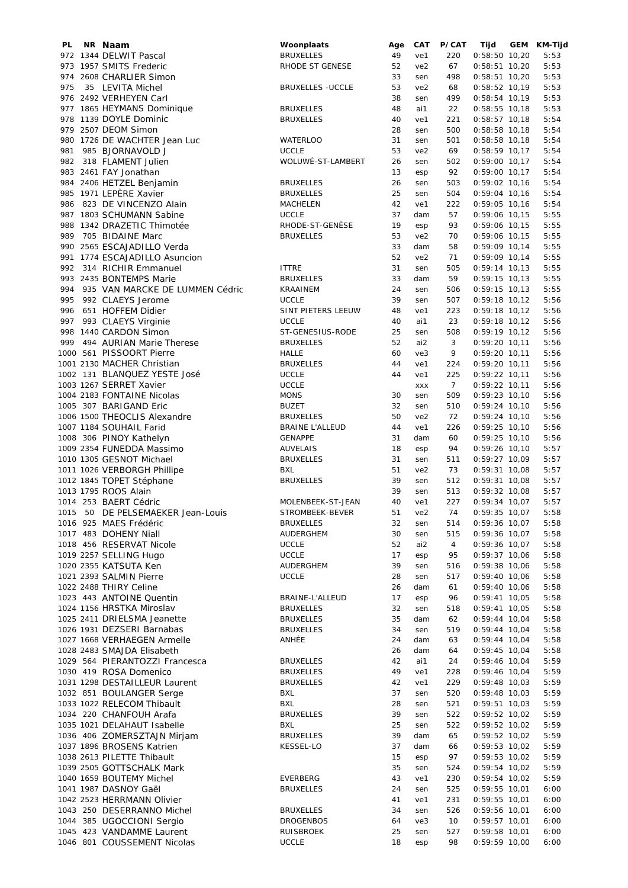| PL  | NR Naam                             | Woonplaats               | Age | CAT             | P/CAT          | Tijd            | GEM KM-Tijd |
|-----|-------------------------------------|--------------------------|-----|-----------------|----------------|-----------------|-------------|
|     | 972 1344 DELWIT Pascal              | <b>BRUXELLES</b>         | 49  | ve1             | 220            | $0:58:50$ 10,20 | 5:53        |
|     | 973 1957 SMITS Frederic             | RHODE ST GENESE          | 52  | ve2             | 67             | $0:58:51$ 10,20 | 5:53        |
|     | 974 2608 CHARLIER Simon             |                          | 33  | sen             | 498            | $0:58:51$ 10,20 | 5:53        |
| 975 | 35 LEVITA Michel                    | <b>BRUXELLES - UCCLE</b> | 53  | ve2             | 68             | $0:58:52$ 10,19 | 5:53        |
|     | 976 2492 VERHEYEN Carl              |                          | 38  | sen             | 499            | $0:58:54$ 10,19 | 5:53        |
|     | 977 1865 HEYMANS Dominique          | <b>BRUXELLES</b>         | 48  | ai1             | 22             | $0:58:55$ 10,18 | 5:53        |
|     | 978 1139 DOYLE Dominic              | <b>BRUXELLES</b>         | 40  | ve1             | 221            | $0:58:57$ 10,18 | 5:54        |
|     | 979 2507 DEOM Simon                 |                          | 28  | sen             | 500            | $0:58:58$ 10,18 | 5:54        |
|     |                                     |                          |     |                 |                |                 |             |
|     | 980 1726 DE WACHTER Jean Luc        | WATERLOO                 | 31  | sen             | 501            | $0:58:58$ 10,18 | 5:54        |
| 981 | 985 BJORNAVOLD J                    | <b>UCCLE</b>             | 53  | ve <sub>2</sub> | 69             | $0:58:59$ 10,17 | 5:54        |
|     | 982 318 FLAMENT Julien              | WOLUWÉ-ST-LAMBERT        | 26  | sen             | 502            | $0:59:00$ 10,17 | 5:54        |
|     | 983 2461 FAY Jonathan               |                          | 13  | esp             | 92             | $0:59:00$ 10,17 | 5:54        |
|     | 984 2406 HETZEL Benjamin            | <b>BRUXELLES</b>         | 26  | sen             | 503            | $0:59:02$ 10,16 | 5:54        |
|     | 985 1971 LEPÈRE Xavier              | <b>BRUXELLES</b>         | 25  | sen             | 504            | $0:59:04$ 10,16 | 5:54        |
|     | 986 823 DE VINCENZO Alain           | MACHELEN                 | 42  | ve1             | 222            | $0:59:05$ 10,16 | 5:54        |
|     | 987 1803 SCHUMANN Sabine            | <b>UCCLE</b>             | 37  | dam             | 57             | $0:59:06$ 10,15 | 5:55        |
|     | 988 1342 DRAZETIC Thimotée          | RHODE-ST-GENÈSE          | 19  | esp             | 93             | $0:59:06$ 10,15 | 5:55        |
|     | 989 705 BIDAINE Marc                | <b>BRUXELLES</b>         | 53  | ve2             | 70             | $0:59:06$ 10,15 | 5:55        |
|     |                                     |                          |     |                 |                |                 |             |
|     | 990 2565 ESCAJADILLO Verda          |                          | 33  | dam             | 58             | $0:59:09$ 10,14 | 5:55        |
|     | 991 1774 ESCAJADILLO Asuncion       |                          | 52  | ve2             | 71             | $0:59:09$ 10,14 | 5:55        |
|     | 992 314 RICHIR Emmanuel             | <b>ITTRE</b>             | 31  | sen             | 505            | $0:59:14$ 10,13 | 5:55        |
|     | 993 2435 BONTEMPS Marie             | <b>BRUXELLES</b>         | 33  | dam             | 59             | $0:59:15$ 10,13 | 5:55        |
|     | 994 935 VAN MARCKE DE LUMMEN Cédric | KRAAINEM                 | 24  | sen             | 506            | $0:59:15$ 10,13 | 5:55        |
|     | 995 992 CLAEYS Jerome               | <b>UCCLE</b>             | 39  | sen             | 507            | $0:59:18$ 10,12 | 5:56        |
| 996 | 651 HOFFEM Didier                   | SINT PIETERS LEEUW       | 48  | ve1             | 223            | $0:59:18$ 10,12 | 5:56        |
|     | 997 993 CLAEYS Virginie             | <b>UCCLE</b>             | 40  | ai1             | 23             | $0:59:18$ 10,12 | 5:56        |
|     | 998 1440 CARDON Simon               | ST-GENESIUS-RODE         | 25  | sen             | 508            | $0:59:19$ 10,12 | 5:56        |
| 999 |                                     |                          |     |                 |                |                 |             |
|     | 494 AURIAN Marie Therese            | <b>BRUXELLES</b>         | 52  | ai2             | 3              | $0:59:20$ 10,11 | 5:56        |
|     | 1000 561 PISSOORT Pierre            | <b>HALLE</b>             | 60  | ve3             | 9              | $0:59:20$ 10,11 | 5:56        |
|     | 1001 2130 MACHER Christian          | <b>BRUXELLES</b>         | 44  | ve1             | 224            | $0:59:20$ 10,11 | 5:56        |
|     | 1002 131 BLANQUEZ YESTE José        | <b>UCCLE</b>             | 44  | ve1             | 225            | $0:59:22$ 10,11 | 5:56        |
|     | 1003 1267 SERRET Xavier             | <b>UCCLE</b>             |     | <b>XXX</b>      | $\overline{7}$ | $0:59:22$ 10,11 | 5:56        |
|     | 1004 2183 FONTAINE Nicolas          | <b>MONS</b>              | 30  | sen             | 509            | $0:59:23$ 10,10 | 5:56        |
|     | 1005 307 BARIGAND Eric              | <b>BUZET</b>             | 32  | sen             | 510            | $0:59:24$ 10,10 | 5:56        |
|     | 1006 1500 THEOCLIS Alexandre        | <b>BRUXELLES</b>         | 50  | ve <sub>2</sub> | 72             | $0:59:24$ 10,10 | 5:56        |
|     | 1007 1184 SOUHAIL Farid             | <b>BRAINE L'ALLEUD</b>   | 44  | ve1             | 226            | $0:59:25$ 10,10 | 5:56        |
|     | 1008 306 PINOY Kathelyn             | <b>GENAPPE</b>           | 31  | dam             | 60             | $0:59:25$ 10,10 | 5:56        |
|     |                                     |                          |     |                 |                |                 |             |
|     | 1009 2354 FUNEDDA Massimo           | <b>AUVELAIS</b>          | 18  | esp             | 94             | $0:59:26$ 10,10 | 5:57        |
|     | 1010 1305 GESNOT Michael            | <b>BRUXELLES</b>         | 31  | sen             | 511            | $0:59:27$ 10,09 | 5:57        |
|     | 1011 1026 VERBORGH Phillipe         | BXL                      | 51  | ve <sub>2</sub> | 73             | $0:59:31$ 10,08 | 5:57        |
|     | 1012 1845 TOPET Stéphane            | <b>BRUXELLES</b>         | 39  | sen             | 512            | $0:59:31$ 10,08 | 5:57        |
|     | 1013 1795 ROOS Alain                |                          | 39  | sen             | 513            | $0:59:32$ 10,08 | 5:57        |
|     | 1014 253 BAERT Cédric               | MOLENBEEK-ST-JEAN        | 40  | ve1             | 227            | $0:59:34$ 10,07 | 5:57        |
|     | 1015 50 DE PELSEMAEKER Jean-Louis   | STROMBEEK-BEVER          | 51  | ve2             | 74             | $0:59:35$ 10,07 | 5:58        |
|     | 1016 925 MAES Frédéric              | <b>BRUXELLES</b>         | 32  | sen             | 514            | 0:59:36 10,07   | 5:58        |
|     | 1017 483 DOHENY Niall               | AUDERGHEM                | 30  | sen             | 515            | $0:59:36$ 10,07 | 5:58        |
|     |                                     |                          |     |                 |                |                 |             |
|     | 1018 456 RESERVAT Nicole            | <b>UCCLE</b>             | 52  | ai2             | 4              | $0:59:36$ 10,07 | 5:58        |
|     | 1019 2257 SELLING Hugo              | <b>UCCLE</b>             | 17  | esp             | 95             | $0:59:37$ 10,06 | 5:58        |
|     | 1020 2355 KATSUTA Ken               | AUDERGHEM                | 39  | sen             | 516            | $0:59:38$ 10,06 | 5:58        |
|     | 1021 2393 SALMIN Pierre             | <b>UCCLE</b>             | 28  | sen             | 517            | $0:59:40$ 10,06 | 5:58        |
|     | 1022 2488 THIRY Celine              |                          | 26  | dam             | 61             | $0:59:40$ 10,06 | 5:58        |
|     | 1023 443 ANTOINE Quentin            | BRAINE-L'ALLEUD          | 17  | esp             | 96             | $0:59:41$ 10,05 | 5:58        |
|     | 1024 1156 HRSTKA Miroslav           | <b>BRUXELLES</b>         | 32  | sen             | 518            | $0:59:41$ 10,05 | 5:58        |
|     | 1025 2411 DRIELSMA Jeanette         | <b>BRUXELLES</b>         | 35  | dam             | 62             | $0:59:44$ 10,04 | 5:58        |
|     | 1026 1931 DEZSERI Barnabas          | <b>BRUXELLES</b>         | 34  | sen             | 519            | $0:59:44$ 10,04 | 5:58        |
|     |                                     |                          | 24  |                 |                |                 |             |
|     | 1027 1668 VERHAEGEN Armelle         | ANHÉE                    |     | dam             | 63             | $0:59:44$ 10,04 | 5:58        |
|     | 1028 2483 SMAJDA Elisabeth          |                          | 26  | dam             | 64             | $0:59:45$ 10,04 | 5:58        |
|     | 1029 564 PIERANTOZZI Francesca      | <b>BRUXELLES</b>         | 42  | ai1             | 24             | $0:59:46$ 10,04 | 5:59        |
|     | 1030 419 ROSA Domenico              | <b>BRUXELLES</b>         | 49  | ve1             | 228            | $0:59:46$ 10,04 | 5:59        |
|     | 1031 1298 DESTAILLEUR Laurent       | <b>BRUXELLES</b>         | 42  | ve1             | 229            | $0:59:48$ 10,03 | 5:59        |
|     | 1032 851 BOULANGER Serge            | BXL                      | 37  | sen             | 520            | $0:59:48$ 10,03 | 5:59        |
|     | 1033 1022 RELECOM Thibault          | BXL                      | 28  | sen             | 521            | $0:59:51$ 10,03 | 5:59        |
|     | 1034 220 CHANFOUH Arafa             | <b>BRUXELLES</b>         | 39  | sen             | 522            | $0:59:52$ 10,02 | 5:59        |
|     | 1035 1021 DELAHAUT Isabelle         | <b>BXL</b>               | 25  | sen             | 522            | $0:59:52$ 10,02 | 5:59        |
|     |                                     |                          |     |                 |                |                 |             |
|     | 1036 406 ZOMERSZTAJN Mirjam         | <b>BRUXELLES</b>         | 39  | dam             | 65             | $0:59:52$ 10,02 | 5:59        |
|     | 1037 1896 BROSENS Katrien           | KESSEL-LO                | 37  | dam             | 66             | $0:59:53$ 10,02 | 5:59        |
|     | 1038 2613 PILETTE Thibault          |                          | 15  | esp             | 97             | $0:59:53$ 10,02 | 5:59        |
|     | 1039 2505 GOTTSCHALK Mark           |                          | 35  | sen             | 524            | $0:59:54$ 10,02 | 5:59        |
|     | 1040 1659 BOUTEMY Michel            | EVERBERG                 | 43  | ve1             | 230            | $0:59:54$ 10,02 | 5:59        |
|     | 1041 1987 DASNOY Gaël               | <b>BRUXELLES</b>         | 24  | sen             | 525            | $0:59:55$ 10,01 | 6:00        |
|     | 1042 2523 HERRMANN Olivier          |                          | 41  | ve1             | 231            | $0:59:55$ 10,01 | 6:00        |
|     | 1043 250 DESERRANNO Michel          | <b>BRUXELLES</b>         | 34  | sen             | 526            | $0:59:56$ 10,01 | 6:00        |
|     | 1044 385 UGOCCIONI Sergio           | <b>DROGENBOS</b>         | 64  | ve3             | 10             | $0:59:57$ 10,01 | 6:00        |
|     | 1045 423 VANDAMME Laurent           | <b>RUISBROEK</b>         | 25  | sen             | 527            | $0:59:58$ 10,01 | 6:00        |
|     |                                     |                          | 18  |                 |                |                 |             |
|     | 1046 801 COUSSEMENT Nicolas         | <b>UCCLE</b>             |     | esp             | 98             | $0:59:59$ 10,00 | 6:00        |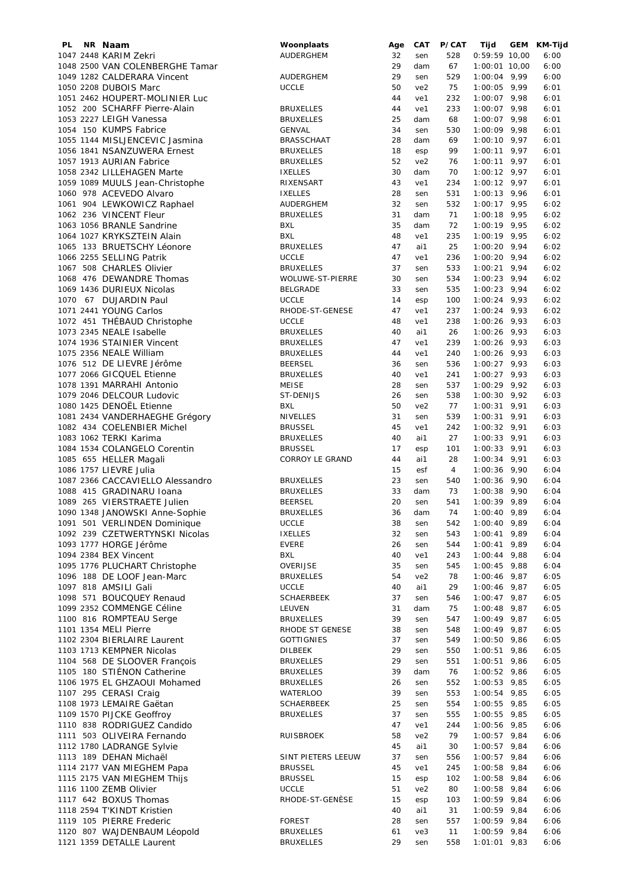| PL | NR Naam                          | Woonplaats         | Age | CAT             | P/CAT | Tijd            | GEM | KM-Tijd |
|----|----------------------------------|--------------------|-----|-----------------|-------|-----------------|-----|---------|
|    | 1047 2448 KARIM Zekri            | AUDERGHEM          | 32  | sen             | 528   | $0:59:59$ 10,00 |     | 6:00    |
|    | 1048 2500 VAN COLENBERGHE Tamar  |                    | 29  | dam             | 67    | 1:00:01 10,00   |     | 6:00    |
|    | 1049 1282 CALDERARA Vincent      | <b>AUDERGHEM</b>   | 29  | sen             | 529   | $1:00:04$ 9,99  |     | 6:00    |
|    | 1050 2208 DUBOIS Marc            | <b>UCCLE</b>       | 50  | ve <sub>2</sub> | 75    | $1:00:05$ 9,99  |     | 6:01    |
|    | 1051 2462 HOUPERT-MOLINIER Luc   |                    | 44  | ve1             | 232   | $1:00:07$ 9,98  |     | 6:01    |
|    | 1052 200 SCHARFF Pierre-Alain    | <b>BRUXELLES</b>   | 44  |                 | 233   |                 |     |         |
|    |                                  |                    |     | ve1             |       | $1:00:07$ 9,98  |     | 6:01    |
|    | 1053 2227 LEIGH Vanessa          | <b>BRUXELLES</b>   | 25  | dam             | 68    | $1:00:07$ 9,98  |     | 6:01    |
|    | 1054 150 KUMPS Fabrice           | <b>GENVAL</b>      | 34  | sen             | 530   | $1:00:09$ 9,98  |     | 6:01    |
|    | 1055 1144 MISLJENCEVIC Jasmina   | <b>BRASSCHAAT</b>  | 28  | dam             | 69    | $1:00:10$ 9,97  |     | 6:01    |
|    | 1056 1841 NSANZUWERA Ernest      | <b>BRUXELLES</b>   | 18  | esp             | 99    | $1:00:11$ 9,97  |     | 6:01    |
|    | 1057 1913 AURIAN Fabrice         | <b>BRUXELLES</b>   | 52  | ve2             | 76    | $1:00:11$ 9,97  |     | 6:01    |
|    | 1058 2342 LILLEHAGEN Marte       | <b>IXELLES</b>     | 30  | dam             | 70    | $1:00:12$ 9,97  |     | 6:01    |
|    |                                  |                    | 43  |                 |       |                 |     |         |
|    | 1059 1089 MUULS Jean-Christophe  | RIXENSART          |     | ve1             | 234   | $1:00:12$ 9,97  |     | 6:01    |
|    | 1060 978 ACEVEDO Alvaro          | <b>IXELLES</b>     | 28  | sen             | 531   | $1:00:13$ 9,96  |     | 6:01    |
|    | 1061 904 LEWKOWICZ Raphael       | AUDERGHEM          | 32  | sen             | 532   | $1:00:17$ 9,95  |     | 6:02    |
|    | 1062 236 VINCENT Fleur           | <b>BRUXELLES</b>   | 31  | dam             | 71    | $1:00:18$ 9,95  |     | 6:02    |
|    | 1063 1056 BRANLE Sandrine        | <b>BXL</b>         | 35  | dam             | 72    | $1:00:19$ 9,95  |     | 6:02    |
|    | 1064 1027 KRYKSZTEIN Alain       | <b>BXL</b>         | 48  | ve1             | 235   | $1:00:19$ 9,95  |     | 6:02    |
|    | 1065 133 BRUETSCHY Léonore       | <b>BRUXELLES</b>   | 47  | ai1             | 25    | $1:00:20$ 9,94  |     | 6:02    |
|    |                                  |                    |     |                 |       |                 |     |         |
|    | 1066 2255 SELLING Patrik         | <b>UCCLE</b>       | 47  | ve1             | 236   | $1:00:20$ 9,94  |     | 6:02    |
|    | 1067 508 CHARLES Olivier         | <b>BRUXELLES</b>   | 37  | sen             | 533   | $1:00:21$ 9,94  |     | 6:02    |
|    | 1068 476 DEWANDRE Thomas         | WOLUWE-ST-PIERRE   | 30  | sen             | 534   | $1:00:23$ 9,94  |     | 6:02    |
|    | 1069 1436 DURIEUX Nicolas        | <b>BELGRADE</b>    | 33  | sen             | 535   | $1:00:23$ 9,94  |     | 6:02    |
|    | 1070 67 DUJARDIN Paul            | <b>UCCLE</b>       | 14  | esp             | 100   | $1:00:24$ 9,93  |     | 6:02    |
|    | 1071 2441 YOUNG Carlos           | RHODE-ST-GENESE    | 47  | ve1             | 237   | $1:00:24$ 9,93  |     | 6:02    |
|    |                                  | <b>UCCLE</b>       | 48  | ve1             | 238   | $1:00:26$ 9,93  |     | 6:03    |
|    | 1072 451 THÉBAUD Christophe      |                    |     |                 |       |                 |     |         |
|    | 1073 2345 NEALE Isabelle         | <b>BRUXELLES</b>   | 40  | ai1             | 26    | $1:00:26$ 9,93  |     | 6:03    |
|    | 1074 1936 STAINIER Vincent       | <b>BRUXELLES</b>   | 47  | ve1             | 239   | $1:00:26$ 9,93  |     | 6:03    |
|    | 1075 2356 NEALE William          | <b>BRUXELLES</b>   | 44  | ve1             | 240   | $1:00:26$ 9,93  |     | 6:03    |
|    | 1076 512 DE LIEVRE Jérôme        | <b>BEERSEL</b>     | 36  | sen             | 536   | $1:00:27$ 9,93  |     | 6:03    |
|    | 1077 2066 GICQUEL Etienne        | <b>BRUXELLES</b>   | 40  | ve1             | 241   | $1:00:27$ 9,93  |     | 6:03    |
|    | 1078 1391 MARRAHI Antonio        | <b>MEISE</b>       | 28  | sen             | 537   | $1:00:29$ 9,92  |     | 6:03    |
|    |                                  |                    |     |                 |       |                 |     |         |
|    | 1079 2046 DELCOUR Ludovic        | ST-DENIJS          | 26  | sen             | 538   | $1:00:30$ 9,92  |     | 6:03    |
|    | 1080 1425 DENOËL Etienne         | <b>BXL</b>         | 50  | ve2             | 77    | $1:00:31$ 9,91  |     | 6:03    |
|    | 1081 2434 VANDERHAEGHE Grégory   | <b>NIVELLES</b>    | 31  | sen             | 539   | $1:00:31$ 9,91  |     | 6:03    |
|    | 1082 434 COELENBIER Michel       | <b>BRUSSEL</b>     | 45  | ve1             | 242   | $1:00:32$ 9,91  |     | 6:03    |
|    | 1083 1062 TERKI Karima           | <b>BRUXELLES</b>   | 40  | ai1             | 27    | $1:00:33$ 9,91  |     | 6:03    |
|    | 1084 1534 COLANGELO Corentin     | <b>BRUSSEL</b>     | 17  | esp             | 101   | $1:00:33$ 9,91  |     | 6:03    |
|    |                                  |                    |     |                 |       |                 |     |         |
|    | 1085 655 HELLER Magali           | CORROY LE GRAND    | 44  | ai1             | 28    | $1:00:34$ 9,91  |     | 6:03    |
|    | 1086 1757 LIEVRE Julia           |                    | 15  | esf             | 4     | $1:00:36$ 9,90  |     | 6:04    |
|    | 1087 2366 CACCAVIELLO Alessandro | <b>BRUXELLES</b>   | 23  | sen             | 540   | $1:00:36$ 9,90  |     | 6:04    |
|    | 1088 415 GRADINARU Ioana         | <b>BRUXELLES</b>   | 33  | dam             | 73    | $1:00:38$ 9,90  |     | 6:04    |
|    | 1089 265 VIERSTRAETE Julien      | <b>BEERSEL</b>     | 20  | sen             | 541   | $1:00:39$ 9,89  |     | 6:04    |
|    | 1090 1348 JANOWSKI Anne-Sophie   | <b>BRUXELLES</b>   | 36  | dam             | 74    | $1:00:40$ 9,89  |     | 6:04    |
|    | 1091 501 VERLINDEN Dominique     | <b>UCCLE</b>       | 38  |                 | 542   | $1:00:40$ 9,89  |     | 6:04    |
|    |                                  |                    |     | sen             |       |                 |     |         |
|    | 1092 239 CZETWERTYNSKI Nicolas   | <b>IXELLES</b>     | 32  | sen             | 543   | $1:00:41$ 9,89  |     | 6:04    |
|    | 1093 1777 HORGE Jérôme           | <b>EVERE</b>       | 26  | sen             | 544   | $1:00:41$ 9,89  |     | 6:04    |
|    | 1094 2384 BEX Vincent            | BXL                | 40  | ve1             | 243   | $1:00:44$ 9,88  |     | 6:04    |
|    | 1095 1776 PLUCHART Christophe    | <b>OVERIJSE</b>    | 35  | sen             | 545   | $1:00:45$ 9,88  |     | 6:04    |
|    | 1096 188 DE LOOF Jean-Marc       | <b>BRUXELLES</b>   | 54  | ve <sub>2</sub> | 78    | $1:00:46$ 9,87  |     | 6:05    |
|    | 1097 818 AMSILI Gali             | <b>UCCLE</b>       | 40  | ai1             | 29    | $1:00:46$ 9,87  |     | 6:05    |
|    | 1098 571 BOUCQUEY Renaud         | <b>SCHAERBEEK</b>  | 37  |                 |       | $1:00:47$ 9,87  |     | 6:05    |
|    |                                  |                    |     | sen             | 546   |                 |     |         |
|    | 1099 2352 COMMENGE Céline        | LEUVEN             | 31  | dam             | 75    | $1:00:48$ 9,87  |     | 6:05    |
|    | 1100 816 ROMPTEAU Serge          | <b>BRUXELLES</b>   | 39  | sen             | 547   | $1:00:49$ 9,87  |     | 6:05    |
|    | 1101 1354 MELI Pierre            | RHODE ST GENESE    | 38  | sen             | 548   | $1:00:49$ 9,87  |     | 6:05    |
|    | 1102 2304 BIERLAIRE Laurent      | <b>GOTTIGNIES</b>  | 37  | sen             | 549   | $1:00:50$ 9,86  |     | 6:05    |
|    | 1103 1713 KEMPNER Nicolas        | DILBEEK            | 29  | sen             | 550   | $1:00:51$ 9,86  |     | 6:05    |
|    | 1104 568 DE SLOOVER François     | <b>BRUXELLES</b>   | 29  | sen             | 551   | $1:00:51$ 9,86  |     | 6:05    |
|    |                                  |                    |     |                 |       |                 |     |         |
|    | 1105 180 STIÉNON Catherine       | <b>BRUXELLES</b>   | 39  | dam             | 76    | $1:00:52$ 9,86  |     | 6:05    |
|    | 1106 1975 EL GHZAOUI Mohamed     | <b>BRUXELLES</b>   | 26  | sen             | 552   | $1:00:53$ 9,85  |     | 6:05    |
|    | 1107 295 CERASI Craig            | WATERLOO           | 39  | sen             | 553   | $1:00:54$ 9,85  |     | 6:05    |
|    | 1108 1973 LEMAIRE Gaëtan         | <b>SCHAERBEEK</b>  | 25  | sen             | 554   | $1:00:55$ 9,85  |     | 6:05    |
|    | 1109 1570 PIJCKE Geoffroy        | <b>BRUXELLES</b>   | 37  | sen             | 555   | $1:00:55$ 9,85  |     | 6:05    |
|    | 1110 838 RODRIGUEZ Candido       |                    | 47  | ve1             | 244   | 1:00:56 9,85    |     | 6:06    |
|    | 1111 503 OLIVEIRA Fernando       | RUISBROEK          | 58  | ve <sub>2</sub> | 79    | $1:00:57$ 9,84  |     | 6:06    |
|    | 1112 1780 LADRANGE Sylvie        |                    | 45  |                 |       | $1:00:57$ 9,84  |     | 6:06    |
|    |                                  |                    |     | ai1             | 30    |                 |     |         |
|    | 1113 189 DEHAN Michaël           | SINT PIETERS LEEUW | 37  | sen             | 556   | $1:00:57$ 9,84  |     | 6:06    |
|    | 1114 2177 VAN MIEGHEM Papa       | <b>BRUSSEL</b>     | 45  | ve1             | 245   | $1:00:58$ 9,84  |     | 6:06    |
|    | 1115 2175 VAN MIEGHEM Thijs      | <b>BRUSSEL</b>     | 15  | esp             | 102   | $1:00:58$ 9,84  |     | 6:06    |
|    | 1116 1100 ZEMB Olivier           | <b>UCCLE</b>       | 51  | ve <sub>2</sub> | 80    | $1:00:58$ 9,84  |     | 6:06    |
|    | 1117 642 BOXUS Thomas            | RHODE-ST-GENÈSE    | 15  | esp             | 103   | $1:00:59$ 9,84  |     | 6:06    |
|    | 1118 2594 T'KINDT Kristien       |                    | 40  | ai1             | 31    | 1:00:59 9,84    |     | 6:06    |
|    | 1119 105 PIERRE Frederic         | <b>FOREST</b>      | 28  |                 | 557   | 1:00:59 9,84    |     | 6:06    |
|    |                                  |                    |     | sen             |       |                 |     |         |
|    | 1120 807 WAJDENBAUM Léopold      | <b>BRUXELLES</b>   | 61  | ve3             | 11    | $1:00:59$ 9,84  |     | 6:06    |
|    | 1121 1359 DETALLE Laurent        | <b>BRUXELLES</b>   | 29  | sen             | 558   | $1:01:01$ 9,83  |     | 6:06    |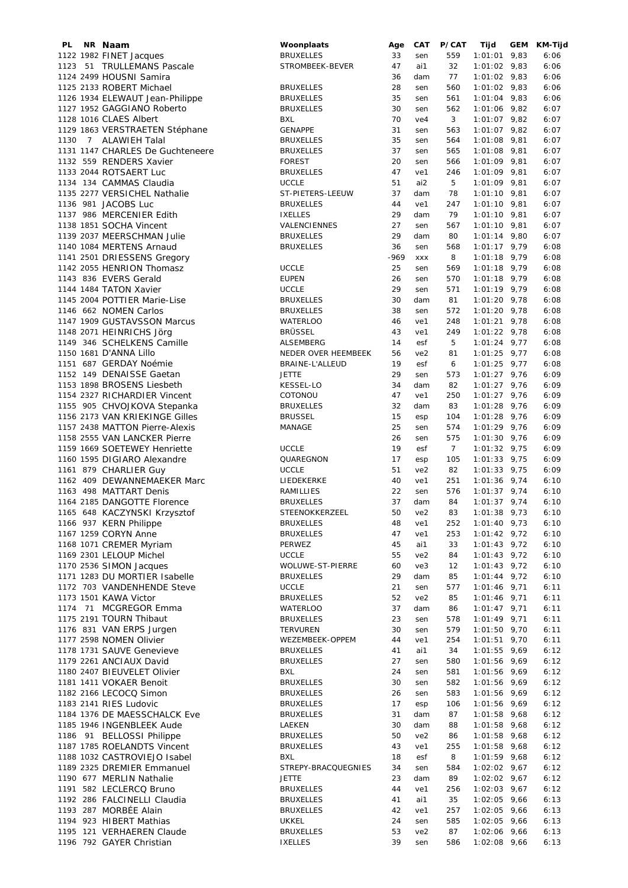| PL.  | NR Naam                          | Woonplaats          | Age    | CAT             | P/CAT          | Tijd           | <b>GEM</b> | KM-Tijd |
|------|----------------------------------|---------------------|--------|-----------------|----------------|----------------|------------|---------|
|      | 1122 1982 FINET Jacques          | <b>BRUXELLES</b>    | 33     | sen             | 559            | $1:01:01$ 9,83 |            | 6:06    |
|      | 1123 51 TRULLEMANS Pascale       | STROMBEEK-BEVER     | 47     | ai1             | 32             | $1:01:02$ 9,83 |            | 6:06    |
|      | 1124 2499 HOUSNI Samira          |                     | 36     | dam             | 77             | $1:01:02$ 9,83 |            | 6:06    |
|      | 1125 2133 ROBERT Michael         | <b>BRUXELLES</b>    | 28     | sen             | 560            | $1:01:02$ 9,83 |            | 6:06    |
|      | 1126 1934 ELEWAUT Jean-Philippe  | <b>BRUXELLES</b>    | 35     | sen             | 561            | $1:01:04$ 9,83 |            | 6:06    |
|      | 1127 1952 GAGGIANO Roberto       | <b>BRUXELLES</b>    | 30     |                 | 562            | $1:01:06$ 9,82 |            | 6:07    |
|      |                                  |                     |        | sen             |                |                |            |         |
|      | 1128 1016 CLAES Albert           | <b>BXL</b>          | 70     | ve4             | 3              | $1:01:07$ 9,82 |            | 6:07    |
|      | 1129 1863 VERSTRAETEN Stéphane   | <b>GENAPPE</b>      | 31     | sen             | 563            | $1:01:07$ 9,82 |            | 6:07    |
| 1130 | 7 ALAWIEH Talal                  | <b>BRUXELLES</b>    | 35     | sen             | 564            | $1:01:08$ 9,81 |            | 6:07    |
|      | 1131 1147 CHARLES De Guchteneere | <b>BRUXELLES</b>    | 37     | sen             | 565            | $1:01:08$ 9,81 |            | 6:07    |
|      | 1132 559 RENDERS Xavier          | <b>FOREST</b>       | 20     | sen             | 566            | $1:01:09$ 9,81 |            | 6:07    |
|      | 1133 2044 ROTSAERT Luc           | <b>BRUXELLES</b>    | 47     | ve1             | 246            | 1:01:09 9,81   |            | 6:07    |
|      | 1134 134 CAMMAS Claudia          | <b>UCCLE</b>        | 51     | ai2             | 5              | $1:01:09$ 9,81 |            | 6:07    |
|      | 1135 2277 VERSICHEL Nathalie     |                     |        |                 |                |                |            |         |
|      |                                  | ST-PIETERS-LEEUW    | 37     | dam             | 78             | $1:01:10$ 9,81 |            | 6:07    |
|      | 1136 981 JACOBS Luc              | <b>BRUXELLES</b>    | 44     | ve1             | 247            | $1:01:10$ 9,81 |            | 6:07    |
|      | 1137 986 MERCENIER Edith         | <b>IXELLES</b>      | 29     | dam             | 79             | $1:01:10$ 9,81 |            | 6:07    |
|      | 1138 1851 SOCHA Vincent          | VALENCIENNES        | 27     | sen             | 567            | $1:01:10$ 9,81 |            | 6:07    |
|      | 1139 2037 MEERSCHMAN Julie       | <b>BRUXELLES</b>    | 29     | dam             | 80             | $1:01:14$ 9,80 |            | 6:07    |
|      | 1140 1084 MERTENS Arnaud         | <b>BRUXELLES</b>    | 36     | sen             | 568            | $1:01:17$ 9,79 |            | 6:08    |
|      | 1141 2501 DRIESSENS Gregory      |                     | $-969$ | <b>XXX</b>      | 8              | $1:01:18$ 9,79 |            | 6:08    |
|      |                                  | <b>UCCLE</b>        | 25     |                 | 569            | $1:01:18$ 9,79 |            | 6:08    |
|      | 1142 2055 HENRION Thomasz        |                     |        | sen             |                |                |            |         |
|      | 1143 836 EVERS Gerald            | <b>EUPEN</b>        | 26     | sen             | 570            | $1:01:18$ 9,79 |            | 6:08    |
|      | 1144 1484 TATON Xavier           | <b>UCCLE</b>        | 29     | sen             | 571            | $1:01:19$ 9,79 |            | 6:08    |
|      | 1145 2004 POTTIER Marie-Lise     | <b>BRUXELLES</b>    | 30     | dam             | 81             | $1:01:20$ 9,78 |            | 6:08    |
|      | 1146 662 NOMEN Carlos            | <b>BRUXELLES</b>    | 38     | sen             | 572            | $1:01:20$ 9,78 |            | 6:08    |
|      | 1147 1909 GUSTAVSSON Marcus      | <b>WATERLOO</b>     | 46     | ve1             | 248            | $1:01:21$ 9,78 |            | 6:08    |
|      | 1148 2071 HEINRICHS Jörg         | <b>BRÜSSEL</b>      | 43     | ve1             | 249            | $1:01:22$ 9,78 |            | 6:08    |
|      |                                  |                     |        |                 |                |                |            |         |
|      | 1149 346 SCHELKENS Camille       | ALSEMBERG           | 14     | esf             | 5              | $1:01:24$ 9,77 |            | 6:08    |
|      | 1150 1681 D'ANNA Lillo           | NEDER OVER HEEMBEEK | 56     | ve2             | 81             | $1:01:25$ 9,77 |            | 6:08    |
|      | 1151 687 GERDAY Noémie           | BRAINE-L'ALLEUD     | 19     | esf             | 6              | $1:01:25$ 9,77 |            | 6:08    |
|      | 1152 149 DENAISSE Gaetan         | <b>JETTE</b>        | 29     | sen             | 573            | $1:01:27$ 9,76 |            | 6:09    |
|      | 1153 1898 BROSENS Liesbeth       | <b>KESSEL-LO</b>    | 34     | dam             | 82             | $1:01:27$ 9,76 |            | 6:09    |
|      | 1154 2327 RICHARDIER Vincent     | COTONOU             | 47     | ve1             | 250            | $1:01:27$ 9,76 |            | 6:09    |
|      | 1155 905 CHVOJKOVA Stepanka      | <b>BRUXELLES</b>    | 32     | dam             | 83             | $1:01:28$ 9,76 |            | 6:09    |
|      |                                  |                     |        |                 |                |                |            |         |
|      | 1156 2173 VAN KRIEKINGE Gilles   | <b>BRUSSEL</b>      | 15     | esp             | 104            | $1:01:28$ 9,76 |            | 6:09    |
|      | 1157 2438 MATTON Pierre-Alexis   | MANAGE              | 25     | sen             | 574            | $1:01:29$ 9,76 |            | 6:09    |
|      | 1158 2555 VAN LANCKER Pierre     |                     | 26     | sen             | 575            | $1:01:30$ 9,76 |            | 6:09    |
|      | 1159 1669 SOETEWEY Henriette     | <b>UCCLE</b>        | 19     | esf             | $\overline{7}$ | $1:01:32$ 9,75 |            | 6:09    |
|      | 1160 1595 DIGIARO Alexandre      | QUAREGNON           | 17     | esp             | 105            | $1:01:33$ 9,75 |            | 6:09    |
|      | 1161 879 CHARLIER Guy            | <b>UCCLE</b>        | 51     | ve2             | 82             | $1:01:33$ 9,75 |            | 6:09    |
|      | 1162 409 DEWANNEMAEKER Marc      | LIEDEKERKE          | 40     | ve1             | 251            | $1:01:36$ 9,74 |            | 6:10    |
|      | 1163 498 MATTART Denis           |                     | 22     | sen             | 576            | $1:01:37$ 9,74 |            | 6:10    |
|      |                                  | RAMILLIES           |        |                 |                |                |            |         |
|      | 1164 2185 DANGOTTE Florence      | <b>BRUXELLES</b>    | 37     | dam             | 84             | $1:01:37$ 9,74 |            | 6:10    |
|      | 1165 648 KACZYNSKI Krzysztof     | STEENOKKERZEEL      | 50     | ve2             | 83             | $1:01:38$ 9,73 |            | 6:10    |
|      | 1166 937 KERN Philippe           | <b>BRUXELLES</b>    | 48     | ve1             | 252            | $1:01:40$ 9,73 |            | 6:10    |
|      | 1167 1259 CORYN Anne             | <b>BRUXELLES</b>    | 47     | ve1             | 253            | $1:01:42$ 9,72 |            | 6:10    |
|      | 1168 1071 CREMER Myriam          | PERWEZ              | 45     | ai1             | 33             | $1:01:43$ 9,72 |            | 6:10    |
|      | 1169 2301 LELOUP Michel          | <b>UCCLE</b>        | 55     | ve <sub>2</sub> | 84             | $1:01:43$ 9,72 |            | 6:10    |
|      | 1170 2536 SIMON Jacques          | WOLUWE-ST-PIERRE    | 60     | ve3             | 12             | $1:01:43$ 9,72 |            | 6:10    |
|      | 1171 1283 DU MORTIER Isabelle    | <b>BRUXELLES</b>    | 29     | dam             | 85             | $1:01:44$ 9,72 |            | 6:10    |
|      |                                  |                     |        |                 |                |                |            |         |
|      | 1172 703 VANDENHENDE Steve       | <b>UCCLE</b>        | 21     | sen             | 577            | $1:01:46$ 9,71 |            | 6:11    |
|      | 1173 1501 KAWA Victor            | <b>BRUXELLES</b>    | 52     | ve2             | 85             | $1:01:46$ 9,71 |            | 6:11    |
|      | 1174 71 MCGREGOR Emma            | WATERLOO            | 37     | dam             | 86             | $1:01:47$ 9,71 |            | 6:11    |
|      | 1175 2191 TOURN Thibaut          | <b>BRUXELLES</b>    | 23     | sen             | 578            | $1:01:49$ 9,71 |            | 6:11    |
|      | 1176 831 VAN ERPS Jurgen         | <b>TERVUREN</b>     | 30     | sen             | 579            | $1:01:50$ 9,70 |            | 6:11    |
|      | 1177 2598 NOMEN Olivier          | WEZEMBEEK-OPPEM     | 44     | ve1             | 254            | $1:01:51$ 9,70 |            | 6:11    |
|      | 1178 1731 SAUVE Genevieve        | <b>BRUXELLES</b>    | 41     | ai1             | 34             | $1:01:55$ 9,69 |            | 6:12    |
|      | 1179 2261 ANCIAUX David          | <b>BRUXELLES</b>    | 27     | sen             | 580            | $1:01:56$ 9,69 |            | 6:12    |
|      |                                  |                     |        |                 |                |                |            |         |
|      | 1180 2407 BIEUVELET Olivier      | <b>BXL</b>          | 24     | sen             | 581            | $1:01:56$ 9,69 |            | 6:12    |
|      | 1181 1411 VOKAER Benoit          | <b>BRUXELLES</b>    | 30     | sen             | 582            | $1:01:56$ 9,69 |            | 6:12    |
|      | 1182 2166 LECOCQ Simon           | <b>BRUXELLES</b>    | 26     | sen             | 583            | $1:01:56$ 9,69 |            | 6:12    |
|      | 1183 2141 RIES Ludovic           | <b>BRUXELLES</b>    | 17     | esp             | 106            | $1:01:56$ 9,69 |            | 6:12    |
|      | 1184 1376 DE MAESSCHALCK Eve     | <b>BRUXELLES</b>    | 31     | dam             | 87             | $1:01:58$ 9,68 |            | 6:12    |
|      | 1185 1946 INGENBLEEK Aude        | LAEKEN              | 30     | dam             | 88             | $1:01:58$ 9,68 |            | 6:12    |
|      | 1186 91 BELLOSSI Philippe        | <b>BRUXELLES</b>    | 50     | ve2             | 86             | $1:01:58$ 9,68 |            | 6:12    |
|      | 1187 1785 ROELANDTS Vincent      | <b>BRUXELLES</b>    | 43     | ve1             | 255            | $1:01:58$ 9,68 |            | 6:12    |
|      |                                  |                     |        |                 |                |                |            |         |
|      | 1188 1032 CASTROVIEJO Isabel     | <b>BXL</b>          | 18     | esf             | 8              | $1:01:59$ 9,68 |            | 6:12    |
|      | 1189 2325 DREMIER Emmanuel       | STREPY-BRACQUEGNIES | 34     | sen             | 584            | $1:02:02$ 9,67 |            | 6:12    |
|      | 1190 677 MERLIN Nathalie         | <b>JETTE</b>        | 23     | dam             | 89             | $1:02:02$ 9,67 |            | 6:12    |
|      | 1191 582 LECLERCQ Bruno          | <b>BRUXELLES</b>    | 44     | ve1             | 256            | $1:02:03$ 9,67 |            | 6:12    |
|      | 1192 286 FALCINELLI Claudia      | <b>BRUXELLES</b>    | 41     | ai1             | 35             | $1:02:05$ 9,66 |            | 6:13    |
|      | 1193 287 MORBÉE Alain            | <b>BRUXELLES</b>    | 42     | ve1             | 257            | $1:02:05$ 9,66 |            | 6:13    |
|      | 1194 923 HIBERT Mathias          | <b>UKKEL</b>        | 24     | sen             | 585            | $1:02:05$ 9,66 |            | 6:13    |
|      | 1195 121 VERHAEREN Claude        | <b>BRUXELLES</b>    | 53     | ve2             | 87             | $1:02:06$ 9,66 |            | 6:13    |
|      |                                  |                     |        |                 |                |                |            |         |
|      | 1196 792 GAYER Christian         | <b>IXELLES</b>      | 39     | sen             | 586            | $1:02:08$ 9,66 |            | 6:13    |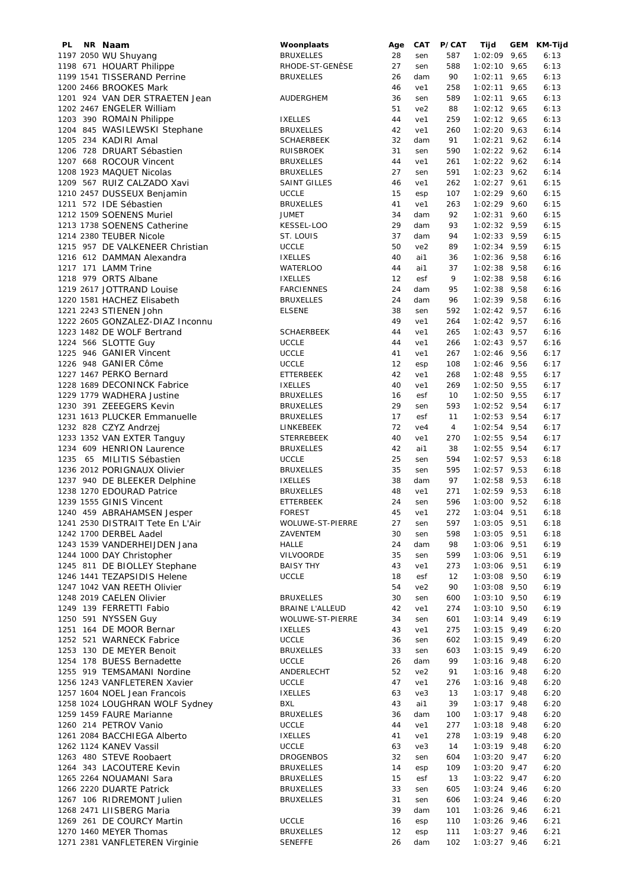| PL | NR Naam                          | Woonplaats          | Age | CAT             | P/CAT          | Tijd           | GEM | KM-Tijd |
|----|----------------------------------|---------------------|-----|-----------------|----------------|----------------|-----|---------|
|    | 1197 2050 WU Shuyang             | <b>BRUXELLES</b>    | 28  | sen             | 587            | $1:02:09$ 9,65 |     | 6:13    |
|    | 1198 671 HOUART Philippe         | RHODE-ST-GENÈSE     | 27  | sen             | 588            | $1:02:10$ 9,65 |     | 6:13    |
|    | 1199 1541 TISSERAND Perrine      | <b>BRUXELLES</b>    | 26  | dam             | 90             | $1:02:11$ 9,65 |     | 6:13    |
|    |                                  |                     |     |                 |                |                |     |         |
|    | 1200 2466 BROOKES Mark           |                     | 46  | ve1             | 258            | $1:02:11$ 9,65 |     | 6:13    |
|    | 1201 924 VAN DER STRAETEN Jean   | AUDERGHEM           | 36  | sen             | 589            | $1:02:11$ 9,65 |     | 6:13    |
|    | 1202 2467 ENGELER William        |                     | 51  | ve2             | 88             | $1:02:12$ 9,65 |     | 6:13    |
|    | 1203 390 ROMAIN Philippe         | <b>IXELLES</b>      | 44  | ve1             | 259            | $1:02:12$ 9,65 |     | 6:13    |
|    |                                  |                     |     |                 |                |                |     |         |
|    | 1204 845 WASILEWSKI Stephane     | <b>BRUXELLES</b>    | 42  | ve1             | 260            | $1:02:20$ 9,63 |     | 6:14    |
|    | 1205 234 KADIRI Amal             | <b>SCHAERBEEK</b>   | 32  | dam             | 91             | $1:02:21$ 9,62 |     | 6:14    |
|    | 1206 728 DRUART Sébastien        | <b>RUISBROEK</b>    | 31  | sen             | 590            | $1:02:22$ 9,62 |     | 6:14    |
|    | 1207 668 ROCOUR Vincent          | <b>BRUXELLES</b>    | 44  | ve1             | 261            | $1:02:22$ 9,62 |     | 6:14    |
|    |                                  |                     |     |                 |                |                |     |         |
|    | 1208 1923 MAQUET Nicolas         | <b>BRUXELLES</b>    | 27  | sen             | 591            | $1:02:23$ 9,62 |     | 6:14    |
|    | 1209 567 RUIZ CALZADO Xavi       | <b>SAINT GILLES</b> | 46  | ve1             | 262            | $1:02:27$ 9,61 |     | 6:15    |
|    | 1210 2457 DUSSEUX Benjamin       | <b>UCCLE</b>        | 15  | esp             | 107            | $1:02:29$ 9,60 |     | 6:15    |
|    |                                  |                     |     |                 |                |                |     |         |
|    | 1211 572 IDE Sébastien           | <b>BRUXELLES</b>    | 41  | ve1             | 263            | $1:02:29$ 9,60 |     | 6:15    |
|    | 1212 1509 SOENENS Muriel         | <b>JUMET</b>        | 34  | dam             | 92             | $1:02:31$ 9,60 |     | 6:15    |
|    | 1213 1738 SOENENS Catherine      | KESSEL-LOO          | 29  | dam             | 93             | $1:02:32$ 9,59 |     | 6:15    |
|    | 1214 2380 TEUBER Nicole          | ST. LOUIS           | 37  | dam             | 94             | $1:02:33$ 9,59 |     | 6:15    |
|    |                                  | <b>UCCLE</b>        | 50  | ve2             | 89             |                |     | 6:15    |
|    | 1215 957 DE VALKENEER Christian  |                     |     |                 |                | $1:02:34$ 9,59 |     |         |
|    | 1216 612 DAMMAN Alexandra        | <b>IXELLES</b>      | 40  | ai1             | 36             | $1:02:36$ 9,58 |     | 6:16    |
|    | 1217 171 LAMM Trine              | <b>WATERLOO</b>     | 44  | ai1             | 37             | $1:02:38$ 9,58 |     | 6:16    |
|    | 1218 979 ORTS Albane             | <b>IXELLES</b>      | 12  | esf             | 9              | $1:02:38$ 9,58 |     | 6:16    |
|    | 1219 2617 JOTTRAND Louise        | <b>FARCIENNES</b>   | 24  | dam             | 95             | $1:02:38$ 9,58 |     | 6:16    |
|    |                                  |                     |     |                 |                |                |     |         |
|    | 1220 1581 HACHEZ Elisabeth       | <b>BRUXELLES</b>    | 24  | dam             | 96             | $1:02:39$ 9,58 |     | 6:16    |
|    | 1221 2243 STIENEN John           | <b>ELSENE</b>       | 38  | sen             | 592            | $1:02:42$ 9,57 |     | 6:16    |
|    | 1222 2605 GONZALEZ-DIAZ Inconnu  |                     | 49  | ve1             | 264            | $1:02:42$ 9,57 |     | 6:16    |
|    | 1223 1482 DE WOLF Bertrand       | <b>SCHAERBEEK</b>   | 44  | ve1             | 265            | $1:02:43$ 9,57 |     | 6:16    |
|    |                                  |                     |     |                 |                |                |     |         |
|    | 1224 566 SLOTTE Guy              | <b>UCCLE</b>        | 44  | ve1             | 266            | $1:02:43$ 9,57 |     | 6:16    |
|    | 1225 946 GANIER Vincent          | <b>UCCLE</b>        | 41  | ve1             | 267            | $1:02:46$ 9,56 |     | 6:17    |
|    | 1226 948 GANIER Côme             | <b>UCCLE</b>        | 12  | esp             | 108            | $1:02:46$ 9,56 |     | 6:17    |
|    | 1227 1467 PERKO Bernard          | <b>ETTERBEEK</b>    | 42  | ve1             | 268            | $1:02:48$ 9,55 |     | 6:17    |
|    |                                  |                     |     |                 |                |                |     |         |
|    | 1228 1689 DECONINCK Fabrice      | <b>IXELLES</b>      | 40  | ve1             | 269            | $1:02:50$ 9,55 |     | 6:17    |
|    | 1229 1779 WADHERA Justine        | <b>BRUXELLES</b>    | 16  | esf             | 10             | $1:02:50$ 9,55 |     | 6:17    |
|    | 1230 391 ZEEEGERS Kevin          | <b>BRUXELLES</b>    | 29  | sen             | 593            | $1:02:52$ 9,54 |     | 6:17    |
|    | 1231 1613 PLUCKER Emmanuelle     | <b>BRUXELLES</b>    | 17  | esf             | 11             | $1:02:53$ 9,54 |     | 6:17    |
|    |                                  |                     |     |                 |                |                |     |         |
|    | 1232 828 CZYZ Andrzej            | LINKEBEEK           | 72  | ve4             | $\overline{4}$ | $1:02:54$ 9,54 |     | 6:17    |
|    | 1233 1352 VAN EXTER Tanguy       | <b>STERREBEEK</b>   | 40  | ve1             | 270            | $1:02:55$ 9,54 |     | 6:17    |
|    | 1234 609 HENRION Laurence        | <b>BRUXELLES</b>    | 42  | ai1             | 38             | $1:02:55$ 9,54 |     | 6:17    |
|    | 1235 65 MILITIS Sébastien        | <b>UCCLE</b>        | 25  | sen             | 594            | $1:02:57$ 9,53 |     | 6:18    |
|    |                                  |                     |     |                 |                |                |     |         |
|    | 1236 2012 PORIGNAUX Olivier      | <b>BRUXELLES</b>    | 35  | sen             | 595            | $1:02:57$ 9,53 |     | 6:18    |
|    | 1237 940 DE BLEEKER Delphine     | <b>IXELLES</b>      | 38  | dam             | 97             | $1:02:58$ 9,53 |     | 6:18    |
|    | 1238 1270 EDOURAD Patrice        | <b>BRUXELLES</b>    | 48  | ve1             | 271            | $1:02:59$ 9,53 |     | 6:18    |
|    | 1239 1555 GINIS Vincent          | ETTERBEEK           | 24  | sen             | 596            | $1:03:00$ 9,52 |     | 6:18    |
|    |                                  | <b>FOREST</b>       |     |                 |                |                |     |         |
|    | 1240 459 ABRAHAMSEN Jesper       |                     | 45  | ve1             | 272            | $1:03:04$ 9,51 |     | 6:18    |
|    | 1241 2530 DISTRAIT Tete En L'Air | WOLUWE-ST-PIERRE    | 27  | sen             | 597            | 1:03:05 9,51   |     | 6:18    |
|    | 1242 1700 DERBEL Aadel           | ZAVENTEM            | 30  | sen             | 598            | $1:03:05$ 9,51 |     | 6:18    |
|    | 1243 1539 VANDERHEIJDEN Jana     | <b>HALLE</b>        | 24  | dam             | 98             | $1:03:06$ 9,51 |     | 6:19    |
|    | 1244 1000 DAY Christopher        | VILVOORDE           | 35  | sen             | 599            | $1:03:06$ 9,51 |     | 6:19    |
|    |                                  |                     |     |                 |                |                |     |         |
|    | 1245 811 DE BIOLLEY Stephane     | <b>BAISY THY</b>    | 43  | ve1             | 273            | $1:03:06$ 9,51 |     | 6:19    |
|    | 1246 1441 TEZAPSIDIS Helene      | <b>UCCLE</b>        | 18  | esf             | 12             | $1:03:08$ 9,50 |     | 6:19    |
|    | 1247 1042 VAN REETH Olivier      |                     | 54  | ve <sub>2</sub> | 90             | $1:03:08$ 9,50 |     | 6:19    |
|    | 1248 2019 CAELEN Olivier         | <b>BRUXELLES</b>    | 30  | sen             | 600            | $1:03:10$ 9,50 |     | 6:19    |
|    |                                  |                     |     |                 |                |                |     |         |
|    | 1249 139 FERRETTI Fabio          | BRAINE L'ALLEUD     | 42  | ve1             | 274            | $1:03:10$ 9,50 |     | 6:19    |
|    | 1250 591 NYSSEN Guv              | WOLUWE-ST-PIERRE    | 34  | sen             | 601            | $1:03:14$ 9,49 |     | 6:19    |
|    | 1251 164 DE MOOR Bernar          | <b>IXELLES</b>      | 43  | ve1             | 275            | $1:03:15$ 9,49 |     | 6:20    |
|    | 1252 521 WARNECK Fabrice         | <b>UCCLE</b>        | 36  | sen             | 602            | $1:03:15$ 9,49 |     | 6:20    |
|    | 1253 130 DE MEYER Benoit         |                     |     |                 |                |                |     |         |
|    |                                  | <b>BRUXELLES</b>    | 33  | sen             | 603            | $1:03:15$ 9,49 |     | 6:20    |
|    | 1254 178 BUESS Bernadette        | <b>UCCLE</b>        | 26  | dam             | 99             | $1:03:16$ 9,48 |     | 6:20    |
|    | 1255 919 TEMSAMANI Nordine       | ANDERLECHT          | 52  | ve <sub>2</sub> | 91             | $1:03:16$ 9,48 |     | 6:20    |
|    | 1256 1243 VANFLETEREN Xavier     | <b>UCCLE</b>        | 47  | ve1             | 276            | $1:03:16$ 9,48 |     | 6:20    |
|    | 1257 1604 NOEL Jean Francois     | <b>IXELLES</b>      | 63  | ve3             | 13             | $1:03:17$ 9,48 |     | 6:20    |
|    |                                  |                     |     |                 |                |                |     |         |
|    | 1258 1024 LOUGHRAN WOLF Sydney   | <b>BXL</b>          | 43  | ai1             | 39             | $1:03:17$ 9,48 |     | 6:20    |
|    | 1259 1459 FAURE Marianne         | <b>BRUXELLES</b>    | 36  | dam             | 100            | $1:03:17$ 9,48 |     | 6:20    |
|    | 1260 214 PETROV Vanio            | <b>UCCLE</b>        | 44  | ve1             | 277            | $1:03:18$ 9,48 |     | 6:20    |
|    | 1261 2084 BACCHIEGA Alberto      | <b>IXELLES</b>      | 41  | ve1             | 278            | $1:03:19$ 9,48 |     | 6:20    |
|    |                                  |                     |     |                 |                |                |     |         |
|    | 1262 1124 KANEV Vassil           | <b>UCCLE</b>        | 63  | ve3             | 14             | $1:03:19$ 9,48 |     | 6:20    |
|    | 1263 480 STEVE Roobaert          | <b>DROGENBOS</b>    | 32  | sen             | 604            | $1:03:20$ 9,47 |     | 6:20    |
|    | 1264 343 LACOUTERE Kevin         | <b>BRUXELLES</b>    | 14  | esp             | 109            | $1:03:20$ 9,47 |     | 6:20    |
|    | 1265 2264 NOUAMANI Sara          | <b>BRUXELLES</b>    | 15  | esf             | 13             | $1:03:22$ 9,47 |     | 6:20    |
|    | 1266 2220 DUARTE Patrick         | <b>BRUXELLES</b>    | 33  |                 | 605            | $1:03:24$ 9,46 |     | 6:20    |
|    |                                  |                     |     | sen             |                |                |     |         |
|    | 1267 106 RIDREMONT Julien        | <b>BRUXELLES</b>    | 31  | sen             | 606            | $1:03:24$ 9,46 |     | 6:20    |
|    | 1268 2471 LIISBERG Maria         |                     | 39  | dam             | 101            | $1:03:26$ 9,46 |     | 6:21    |
|    | 1269 261 DE COURCY Martin        | <b>UCCLE</b>        | 16  | esp             | 110            | $1:03:26$ 9,46 |     | 6:21    |
|    | 1270 1460 MEYER Thomas           | <b>BRUXELLES</b>    | 12  | esp             | 111            | $1:03:27$ 9,46 |     | 6:21    |
|    |                                  |                     |     |                 |                |                |     |         |
|    | 1271 2381 VANFLETEREN Virginie   | SENEFFE             | 26  | dam             | 102            | $1:03:27$ 9,46 |     | 6:21    |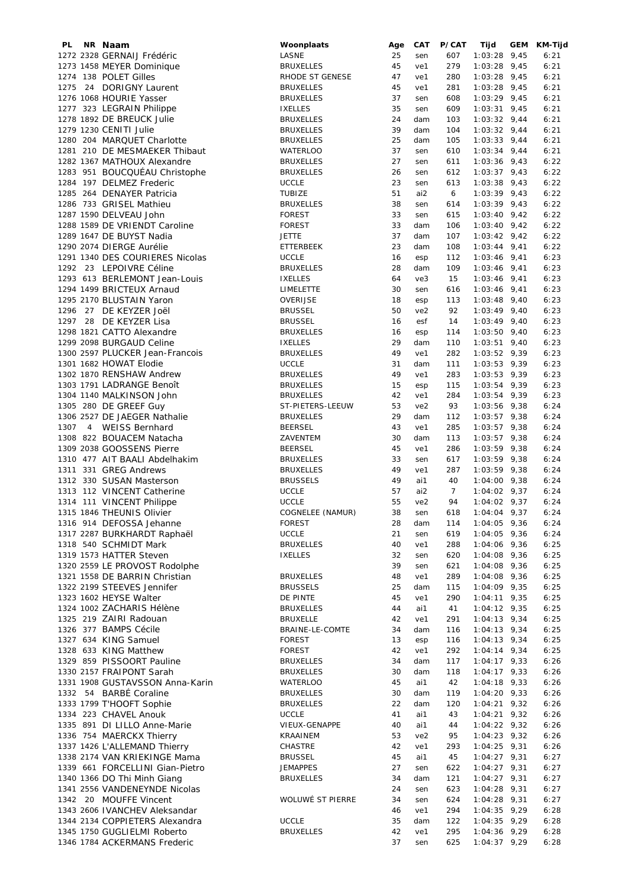| PL.  | NR Naam                         | Woonplaats       | Age | <b>CAT</b>      | P/CAT          | Tijd           | GEM | KM-Tijd |
|------|---------------------------------|------------------|-----|-----------------|----------------|----------------|-----|---------|
|      | 1272 2328 GERNAIJ Frédéric      | LASNE            | 25  | sen             | 607            | $1:03:28$ 9,45 |     | 6:21    |
|      | 1273 1458 MEYER Dominique       | <b>BRUXELLES</b> | 45  | ve1             | 279            | $1:03:28$ 9,45 |     | 6:21    |
|      | 1274 138 POLET Gilles           | RHODE ST GENESE  | 47  | ve1             | 280            | $1:03:28$ 9,45 |     | 6:21    |
|      | 1275 24 DORIGNY Laurent         | <b>BRUXELLES</b> | 45  | ve1             | 281            | $1:03:28$ 9,45 |     | 6:21    |
|      | 1276 1068 HOURIE Yasser         | <b>BRUXELLES</b> | 37  | sen             | 608            | $1:03:29$ 9,45 |     | 6:21    |
|      |                                 | <b>IXELLES</b>   | 35  |                 | 609            |                |     | 6:21    |
|      | 1277 323 LEGRAIN Philippe       |                  |     | sen             |                | $1:03:31$ 9,45 |     |         |
|      | 1278 1892 DE BREUCK Julie       | <b>BRUXELLES</b> | 24  | dam             | 103            | $1:03:32$ 9,44 |     | 6:21    |
|      | 1279 1230 CENITI Julie          | <b>BRUXELLES</b> | 39  | dam             | 104            | $1:03:32$ 9,44 |     | 6:21    |
|      | 1280 204 MARQUET Charlotte      | <b>BRUXELLES</b> | 25  | dam             | 105            | $1:03:33$ 9,44 |     | 6:21    |
|      | 1281 210 DE MESMAEKER Thibaut   | <b>WATERLOO</b>  | 37  | sen             | 610            | $1:03:34$ 9,44 |     | 6:21    |
|      | 1282 1367 MATHOUX Alexandre     | <b>BRUXELLES</b> | 27  | sen             | 611            | $1:03:36$ 9,43 |     | 6:22    |
|      | 1283 951 BOUCQUÉAU Christophe   | <b>BRUXELLES</b> | 26  | sen             | 612            | $1:03:37$ 9,43 |     | 6:22    |
|      | 1284 197 DELMEZ Frederic        |                  |     |                 |                |                |     |         |
|      |                                 | <b>UCCLE</b>     | 23  | sen             | 613            | $1:03:38$ 9,43 |     | 6:22    |
|      | 1285 264 DENAYER Patricia       | <b>TUBIZE</b>    | 51  | ai2             | 6              | $1:03:39$ 9,43 |     | 6:22    |
|      | 1286 733 GRISEL Mathieu         | <b>BRUXELLES</b> | 38  | sen             | 614            | $1:03:39$ 9,43 |     | 6:22    |
|      | 1287 1590 DELVEAU John          | <b>FOREST</b>    | 33  | sen             | 615            | $1:03:40$ 9,42 |     | 6:22    |
|      | 1288 1589 DE VRIENDT Caroline   | <b>FOREST</b>    | 33  | dam             | 106            | $1:03:40$ 9,42 |     | 6:22    |
|      | 1289 1647 DE BUYST Nadia        | <b>JETTE</b>     | 37  | dam             | 107            | $1:03:42$ 9,42 |     | 6:22    |
|      | 1290 2074 DIERGE Aurélie        | ETTERBEEK        | 23  | dam             | 108            | $1:03:44$ 9,41 |     | 6:22    |
|      |                                 |                  |     |                 |                |                |     |         |
|      | 1291 1340 DES COURIERES Nicolas | <b>UCCLE</b>     | 16  | esp             | 112            | $1:03:46$ 9,41 |     | 6:23    |
|      | 1292 23 LEPOIVRE Céline         | <b>BRUXELLES</b> | 28  | dam             | 109            | $1:03:46$ 9,41 |     | 6:23    |
|      | 1293 613 BERLEMONT Jean-Louis   | <b>IXELLES</b>   | 64  | ve3             | 15             | $1:03:46$ 9,41 |     | 6:23    |
|      | 1294 1499 BRICTEUX Arnaud       | LIMELETTE        | 30  | sen             | 616            | $1:03:46$ 9,41 |     | 6:23    |
|      | 1295 2170 BLUSTAIN Yaron        | OVERIJSE         | 18  | esp             | 113            | $1:03:48$ 9,40 |     | 6:23    |
|      | 1296 27 DE KEYZER Joël          | <b>BRUSSEL</b>   | 50  | ve <sub>2</sub> | 92             | $1:03:49$ 9,40 |     | 6:23    |
|      | 1297 28 DE KEYZER Lisa          | <b>BRUSSEL</b>   | 16  | esf             | 14             | $1:03:49$ 9,40 |     | 6:23    |
|      |                                 |                  |     |                 |                |                |     |         |
|      | 1298 1821 CATTO Alexandre       | <b>BRUXELLES</b> | 16  | esp             | 114            | $1:03:50$ 9,40 |     | 6:23    |
|      | 1299 2098 BURGAUD Celine        | <b>IXELLES</b>   | 29  | dam             | 110            | $1:03:51$ 9,40 |     | 6:23    |
|      | 1300 2597 PLUCKER Jean-Francois | <b>BRUXELLES</b> | 49  | ve1             | 282            | $1:03:52$ 9,39 |     | 6:23    |
|      | 1301 1682 HOWAT Elodie          | <b>UCCLE</b>     | 31  | dam             | 111            | $1:03:53$ 9,39 |     | 6:23    |
|      | 1302 1870 RENSHAW Andrew        | <b>BRUXELLES</b> | 49  | ve1             | 283            | $1:03:53$ 9,39 |     | 6:23    |
|      | 1303 1791 LADRANGE Benoît       | <b>BRUXELLES</b> | 15  | esp             | 115            | $1:03:54$ 9,39 |     | 6:23    |
|      |                                 |                  |     |                 |                |                |     |         |
|      | 1304 1140 MALKINSON John        | <b>BRUXELLES</b> | 42  | ve1             | 284            | $1:03:54$ 9,39 |     | 6:23    |
|      | 1305 280 DE GREEF Guy           | ST-PIETERS-LEEUW | 53  | ve <sub>2</sub> | 93             | $1:03:56$ 9,38 |     | 6:24    |
|      | 1306 2527 DE JAEGER Nathalie    | <b>BRUXELLES</b> | 29  | dam             | 112            | $1:03:57$ 9,38 |     | 6:24    |
| 1307 | 4 WEISS Bernhard                | <b>BEERSEL</b>   | 43  | ve1             | 285            | $1:03:57$ 9,38 |     | 6:24    |
|      | 1308 822 BOUACEM Natacha        | ZAVENTEM         | 30  | dam             | 113            | $1:03:57$ 9,38 |     | 6:24    |
|      | 1309 2038 GOOSSENS Pierre       | <b>BEERSEL</b>   | 45  | ve1             | 286            | $1:03:59$ 9,38 |     | 6:24    |
|      | 1310 477 AIT BAALI Abdelhakim   | <b>BRUXELLES</b> | 33  | sen             | 617            | $1:03:59$ 9,38 |     | 6:24    |
|      | 1311 331 GREG Andrews           |                  | 49  | ve1             | 287            |                |     | 6:24    |
|      |                                 | <b>BRUXELLES</b> |     |                 |                | $1:03:59$ 9,38 |     |         |
|      | 1312 330 SUSAN Masterson        | <b>BRUSSELS</b>  | 49  | ai1             | 40             | $1:04:00$ 9,38 |     | 6:24    |
|      | 1313 112 VINCENT Catherine      | <b>UCCLE</b>     | 57  | ai2             | $\overline{7}$ | $1:04:02$ 9,37 |     | 6:24    |
|      | 1314 111 VINCENT Philippe       | <b>UCCLE</b>     | 55  | ve <sub>2</sub> | 94             | $1:04:02$ 9,37 |     | 6:24    |
|      | 1315 1846 THEUNIS Olivier       | COGNELEE (NAMUR) | 38  | sen             | 618            | $1:04:04$ 9,37 |     | 6:24    |
|      | 1316 914 DEFOSSA Jehanne        | <b>FOREST</b>    | 28  | dam             | 114            | $1:04:05$ 9,36 |     | 6:24    |
|      | 1317 2287 BURKHARDT Raphaël     | <b>UCCLE</b>     | 21  | sen             | 619            | $1:04:05$ 9,36 |     | 6:24    |
|      | 1318 540 SCHMIDT Mark           | <b>BRUXELLES</b> | 40  | ve1             | 288            | 1:04:06 9,36   |     | 6:25    |
|      | 1319 1573 HATTER Steven         |                  | 32  |                 |                | $1:04:08$ 9,36 |     |         |
|      |                                 | <b>IXELLES</b>   |     | sen             | 620            |                |     | 6:25    |
|      | 1320 2559 LE PROVOST Rodolphe   |                  | 39  | sen             | 621            | $1:04:08$ 9,36 |     | 6:25    |
|      | 1321 1558 DE BARRIN Christian   | <b>BRUXELLES</b> | 48  | ve1             | 289            | 1:04:08 9,36   |     | 6:25    |
|      | 1322 2199 STEEVES Jennifer      | <b>BRUSSELS</b>  | 25  | dam             | 115            | 1:04:09 9,35   |     | 6:25    |
|      | 1323 1602 HEYSE Walter          | DE PINTE         | 45  | ve1             | 290            | $1:04:11$ 9,35 |     | 6:25    |
|      | 1324 1002 ZACHARIS Hélène       | <b>BRUXELLES</b> | 44  | ai1             | 41             | $1:04:12$ 9,35 |     | 6:25    |
|      | 1325 219 ZAIRI Radouan          | <b>BRUXELLE</b>  | 42  | ve1             | 291            | $1:04:13$ 9,34 |     | 6:25    |
|      | 1326 377 BAMPS Cécile           | BRAINE-LE-COMTE  | 34  | dam             | 116            | $1:04:13$ 9,34 |     | 6:25    |
|      | 1327 634 KING Samuel            | <b>FOREST</b>    | 13  | esp             | 116            | $1:04:13$ 9,34 |     | 6:25    |
|      |                                 |                  |     |                 |                |                |     |         |
|      | 1328 633 KING Matthew           | <b>FOREST</b>    | 42  | ve1             | 292            | $1:04:14$ 9,34 |     | 6:25    |
|      | 1329 859 PISSOORT Pauline       | <b>BRUXELLES</b> | 34  | dam             | 117            | $1:04:17$ 9,33 |     | 6:26    |
|      | 1330 2157 FRAIPONT Sarah        | <b>BRUXELLES</b> | 30  | dam             | 118            | $1:04:17$ 9,33 |     | 6:26    |
|      | 1331 1908 GUSTAVSSON Anna-Karin | <b>WATERLOO</b>  | 45  | ai1             | 42             | $1:04:18$ 9,33 |     | 6:26    |
|      | 1332 54 BARBÉ Coraline          | <b>BRUXELLES</b> | 30  | dam             | 119            | $1:04:20$ 9,33 |     | 6:26    |
|      | 1333 1799 T'HOOFT Sophie        | <b>BRUXELLES</b> | 22  | dam             | 120            | $1:04:21$ 9,32 |     | 6:26    |
|      | 1334 223 CHAVEL Anouk           | <b>UCCLE</b>     | 41  | ai1             | 43             | $1:04:21$ 9,32 |     | 6:26    |
|      |                                 |                  |     |                 |                |                |     |         |
|      | 1335 891 DI LILLO Anne-Marie    | VIEUX-GENAPPE    | 40  | ai1             | 44             | $1:04:22$ 9,32 |     | 6:26    |
|      | 1336 754 MAERCKX Thierry        | KRAAINEM         | 53  | ve <sub>2</sub> | 95             | $1:04:23$ 9,32 |     | 6:26    |
|      | 1337 1426 L'ALLEMAND Thierry    | CHASTRE          | 42  | ve1             | 293            | $1:04:25$ 9,31 |     | 6:26    |
|      | 1338 2174 VAN KRIEKINGE Mama    | <b>BRUSSEL</b>   | 45  | ai1             | 45             | $1:04:27$ 9,31 |     | 6:27    |
|      | 1339 661 FORCELLINI Gian-Pietro | <b>JEMAPPES</b>  | 27  | sen             | 622            | $1:04:27$ 9,31 |     | 6:27    |
|      | 1340 1366 DO Thi Minh Giang     | <b>BRUXELLES</b> | 34  | dam             | 121            | $1:04:27$ 9,31 |     | 6:27    |
|      | 1341 2556 VANDENEYNDE Nicolas   |                  | 24  | sen             | 623            | $1:04:28$ 9,31 |     | 6:27    |
|      |                                 | WOLUWÉ ST PIERRE |     |                 |                |                |     |         |
|      | 1342 20 MOUFFE Vincent          |                  | 34  | sen             | 624            | $1:04:28$ 9,31 |     | 6:27    |
|      | 1343 2606 IVANCHEV Aleksandar   |                  | 46  | ve1             | 294            | $1:04:35$ 9,29 |     | 6:28    |
|      | 1344 2134 COPPIETERS Alexandra  | <b>UCCLE</b>     | 35  | dam             | 122            | $1:04:35$ 9,29 |     | 6:28    |
|      | 1345 1750 GUGLIELMI Roberto     | <b>BRUXELLES</b> | 42  | ve1             | 295            | $1:04:36$ 9,29 |     | 6:28    |
|      | 1346 1784 ACKERMANS Frederic    |                  | 37  | sen             | 625            | 1:04:37 9,29   |     | 6:28    |
|      |                                 |                  |     |                 |                |                |     |         |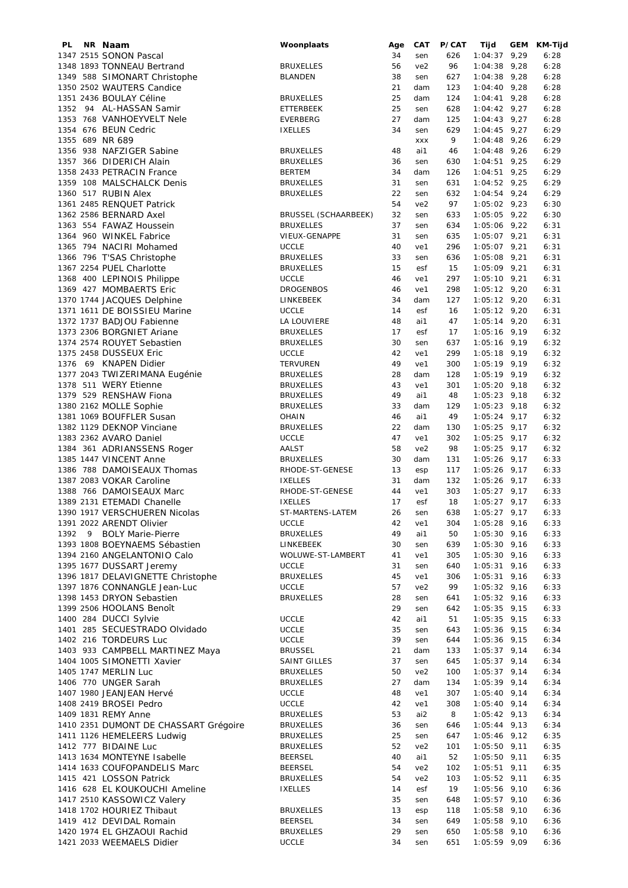| PL   |   | NR Naam                               | Woonplaats                  | Age | CAT             | P/CAT | Tijd           | GEM | KM-Tijd |
|------|---|---------------------------------------|-----------------------------|-----|-----------------|-------|----------------|-----|---------|
|      |   | 1347 2515 SONON Pascal                |                             | 34  | sen             | 626   | $1:04:37$ 9,29 |     | 6:28    |
|      |   | 1348 1893 TONNEAU Bertrand            | <b>BRUXELLES</b>            | 56  | ve <sub>2</sub> | 96    | $1:04:38$ 9,28 |     | 6:28    |
|      |   | 1349 588 SIMONART Christophe          | <b>BLANDEN</b>              | 38  | sen             | 627   | $1:04:38$ 9,28 |     | 6:28    |
|      |   | 1350 2502 WAUTERS Candice             |                             | 21  | dam             | 123   | $1:04:40$ 9,28 |     | 6:28    |
|      |   | 1351 2436 BOULAY Céline               | <b>BRUXELLES</b>            | 25  | dam             | 124   | $1:04:41$ 9,28 |     | 6:28    |
|      |   |                                       |                             |     |                 |       |                |     |         |
|      |   | 1352 94 AL-HASSAN Samir               | <b>ETTERBEEK</b>            | 25  | sen             | 628   | $1:04:42$ 9,27 |     | 6:28    |
|      |   | 1353 768 VANHOEYVELT Nele             | EVERBERG                    | 27  | dam             | 125   | $1:04:43$ 9,27 |     | 6:28    |
|      |   | 1354 676 BEUN Cedric                  | <b>IXELLES</b>              | 34  | sen             | 629   | $1:04:45$ 9,27 |     | 6:29    |
|      |   | 1355 689 NR 689                       |                             |     | <b>XXX</b>      | 9     | $1:04:48$ 9,26 |     | 6:29    |
|      |   | 1356 938 NAFZIGER Sabine              | <b>BRUXELLES</b>            | 48  | ai1             | 46    | $1:04:48$ 9,26 |     | 6:29    |
|      |   | 1357 366 DIDERICH Alain               | <b>BRUXELLES</b>            | 36  | sen             | 630   | $1:04:51$ 9,25 |     | 6:29    |
|      |   | 1358 2433 PETRACIN France             | <b>BERTEM</b>               | 34  | dam             | 126   | $1:04:51$ 9,25 |     | 6:29    |
|      |   | 1359 108 MALSCHALCK Denis             |                             | 31  |                 |       | $1:04:52$ 9,25 |     | 6:29    |
|      |   |                                       | <b>BRUXELLES</b>            |     | sen             | 631   |                |     |         |
|      |   | 1360 517 RUBIN Alex                   | <b>BRUXELLES</b>            | 22  | sen             | 632   | $1:04:54$ 9,24 |     | 6:29    |
|      |   | 1361 2485 RENQUET Patrick             |                             | 54  | ve2             | 97    | $1:05:02$ 9,23 |     | 6:30    |
|      |   | 1362 2586 BERNARD Axel                | <b>BRUSSEL (SCHAARBEEK)</b> | 32  | sen             | 633   | $1:05:05$ 9,22 |     | 6:30    |
|      |   | 1363 554 FAWAZ Houssein               | <b>BRUXELLES</b>            | 37  | sen             | 634   | $1:05:06$ 9,22 |     | 6:31    |
|      |   | 1364 960 WINKEL Fabrice               | VIEUX-GENAPPE               | 31  | sen             | 635   | $1:05:07$ 9,21 |     | 6:31    |
|      |   | 1365 794 NACIRI Mohamed               | <b>UCCLE</b>                | 40  | ve1             | 296   | 1:05:07 9,21   |     | 6:31    |
|      |   | 1366 796 T'SAS Christophe             | <b>BRUXELLES</b>            | 33  | sen             | 636   | $1:05:08$ 9,21 |     | 6:31    |
|      |   | 1367 2254 PUEL Charlotte              | <b>BRUXELLES</b>            | 15  | esf             | 15    | $1:05:09$ 9,21 |     | 6:31    |
|      |   | 1368 400 LEPINOIS Philippe            | <b>UCCLE</b>                | 46  | ve1             | 297   | $1:05:10$ 9,21 |     | 6:31    |
|      |   | 1369 427 MOMBAERTS Eric               |                             | 46  |                 | 298   |                |     |         |
|      |   |                                       | <b>DROGENBOS</b>            |     | ve1             |       | $1:05:12$ 9,20 |     | 6:31    |
|      |   | 1370 1744 JACQUES Delphine            | LINKEBEEK                   | 34  | dam             | 127   | $1:05:12$ 9,20 |     | 6:31    |
|      |   | 1371 1611 DE BOISSIEU Marine          | <b>UCCLE</b>                | 14  | esf             | 16    | $1:05:12$ 9,20 |     | 6:31    |
|      |   | 1372 1737 BADJOU Fabienne             | LA LOUVIERE                 | 48  | ai1             | 47    | $1:05:14$ 9,20 |     | 6:31    |
|      |   | 1373 2306 BORGNIET Ariane             | <b>BRUXELLES</b>            | 17  | esf             | 17    | $1:05:16$ 9,19 |     | 6:32    |
|      |   | 1374 2574 ROUYET Sebastien            | <b>BRUXELLES</b>            | 30  | sen             | 637   | $1:05:16$ 9,19 |     | 6:32    |
|      |   | 1375 2458 DUSSEUX Eric                | <b>UCCLE</b>                | 42  | ve1             | 299   | $1:05:18$ 9,19 |     | 6:32    |
|      |   | 1376 69 KNAPEN Didier                 | <b>TERVUREN</b>             | 49  | ve1             | 300   | $1:05:19$ 9,19 |     | 6:32    |
|      |   | 1377 2043 TWIZERIMANA Eugénie         | <b>BRUXELLES</b>            | 28  | dam             | 128   | $1:05:19$ 9,19 |     | 6:32    |
|      |   |                                       |                             |     |                 |       |                |     |         |
|      |   | 1378 511 WERY Etienne                 | <b>BRUXELLES</b>            | 43  | ve1             | 301   | $1:05:20$ 9,18 |     | 6:32    |
|      |   | 1379 529 RENSHAW Fiona                | <b>BRUXELLES</b>            | 49  | ai1             | 48    | $1:05:23$ 9,18 |     | 6:32    |
|      |   | 1380 2162 MOLLE Sophie                | <b>BRUXELLES</b>            | 33  | dam             | 129   | $1:05:23$ 9,18 |     | 6:32    |
|      |   | 1381 1069 BOUFFLER Susan              | OHAIN                       | 46  | ai1             | 49    | $1:05:24$ 9,17 |     | 6:32    |
|      |   | 1382 1129 DEKNOP Vinciane             | <b>BRUXELLES</b>            | 22  | dam             | 130   | $1:05:25$ 9,17 |     | 6:32    |
|      |   | 1383 2362 AVARO Daniel                | <b>UCCLE</b>                | 47  | ve1             | 302   | $1:05:25$ 9,17 |     | 6:32    |
|      |   | 1384 361 ADRIANSSENS Roger            | AALST                       | 58  | ve <sub>2</sub> | 98    | $1:05:25$ 9,17 |     | 6:32    |
|      |   | 1385 1447 VINCENT Anne                | <b>BRUXELLES</b>            | 30  | dam             | 131   | $1:05:26$ 9,17 |     | 6:33    |
|      |   | 1386 788 DAMOISEAUX Thomas            | RHODE-ST-GENESE             | 13  | esp             | 117   | $1:05:26$ 9,17 |     | 6:33    |
|      |   | 1387 2083 VOKAR Caroline              | <b>IXELLES</b>              | 31  | dam             | 132   | $1:05:26$ 9,17 |     | 6:33    |
|      |   |                                       |                             |     |                 |       |                |     |         |
|      |   | 1388 766 DAMOISEAUX Marc              | RHODE-ST-GENESE             | 44  | ve1             | 303   | $1:05:27$ 9,17 |     | 6:33    |
|      |   | 1389 2131 ETEMADI Chanelle            | <b>IXELLES</b>              | 17  | esf             | 18    | $1:05:27$ 9,17 |     | 6:33    |
|      |   | 1390 1917 VERSCHUEREN Nicolas         | ST-MARTENS-LATEM            | 26  | sen             | 638   | $1:05:27$ 9,17 |     | 6:33    |
|      |   | 1391 2022 ARENDT Olivier              | <b>UCCLE</b>                | 42  | ve1             | 304   | $1:05:28$ 9,16 |     | 6:33    |
| 1392 | 9 | <b>BOLY Marie-Pierre</b>              | <b>BRUXELLES</b>            | 49  | ai1             | 50    | $1:05:30$ 9,16 |     | 6:33    |
|      |   | 1393 1808 BOEYNAEMS Sébastien         | LINKEBEEK                   | 30  | sen             | 639   | $1:05:30$ 9,16 |     | 6:33    |
|      |   | 1394 2160 ANGELANTONIO Calo           | WOLUWE-ST-LAMBERT           | 41  | ve1             | 305   | $1:05:30$ 9,16 |     | 6:33    |
|      |   | 1395 1677 DUSSART Jeremy              | <b>UCCLE</b>                | 31  | sen             | 640   | $1:05:31$ 9,16 |     | 6:33    |
|      |   | 1396 1817 DELAVIGNETTE Christophe     | <b>BRUXELLES</b>            | 45  | ve1             | 306   | $1:05:31$ 9,16 |     | 6:33    |
|      |   | 1397 1876 CONNANGLE Jean-Luc          |                             |     |                 |       | $1:05:32$ 9,16 |     |         |
|      |   |                                       | <b>UCCLE</b>                | 57  | ve2             | 99    |                |     | 6:33    |
|      |   | 1398 1453 DRYON Sebastien             | <b>BRUXELLES</b>            | 28  | sen             | 641   | $1:05:32$ 9,16 |     | 6:33    |
|      |   | 1399 2506 HOOLANS Benoît              |                             | 29  | sen             | 642   | $1:05:35$ 9,15 |     | 6:33    |
|      |   | 1400 284 DUCCI Sylvie                 | <b>UCCLE</b>                | 42  | ai1             | 51    | $1:05:35$ 9,15 |     | 6:33    |
|      |   | 1401 285 SECUESTRADO Olvidado         | <b>UCCLE</b>                | 35  | sen             | 643   | $1:05:36$ 9,15 |     | 6:34    |
|      |   | 1402 216 TORDEURS Luc                 | <b>UCCLE</b>                | 39  | sen             | 644   | $1:05:36$ 9,15 |     | 6:34    |
|      |   | 1403 933 CAMPBELL MARTINEZ Maya       | <b>BRUSSEL</b>              | 21  | dam             | 133   | $1:05:37$ 9,14 |     | 6:34    |
|      |   | 1404 1005 SIMONETTI Xavier            | SAINT GILLES                | 37  | sen             | 645   | $1:05:37$ 9,14 |     | 6:34    |
|      |   | 1405 1747 MERLIN Luc                  | <b>BRUXELLES</b>            | 50  | ve2             | 100   | $1:05:37$ 9,14 |     | 6:34    |
|      |   | 1406 770 UNGER Sarah                  |                             | 27  |                 |       | $1:05:39$ 9,14 |     |         |
|      |   |                                       | <b>BRUXELLES</b>            |     | dam             | 134   |                |     | 6:34    |
|      |   | 1407 1980 JEANJEAN Hervé              | <b>UCCLE</b>                | 48  | ve1             | 307   | $1:05:40$ 9,14 |     | 6:34    |
|      |   | 1408 2419 BROSEI Pedro                | <b>UCCLE</b>                | 42  | ve1             | 308   | $1:05:40$ 9,14 |     | 6:34    |
|      |   | 1409 1831 REMY Anne                   | <b>BRUXELLES</b>            | 53  | ai2             | 8     | $1:05:42$ 9,13 |     | 6:34    |
|      |   | 1410 2351 DUMONT DE CHASSART Grégoire | <b>BRUXELLES</b>            | 36  | sen             | 646   | $1:05:44$ 9,13 |     | 6:34    |
|      |   | 1411 1126 HEMELEERS Ludwig            | <b>BRUXELLES</b>            | 25  | sen             | 647   | $1:05:46$ 9,12 |     | 6:35    |
|      |   | 1412 777 BIDAINE Luc                  | <b>BRUXELLES</b>            | 52  | ve2             | 101   | $1:05:50$ 9,11 |     | 6:35    |
|      |   | 1413 1634 MONTEYNE Isabelle           | <b>BEERSEL</b>              | 40  | ai1             | 52    | $1:05:50$ 9,11 |     | 6:35    |
|      |   | 1414 1633 COUFOPANDELIS Marc          | <b>BEERSEL</b>              | 54  | ve2             | 102   | $1:05:51$ 9,11 |     | 6:35    |
|      |   | 1415 421 LOSSON Patrick               | <b>BRUXELLES</b>            | 54  | ve2             | 103   | $1:05:52$ 9,11 |     | 6:35    |
|      |   |                                       |                             | 14  |                 | 19    |                |     |         |
|      |   | 1416 628 EL KOUKOUCHI Ameline         | <b>IXELLES</b>              |     | esf             |       | $1:05:56$ 9,10 |     | 6:36    |
|      |   | 1417 2510 KASSOWICZ Valery            |                             | 35  | sen             | 648   | $1:05:57$ 9,10 |     | 6:36    |
|      |   | 1418 1702 HOURIEZ Thibaut             | <b>BRUXELLES</b>            | 13  | esp             | 118   | $1:05:58$ 9,10 |     | 6:36    |
|      |   | 1419 412 DEVIDAL Romain               | <b>BEERSEL</b>              | 34  | sen             | 649   | $1:05:58$ 9,10 |     | 6:36    |
|      |   | 1420 1974 EL GHZAOUI Rachid           | <b>BRUXELLES</b>            | 29  | sen             | 650   | $1:05:58$ 9,10 |     | 6:36    |
|      |   | 1421 2033 WEEMAELS Didier             | UCCLE                       | 34  | sen             | 651   | 1:05:59 9,09   |     | 6:36    |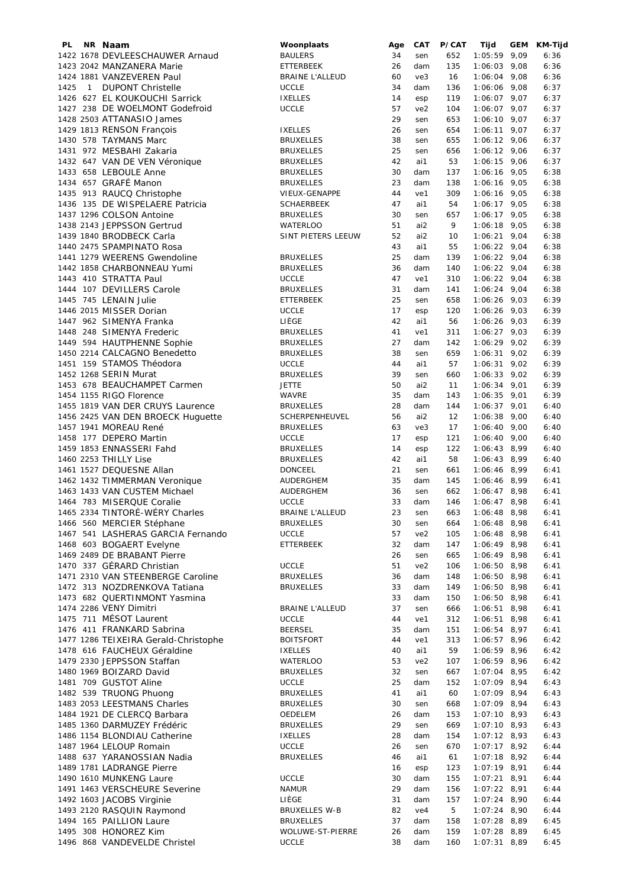| PL   |                | NR Naam                              | Woonplaats             | Age | CAT             | P/CAT | Tijd           | <b>GEM</b> | KM-Tijd |
|------|----------------|--------------------------------------|------------------------|-----|-----------------|-------|----------------|------------|---------|
|      |                | 1422 1678 DEVLEESCHAUWER Arnaud      | <b>BAULERS</b>         | 34  | sen             | 652   | $1:05:59$ 9,09 |            | 6:36    |
|      |                | 1423 2042 MANZANERA Marie            | <b>ETTERBEEK</b>       | 26  | dam             | 135   | $1:06:03$ 9,08 |            | 6:36    |
|      |                |                                      |                        |     |                 |       |                |            |         |
|      |                | 1424 1881 VANZEVEREN Paul            | <b>BRAINE L'ALLEUD</b> | 60  | ve3             | 16    | $1:06:04$ 9,08 |            | 6:36    |
| 1425 | $\overline{1}$ | <b>DUPONT Christelle</b>             | <b>UCCLE</b>           | 34  | dam             | 136   | $1:06:06$ 9,08 |            | 6:37    |
|      |                | 1426 627 EL KOUKOUCHI Sarrick        | <b>IXELLES</b>         | 14  | esp             | 119   | $1:06:07$ 9,07 |            | 6:37    |
|      |                | 1427 238 DE WOELMONT Godefroid       | <b>UCCLE</b>           | 57  | ve <sub>2</sub> | 104   | $1:06:07$ 9,07 |            | 6:37    |
|      |                |                                      |                        |     |                 |       |                |            |         |
|      |                | 1428 2503 ATTANASIO James            |                        | 29  | sen             | 653   | $1:06:10$ 9,07 |            | 6:37    |
|      |                | 1429 1813 RENSON François            | <b>IXELLES</b>         | 26  | sen             | 654   | $1:06:11$ 9,07 |            | 6:37    |
|      |                | 1430 578 TAYMANS Marc                | <b>BRUXELLES</b>       | 38  | sen             | 655   | $1:06:12$ 9,06 |            | 6:37    |
|      |                | 1431 972 MESBAHI Zakaria             | <b>BRUXELLES</b>       | 25  | sen             | 656   | $1:06:12$ 9,06 |            | 6:37    |
|      |                |                                      |                        |     |                 |       |                |            |         |
|      |                | 1432 647 VAN DE VEN Véronique        | <b>BRUXELLES</b>       | 42  | ai1             | 53    | $1:06:15$ 9,06 |            | 6:37    |
|      |                | 1433 658 LEBOULE Anne                | <b>BRUXELLES</b>       | 30  | dam             | 137   | $1:06:16$ 9,05 |            | 6:38    |
|      |                | 1434 657 GRAFÉ Manon                 | <b>BRUXELLES</b>       | 23  | dam             | 138   | $1:06:16$ 9,05 |            | 6:38    |
|      |                | 1435 913 RAUCQ Christophe            | VIEUX-GENAPPE          | 44  | ve1             | 309   | $1:06:16$ 9,05 |            | 6:38    |
|      |                |                                      |                        |     |                 |       |                |            |         |
|      |                | 1436 135 DE WISPELAERE Patricia      | <b>SCHAERBEEK</b>      | 47  | ai1             | 54    | $1:06:17$ 9,05 |            | 6:38    |
|      |                | 1437 1296 COLSON Antoine             | <b>BRUXELLES</b>       | 30  | sen             | 657   | $1:06:17$ 9,05 |            | 6:38    |
|      |                | 1438 2143 JEPPSSON Gertrud           | WATERLOO               | 51  | ai2             | 9     | $1:06:18$ 9,05 |            | 6:38    |
|      |                | 1439 1840 BRODBECK Carla             | SINT PIETERS LEEUW     | 52  | ai2             | 10    | $1:06:21$ 9,04 |            | 6:38    |
|      |                |                                      |                        |     |                 |       |                |            |         |
|      |                | 1440 2475 SPAMPINATO Rosa            |                        | 43  | ai1             | 55    | $1:06:22$ 9,04 |            | 6:38    |
|      |                | 1441 1279 WEERENS Gwendoline         | <b>BRUXELLES</b>       | 25  | dam             | 139   | $1:06:22$ 9,04 |            | 6:38    |
|      |                | 1442 1858 CHARBONNEAU Yumi           | <b>BRUXELLES</b>       | 36  | dam             | 140   | $1:06:22$ 9,04 |            | 6:38    |
|      |                | 1443 410 STRATTA Paul                | <b>UCCLE</b>           | 47  | ve1             | 310   | $1:06:22$ 9,04 |            | 6:38    |
|      |                |                                      |                        |     |                 |       |                |            |         |
|      |                | 1444 107 DEVILLERS Carole            | <b>BRUXELLES</b>       | 31  | dam             | 141   | $1:06:24$ 9,04 |            | 6:38    |
|      |                | 1445 745 LENAIN Julie                | ETTERBEEK              | 25  | sen             | 658   | $1:06:26$ 9,03 |            | 6:39    |
|      |                | 1446 2015 MISSER Dorian              | <b>UCCLE</b>           | 17  | esp             | 120   | $1:06:26$ 9,03 |            | 6:39    |
|      |                | 1447 962 SIMENYA Franka              | LIÈGE                  | 42  | ai1             | 56    | $1:06:26$ 9,03 |            | 6:39    |
|      |                |                                      | <b>BRUXELLES</b>       | 41  |                 |       |                |            | 6:39    |
|      |                | 1448 248 SIMENYA Frederic            |                        |     | ve1             | 311   | $1:06:27$ 9,03 |            |         |
|      |                | 1449 594 HAUTPHENNE Sophie           | <b>BRUXELLES</b>       | 27  | dam             | 142   | $1:06:29$ 9,02 |            | 6:39    |
|      |                | 1450 2214 CALCAGNO Benedetto         | <b>BRUXELLES</b>       | 38  | sen             | 659   | $1:06:31$ 9,02 |            | 6:39    |
|      |                | 1451 159 STAMOS Théodora             | <b>UCCLE</b>           | 44  | ai1             | 57    | $1:06:31$ 9,02 |            | 6:39    |
|      |                | 1452 1268 SERIN Murat                | <b>BRUXELLES</b>       | 39  | sen             | 660   | $1:06:33$ 9,02 |            | 6:39    |
|      |                |                                      |                        |     |                 |       |                |            |         |
|      |                | 1453 678 BEAUCHAMPET Carmen          | <b>JETTE</b>           | 50  | ai2             | 11    | $1:06:34$ 9,01 |            | 6:39    |
|      |                | 1454 1155 RIGO Florence              | <b>WAVRE</b>           | 35  | dam             | 143   | $1:06:35$ 9,01 |            | 6:39    |
|      |                | 1455 1819 VAN DER CRUYS Laurence     | <b>BRUXELLES</b>       | 28  | dam             | 144   | $1:06:37$ 9,01 |            | 6:40    |
|      |                | 1456 2425 VAN DEN BROECK Huguette    | SCHERPENHEUVEL         | 56  | ai2             | 12    | $1:06:38$ 9,00 |            | 6:40    |
|      |                |                                      |                        |     |                 |       |                |            |         |
|      |                | 1457 1941 MOREAU René                | <b>BRUXELLES</b>       | 63  | ve3             | 17    | $1:06:40$ 9,00 |            | 6:40    |
|      |                | 1458 177 DEPERO Martin               | <b>UCCLE</b>           | 17  | esp             | 121   | $1:06:40$ 9,00 |            | 6:40    |
|      |                | 1459 1853 ENNASSERI Fahd             | <b>BRUXELLES</b>       | 14  | esp             | 122   | $1:06:43$ 8,99 |            | 6:40    |
|      |                | 1460 2253 THILLY Lise                | <b>BRUXELLES</b>       | 42  | ai1             | 58    | $1:06:43$ 8,99 |            | 6:40    |
|      |                | 1461 1527 DEQUESNE Allan             | <b>DONCEEL</b>         | 21  | sen             | 661   | 1:06:46 8,99   |            | 6:41    |
|      |                |                                      |                        |     |                 |       |                |            |         |
|      |                | 1462 1432 TIMMERMAN Veronique        | AUDERGHEM              | 35  | dam             | 145   | $1:06:46$ 8,99 |            | 6:41    |
|      |                | 1463 1433 VAN CUSTEM Michael         | AUDERGHEM              | 36  | sen             | 662   | $1:06:47$ 8,98 |            | 6:41    |
|      |                | 1464 783 MISERQUE Coralie            | <b>UCCLE</b>           | 33  | dam             | 146   | $1:06:47$ 8,98 |            | 6:41    |
|      |                | 1465 2334 TINTORÉ-WÉRY Charles       | BRAINE L'ALLEUD        | 23  | sen             | 663   | $1:06:48$ 8,98 |            | 6:41    |
|      |                | 1466 560 MERCIER Stéphane            | <b>BRUXELLES</b>       | 30  | sen             | 664   | $1:06:48$ 8,98 |            | 6:41    |
|      |                | 1467 541 LASHERAS GARCIA Fernando    |                        |     |                 |       |                |            |         |
|      |                |                                      | <b>UCCLE</b>           | 57  | ve <sub>2</sub> | 105   | $1:06:48$ 8,98 |            | 6:41    |
|      |                | 1468 603 BOGAERT Evelyne             | <b>ETTERBEEK</b>       | 32  | dam             | 147   | $1:06:49$ 8,98 |            | 6:41    |
|      |                | 1469 2489 DE BRABANT Pierre          |                        | 26  | sen             | 665   | $1:06:49$ 8,98 |            | 6:41    |
|      |                | 1470 337 GÉRARD Christian            | <b>UCCLE</b>           | 51  | ve <sub>2</sub> | 106   | $1:06:50$ 8,98 |            | 6:41    |
|      |                | 1471 2310 VAN STEENBERGE Caroline    | <b>BRUXELLES</b>       | 36  |                 | 148   | $1:06:50$ 8,98 |            |         |
|      |                |                                      |                        |     | dam             |       |                |            | 6:41    |
|      |                | 1472 313 NOZDRENKOVA Tatiana         | <b>BRUXELLES</b>       | 33  | dam             | 149   | $1:06:50$ 8,98 |            | 6:41    |
|      |                | 1473 682 QUERTINMONT Yasmina         |                        | 33  | dam             | 150   | $1:06:50$ 8,98 |            | 6:41    |
|      |                | 1474 2286 VENY Dimitri               | <b>BRAINE L'ALLEUD</b> | 37  | sen             | 666   | $1:06:51$ 8,98 |            | 6:41    |
|      |                | 1475 711 MÉSOT Laurent               | <b>UCCLE</b>           | 44  | ve1             | 312   | $1:06:51$ 8,98 |            | 6:41    |
|      |                | 1476 411 FRANKARD Sabrina            | <b>BEERSEL</b>         | 35  |                 |       | $1:06:54$ 8,97 |            |         |
|      |                |                                      |                        |     | dam             | 151   |                |            | 6:41    |
|      |                | 1477 1286 TEIXEIRA Gerald-Christophe | <b>BOITSFORT</b>       | 44  | ve1             | 313   | 1:06:57 8,96   |            | 6:42    |
|      |                | 1478 616 FAUCHEUX Géraldine          | <b>IXELLES</b>         | 40  | ai1             | 59    | 1:06:59 8,96   |            | 6:42    |
|      |                | 1479 2330 JEPPSSON Staffan           | <b>WATERLOO</b>        | 53  | ve <sub>2</sub> | 107   | 1:06:59 8,96   |            | 6:42    |
|      |                | 1480 1969 BOIZARD David              | <b>BRUXELLES</b>       | 32  | sen             | 667   | $1:07:04$ 8,95 |            | 6:42    |
|      |                |                                      |                        |     |                 |       |                |            |         |
|      |                | 1481 709 GUSTOT Aline                | <b>UCCLE</b>           | 25  | dam             | 152   | $1:07:09$ 8,94 |            | 6:43    |
|      |                | 1482 539 TRUONG Phuong               | <b>BRUXELLES</b>       | 41  | ai1             | 60    | $1:07:09$ 8,94 |            | 6:43    |
|      |                | 1483 2053 LEESTMANS Charles          | <b>BRUXELLES</b>       | 30  | sen             | 668   | $1:07:09$ 8,94 |            | 6:43    |
|      |                | 1484 1921 DE CLERCQ Barbara          | OEDELEM                | 26  | dam             | 153   | $1:07:10$ 8,93 |            | 6:43    |
|      |                | 1485 1360 DARMUZEY Frédéric          | <b>BRUXELLES</b>       | 29  |                 |       | $1:07:10$ 8,93 |            |         |
|      |                |                                      |                        |     | sen             | 669   |                |            | 6:43    |
|      |                | 1486 1154 BLONDIAU Catherine         | <b>IXELLES</b>         | 28  | dam             | 154   | $1:07:12$ 8,93 |            | 6:43    |
|      |                | 1487 1964 LELOUP Romain              | <b>UCCLE</b>           | 26  | sen             | 670   | $1:07:17$ 8,92 |            | 6:44    |
|      |                | 1488 637 YARANOSSIAN Nadia           | <b>BRUXELLES</b>       | 46  | ai1             | 61    | $1:07:18$ 8,92 |            | 6:44    |
|      |                | 1489 1781 LADRANGE Pierre            |                        | 16  | esp             | 123   | $1:07:19$ 8,91 |            | 6:44    |
|      |                |                                      |                        |     |                 |       |                |            |         |
|      |                | 1490 1610 MUNKENG Laure              | <b>UCCLE</b>           | 30  | dam             | 155   | $1:07:21$ 8,91 |            | 6:44    |
|      |                | 1491 1463 VERSCHEURE Severine        | <b>NAMUR</b>           | 29  | dam             | 156   | $1:07:22$ 8,91 |            | 6:44    |
|      |                | 1492 1603 JACOBS Virginie            | LIÈGE                  | 31  | dam             | 157   | $1:07:24$ 8,90 |            | 6:44    |
|      |                | 1493 2120 RASQUIN Raymond            | <b>BRUXELLES W-B</b>   | 82  | ve4             | 5     | $1:07:24$ 8,90 |            | 6:44    |
|      |                | 1494 165 PAILLION Laure              | <b>BRUXELLES</b>       | 37  | dam             |       | $1:07:28$ 8,89 |            | 6:45    |
|      |                |                                      |                        |     |                 | 158   |                |            |         |
|      |                | 1495 308 HONOREZ Kim                 | WOLUWE-ST-PIERRE       | 26  | dam             | 159   | $1:07:28$ 8,89 |            | 6:45    |
|      |                | 1496 868 VANDEVELDE Christel         | <b>UCCLE</b>           | 38  | dam             | 160   | $1:07:31$ 8,89 |            | 6:45    |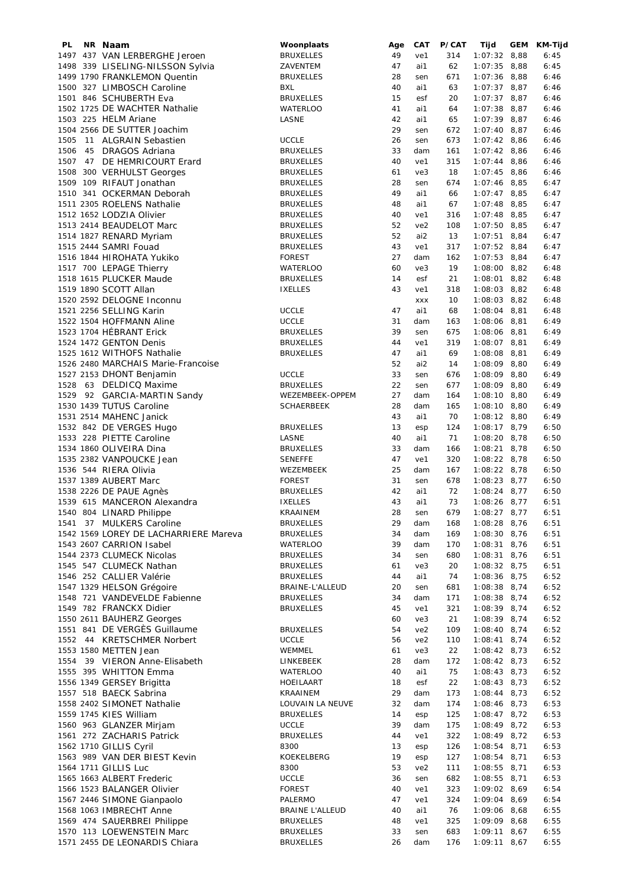| PL.  | NR Naam                               | Woonplaats             | Age | CAT             | P/CAT | Tijd           | <b>GEM</b> | KM-Tijd |
|------|---------------------------------------|------------------------|-----|-----------------|-------|----------------|------------|---------|
|      | 1497 437 VAN LERBERGHE Jeroen         | <b>BRUXELLES</b>       | 49  | ve1             | 314   | $1:07:32$ 8,88 |            | 6:45    |
|      | 1498 339 LISELING-NILSSON Sylvia      | ZAVENTEM               | 47  | ai1             | 62    | $1:07:35$ 8,88 |            | 6:45    |
|      | 1499 1790 FRANKLEMON Quentin          | <b>BRUXELLES</b>       | 28  | sen             | 671   | $1:07:36$ 8,88 |            | 6:46    |
|      | 1500 327 LIMBOSCH Caroline            | BXL                    | 40  | ai1             | 63    | $1:07:37$ 8,87 |            | 6:46    |
|      | 1501 846 SCHUBERTH Eva                | <b>BRUXELLES</b>       | 15  | esf             | 20    | $1:07:37$ 8,87 |            | 6:46    |
|      | 1502 1725 DE WACHTER Nathalie         | <b>WATERLOO</b>        | 41  | ai1             | 64    | $1:07:38$ 8,87 |            | 6:46    |
|      |                                       |                        |     |                 |       |                |            |         |
|      | 1503 225 HELM Ariane                  | LASNE                  | 42  | ai1             | 65    | $1:07:39$ 8,87 |            | 6:46    |
|      | 1504 2566 DE SUTTER Joachim           |                        | 29  | sen             | 672   | $1:07:40$ 8,87 |            | 6:46    |
| 1505 | 11 ALGRAIN Sebastien                  | <b>UCCLE</b>           | 26  | sen             | 673   | $1:07:42$ 8,86 |            | 6:46    |
| 1506 | 45 DRAGOS Adriana                     | <b>BRUXELLES</b>       | 33  | dam             | 161   | $1:07:42$ 8,86 |            | 6:46    |
| 1507 | 47 DE HEMRICOURT Erard                | <b>BRUXELLES</b>       | 40  | ve1             | 315   | $1:07:44$ 8,86 |            | 6:46    |
| 1508 | 300 VERHULST Georges                  | <b>BRUXELLES</b>       | 61  | ve3             | 18    | $1:07:45$ 8,86 |            | 6:46    |
|      | 1509 109 RIFAUT Jonathan              | <b>BRUXELLES</b>       | 28  | sen             | 674   | $1:07:46$ 8,85 |            | 6:47    |
|      | 1510 341 OCKERMAN Deborah             |                        | 49  | ai1             | 66    |                |            | 6:47    |
|      |                                       | <b>BRUXELLES</b>       |     |                 |       | $1:07:47$ 8,85 |            |         |
|      | 1511 2305 ROELENS Nathalie            | <b>BRUXELLES</b>       | 48  | ai1             | 67    | $1:07:48$ 8,85 |            | 6:47    |
|      | 1512 1652 LODZIA Olivier              | <b>BRUXELLES</b>       | 40  | ve1             | 316   | $1:07:48$ 8,85 |            | 6:47    |
|      | 1513 2414 BEAUDELOT Marc              | <b>BRUXELLES</b>       | 52  | ve2             | 108   | $1:07:50$ 8,85 |            | 6:47    |
|      | 1514 1827 RENARD Myriam               | <b>BRUXELLES</b>       | 52  | ai2             | 13    | $1:07:51$ 8,84 |            | 6:47    |
|      | 1515 2444 SAMRI Fouad                 | <b>BRUXELLES</b>       | 43  | ve1             | 317   | $1:07:52$ 8,84 |            | 6:47    |
|      | 1516 1844 HIROHATA Yukiko             | <b>FOREST</b>          | 27  | dam             | 162   | $1:07:53$ 8,84 |            | 6:47    |
|      | 1517 700 LEPAGE Thierry               | <b>WATERLOO</b>        | 60  | ve3             | 19    | $1:08:00$ 8,82 |            | 6:48    |
|      | 1518 1615 PLUCKER Maude               | <b>BRUXELLES</b>       | 14  | esf             | 21    | $1:08:01$ 8,82 |            | 6:48    |
|      |                                       |                        |     |                 |       |                |            |         |
|      | 1519 1890 SCOTT Allan                 | <b>IXELLES</b>         | 43  | ve1             | 318   | $1:08:03$ 8,82 |            | 6:48    |
|      | 1520 2592 DELOGNE Inconnu             |                        |     | <b>XXX</b>      | 10    | $1:08:03$ 8,82 |            | 6:48    |
|      | 1521 2256 SELLING Karin               | <b>UCCLE</b>           | 47  | ai1             | 68    | $1:08:04$ 8,81 |            | 6:48    |
|      | 1522 1504 HOFFMANN Aline              | <b>UCCLE</b>           | 31  | dam             | 163   | $1:08:06$ 8,81 |            | 6:49    |
|      | 1523 1704 HÉBRANT Erick               | <b>BRUXELLES</b>       | 39  | sen             | 675   | $1:08:06$ 8,81 |            | 6:49    |
|      | 1524 1472 GENTON Denis                | <b>BRUXELLES</b>       | 44  | ve1             | 319   | $1:08:07$ 8,81 |            | 6:49    |
|      | 1525 1612 WITHOFS Nathalie            | <b>BRUXELLES</b>       | 47  | ai1             | 69    | $1:08:08$ 8,81 |            | 6:49    |
|      | 1526 2480 MARCHAIS Marie-Francoise    |                        | 52  | ai2             | 14    | $1:08:09$ 8,80 |            | 6:49    |
|      |                                       |                        |     |                 |       |                |            |         |
|      | 1527 2153 DHONT Benjamin              | <b>UCCLE</b>           | 33  | sen             | 676   | $1:08:09$ 8,80 |            | 6:49    |
|      | 1528 63 DELDICQ Maxime                | <b>BRUXELLES</b>       | 22  | sen             | 677   | $1:08:09$ 8,80 |            | 6:49    |
|      | 1529 92 GARCIA-MARTIN Sandy           | WEZEMBEEK-OPPEM        | 27  | dam             | 164   | $1:08:10$ 8,80 |            | 6:49    |
|      | 1530 1439 TUTUS Caroline              | <b>SCHAERBEEK</b>      | 28  | dam             | 165   | $1:08:10$ 8,80 |            | 6:49    |
|      | 1531 2514 MAHENC Janick               |                        | 43  | ai1             | 70    | $1:08:12$ 8,80 |            | 6:49    |
|      | 1532 842 DE VERGES Hugo               | <b>BRUXELLES</b>       | 13  | esp             | 124   | $1:08:17$ 8,79 |            | 6:50    |
|      | 1533 228 PIETTE Caroline              | LASNE                  | 40  | ai1             | 71    | $1:08:20$ 8,78 |            | 6:50    |
|      | 1534 1860 OLIVEIRA Dina               | <b>BRUXELLES</b>       | 33  | dam             | 166   | $1:08:21$ 8,78 |            | 6:50    |
|      |                                       |                        |     |                 |       |                |            |         |
|      | 1535 2382 VANPOUCKE Jean              | <b>SENEFFE</b>         | 47  | ve1             | 320   | $1:08:22$ 8,78 |            | 6:50    |
|      | 1536 544 RIERA Olivia                 | WEZEMBEEK              | 25  | dam             | 167   | $1:08:22$ 8,78 |            | 6:50    |
|      | 1537 1389 AUBERT Marc                 | <b>FOREST</b>          | 31  | sen             | 678   | $1:08:23$ 8,77 |            | 6:50    |
|      | 1538 2226 DE PAUE Agnès               | <b>BRUXELLES</b>       | 42  | ai1             | 72    | $1:08:24$ 8,77 |            | 6:50    |
|      | 1539 615 MANCERON Alexandra           | <b>IXELLES</b>         | 43  | ai1             | 73    | $1:08:26$ 8,77 |            | 6:51    |
|      | 1540 804 LINARD Philippe              | KRAAINEM               | 28  | sen             | 679   | $1:08:27$ 8,77 |            | 6:51    |
|      | 1541 37 MULKERS Caroline              | <b>BRUXELLES</b>       | 29  | dam             | 168   | $1:08:28$ 8,76 |            | 6:51    |
|      | 1542 1569 LOREY DE LACHARRIERE Mareva | <b>BRUXELLES</b>       | 34  | dam             | 169   | $1:08:30$ 8,76 |            | 6:51    |
|      | 1543 2607 CARRION Isabel              |                        | 39  |                 | 170   | $1:08:31$ 8,76 |            |         |
|      |                                       | <b>WATERLOO</b>        |     | dam             |       |                |            | 6:51    |
|      | 1544 2373 CLUMECK Nicolas             | <b>BRUXELLES</b>       | 34  | sen             | 680   | $1:08:31$ 8,76 |            | 6:51    |
|      | 1545 547 CLUMECK Nathan               | <b>BRUXELLES</b>       | 61  | ve3             | 20    | $1:08:32$ 8,75 |            | 6:51    |
|      | 1546 252 CALLIER Valérie              | <b>BRUXELLES</b>       | 44  | ai1             | 74    | $1:08:36$ 8,75 |            | 6:52    |
|      | 1547 1329 HELSON Grégoire             | BRAINE-L'ALLEUD        | 20  | sen             | 681   | $1:08:38$ 8,74 |            | 6:52    |
|      | 1548 721 VANDEVELDE Fabienne          | <b>BRUXELLES</b>       | 34  | dam             | 171   | $1:08:38$ 8,74 |            | 6:52    |
|      | 1549 782 FRANCKX Didier               | <b>BRUXELLES</b>       | 45  | ve1             | 321   | $1:08:39$ 8,74 |            | 6:52    |
|      | 1550 2611 BAUHERZ Georges             |                        | 60  | ve3             | 21    | 1:08:39 8,74   |            | 6:52    |
|      | 1551 841 DE VERGÈS Guillaume          | <b>BRUXELLES</b>       | 54  | ve <sub>2</sub> | 109   | $1:08:40$ 8,74 |            | 6:52    |
|      |                                       |                        |     |                 |       |                |            |         |
|      | 1552 44 KRETSCHMER Norbert            | <b>UCCLE</b>           | 56  | ve <sub>2</sub> | 110   | $1:08:41$ 8,74 |            | 6:52    |
|      | 1553 1580 METTEN Jean                 | WEMMEL                 | 61  | ve3             | 22    | $1:08:42$ 8,73 |            | 6:52    |
|      | 1554 39 VIERON Anne-Elisabeth         | LINKEBEEK              | 28  | dam             | 172   | $1:08:42$ 8,73 |            | 6:52    |
|      | 1555 395 WHITTON Emma                 | <b>WATERLOO</b>        | 40  | ai1             | 75    | $1:08:43$ 8,73 |            | 6:52    |
|      | 1556 1349 GERSEY Brigitta             | HOEILAART              | 18  | esf             | 22    | $1:08:43$ 8,73 |            | 6:52    |
|      | 1557 518 BAECK Sabrina                | KRAAINEM               | 29  | dam             | 173   | $1:08:44$ 8,73 |            | 6:52    |
|      | 1558 2402 SIMONET Nathalie            | LOUVAIN LA NEUVE       | 32  | dam             | 174   | $1:08:46$ 8,73 |            | 6:53    |
|      | 1559 1745 KIES William                | <b>BRUXELLES</b>       | 14  |                 | 125   | $1:08:47$ 8,72 |            |         |
|      |                                       |                        |     | esp             |       |                |            | 6:53    |
|      | 1560 963 GLANZER Mirjam               | <b>UCCLE</b>           | 39  | dam             | 175   | $1:08:49$ 8,72 |            | 6:53    |
|      | 1561 272 ZACHARIS Patrick             | <b>BRUXELLES</b>       | 44  | ve1             | 322   | $1:08:49$ 8,72 |            | 6:53    |
|      | 1562 1710 GILLIS Cyril                | 8300                   | 13  | esp             | 126   | $1:08:54$ 8,71 |            | 6:53    |
|      | 1563 989 VAN DER BIEST Kevin          | KOEKELBERG             | 19  | esp             | 127   | 1:08:54 8,71   |            | 6:53    |
|      | 1564 1711 GILLIS Luc                  | 8300                   | 53  | ve <sub>2</sub> | 111   | $1:08:55$ 8,71 |            | 6:53    |
|      | 1565 1663 ALBERT Frederic             | <b>UCCLE</b>           | 36  | sen             | 682   | $1:08:55$ 8,71 |            | 6:53    |
|      | 1566 1523 BALANGER Olivier            | <b>FOREST</b>          | 40  | ve1             | 323   | $1:09:02$ 8,69 |            | 6:54    |
|      | 1567 2446 SIMONE Gianpaolo            | PALERMO                | 47  | ve1             | 324   | $1:09:04$ 8,69 |            | 6:54    |
|      |                                       |                        |     |                 |       |                |            |         |
|      | 1568 1063 IMBRECHT Anne               | <b>BRAINE L'ALLEUD</b> | 40  | ai1             | 76    | $1:09:06$ 8,68 |            | 6:55    |
|      | 1569 474 SAUERBREI Philippe           | <b>BRUXELLES</b>       | 48  | ve1             | 325   | $1:09:09$ 8,68 |            | 6:55    |
|      | 1570 113 LOEWENSTEIN Marc             | <b>BRUXELLES</b>       | 33  | sen             | 683   | $1:09:11$ 8,67 |            | 6:55    |
|      | 1571 2455 DE LEONARDIS Chiara         | <b>BRUXELLES</b>       | 26  | dam             | 176   | $1:09:11$ 8,67 |            | 6:55    |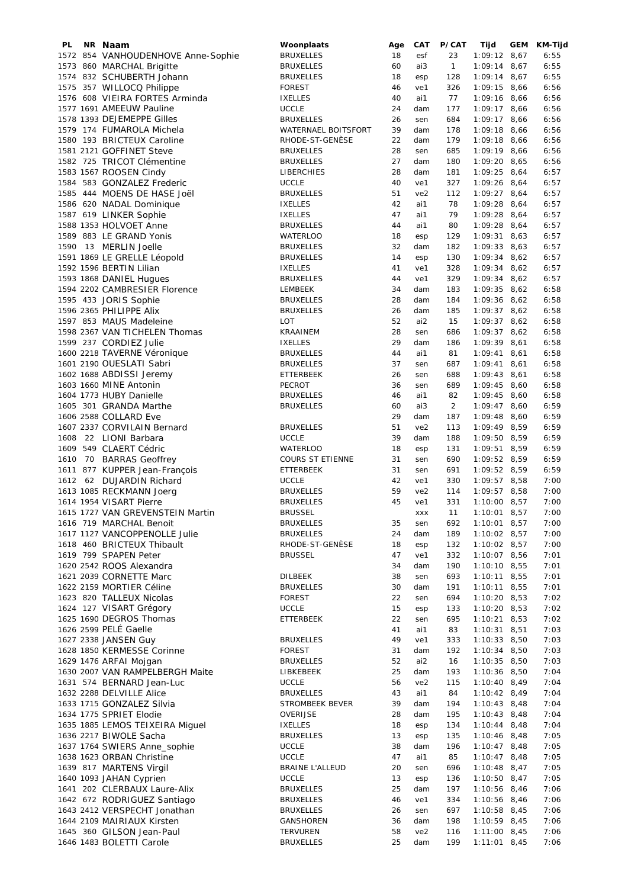| PL. | NR Naam                            | Woonplaats             | Age | CAT             | P/CAT          | Tijd           | GEM | KM-Tijd |
|-----|------------------------------------|------------------------|-----|-----------------|----------------|----------------|-----|---------|
|     | 1572 854 VANHOUDENHOVE Anne-Sophie | <b>BRUXELLES</b>       | 18  | esf             | 23             | $1:09:12$ 8,67 |     | 6:55    |
|     | 1573 860 MARCHAL Brigitte          | <b>BRUXELLES</b>       | 60  | ai3             | $\mathbf{1}$   | $1:09:14$ 8,67 |     | 6:55    |
|     | 1574 832 SCHUBERTH Johann          | <b>BRUXELLES</b>       | 18  | esp             | 128            | $1:09:14$ 8,67 |     | 6:55    |
|     | 1575 357 WILLOCQ Philippe          | <b>FOREST</b>          | 46  | ve1             | 326            | $1:09:15$ 8,66 |     | 6:56    |
|     | 1576 608 VIEIRA FORTES Arminda     | <b>IXELLES</b>         | 40  | ai1             | 77             | $1:09:16$ 8,66 |     | 6:56    |
|     | 1577 1691 AMEEUW Pauline           | <b>UCCLE</b>           | 24  | dam             | 177            | $1:09:17$ 8,66 |     | 6:56    |
|     | 1578 1393 DEJEMEPPE Gilles         | <b>BRUXELLES</b>       | 26  | sen             | 684            | $1:09:17$ 8,66 |     | 6:56    |
|     | 1579 174 FUMAROLA Michela          | WATERNAEL BOITSFORT    | 39  | dam             | 178            | $1:09:18$ 8,66 |     | 6:56    |
|     | 1580 193 BRICTEUX Caroline         | RHODE-ST-GENÈSE        | 22  | dam             | 179            | $1:09:18$ 8,66 |     | 6:56    |
|     | 1581 2121 GOFFINET Steve           | <b>BRUXELLES</b>       | 28  | sen             | 685            | $1:09:19$ 8,66 |     | 6:56    |
|     | 1582 725 TRICOT Clémentine         | <b>BRUXELLES</b>       | 27  | dam             | 180            | $1:09:20$ 8,65 |     | 6:56    |
|     | 1583 1567 ROOSEN Cindy             | LIBERCHIES             | 28  | dam             | 181            | $1:09:25$ 8,64 |     | 6:57    |
|     | 1584 583 GONZALEZ Frederic         | <b>UCCLE</b>           | 40  | ve1             | 327            | $1:09:26$ 8,64 |     | 6:57    |
|     | 1585 444 MOENS DE HASE Joël        | <b>BRUXELLES</b>       | 51  | ve2             | 112            | $1:09:27$ 8,64 |     | 6:57    |
|     | 1586 620 NADAL Dominique           | <b>IXELLES</b>         | 42  | ai1             | 78             | $1:09:28$ 8,64 |     | 6:57    |
|     | 1587 619 LINKER Sophie             | <b>IXELLES</b>         | 47  | ai1             | 79             | $1:09:28$ 8,64 |     | 6:57    |
|     | 1588 1353 HOLVOET Anne             | <b>BRUXELLES</b>       | 44  | ai1             | 80             | $1:09:28$ 8,64 |     | 6:57    |
|     | 1589 883 LE GRAND Yonis            | <b>WATERLOO</b>        | 18  | esp             | 129            | $1:09:31$ 8,63 |     | 6:57    |
|     | 1590 13 MERLIN Joelle              | <b>BRUXELLES</b>       | 32  | dam             | 182            | $1:09:33$ 8,63 |     | 6:57    |
|     | 1591 1869 LE GRELLE Léopold        | <b>BRUXELLES</b>       | 14  | esp             | 130            | $1:09:34$ 8,62 |     | 6:57    |
|     | 1592 1596 BERTIN Lilian            | <b>IXELLES</b>         | 41  | ve1             | 328            | $1:09:34$ 8,62 |     | 6:57    |
|     | 1593 1868 DANIEL Hugues            | <b>BRUXELLES</b>       | 44  | ve1             | 329            | $1:09:34$ 8,62 |     | 6:57    |
|     | 1594 2202 CAMBRESIER Florence      | LEMBEEK                | 34  | dam             | 183            | $1:09:35$ 8,62 |     | 6:58    |
|     | 1595 433 JORIS Sophie              |                        | 28  | dam             | 184            | $1:09:36$ 8,62 |     | 6:58    |
|     | 1596 2365 PHILIPPE Alix            | <b>BRUXELLES</b>       |     |                 |                |                |     |         |
|     |                                    | <b>BRUXELLES</b>       | 26  | dam             | 185            | $1:09:37$ 8,62 |     | 6:58    |
|     | 1597 853 MAUS Madeleine            | LOT                    | 52  | ai2             | 15             | $1:09:37$ 8,62 |     | 6:58    |
|     | 1598 2367 VAN TICHELEN Thomas      | KRAAINEM               | 28  | sen             | 686            | $1:09:37$ 8,62 |     | 6:58    |
|     | 1599 237 CORDIEZ Julie             | <b>IXELLES</b>         | 29  | dam             | 186            | $1:09:39$ 8,61 |     | 6:58    |
|     | 1600 2218 TAVERNE Véronique        | <b>BRUXELLES</b>       | 44  | ai1             | 81             | $1:09:41$ 8,61 |     | 6:58    |
|     | 1601 2190 OUESLATI Sabri           | <b>BRUXELLES</b>       | 37  | sen             | 687            | $1:09:41$ 8,61 |     | 6:58    |
|     | 1602 1688 ABDISSI Jeremy           | ETTERBEEK              | 26  | sen             | 688            | $1:09:43$ 8,61 |     | 6:58    |
|     | 1603 1660 MINE Antonin             | PECROT                 | 36  | sen             | 689            | $1:09:45$ 8,60 |     | 6:58    |
|     | 1604 1773 HUBY Danielle            | <b>BRUXELLES</b>       | 46  | ai1             | 82             | $1:09:45$ 8,60 |     | 6:58    |
|     | 1605 301 GRANDA Marthe             | <b>BRUXELLES</b>       | 60  | ai3             | $\overline{2}$ | $1:09:47$ 8,60 |     | 6:59    |
|     | 1606 2588 COLLARD Eve              |                        | 29  | dam             | 187            | $1:09:48$ 8,60 |     | 6:59    |
|     | 1607 2337 CORVILAIN Bernard        | <b>BRUXELLES</b>       | 51  | ve2             | 113            | $1:09:49$ 8,59 |     | 6:59    |
|     | 1608 22 LIONI Barbara              | <b>UCCLE</b>           | 39  | dam             | 188            | $1:09:50$ 8,59 |     | 6:59    |
|     | 1609 549 CLAERT Cédric             | <b>WATERLOO</b>        | 18  | esp             | 131            | $1:09:51$ 8,59 |     | 6:59    |
|     | 1610 70 BARRAS Geoffrey            | COURS ST ETIENNE       | 31  | sen             | 690            | $1:09:52$ 8,59 |     | 6:59    |
|     | 1611 877 KUPPER Jean-François      | <b>ETTERBEEK</b>       | 31  | sen             | 691            | 1:09:52 8,59   |     | 6:59    |
|     | 1612 62 DUJARDIN Richard           | <b>UCCLE</b>           | 42  | ve1             | 330            | $1:09:57$ 8,58 |     | 7:00    |
|     | 1613 1085 RECKMANN Joerg           | <b>BRUXELLES</b>       | 59  | ve2             | 114            | $1:09:57$ 8,58 |     | 7:00    |
|     | 1614 1954 VISART Pierre            | <b>BRUXELLES</b>       | 45  | ve1             | 331            | $1:10:00$ 8,57 |     | 7:00    |
|     | 1615 1727 VAN GREVENSTEIN Martin   | <b>BRUSSEL</b>         |     | <b>XXX</b>      | 11             | $1:10:01$ 8,57 |     | 7:00    |
|     | 1616 719 MARCHAL Benoit            | <b>BRUXELLES</b>       | 35  | sen             | 692            | $1:10:01$ 8,57 |     | 7:00    |
|     | 1617 1127 VANCOPPENOLLE Julie      | <b>BRUXELLES</b>       | 24  | dam             | 189            | $1:10:02$ 8,57 |     | 7:00    |
|     | 1618 460 BRICTEUX Thibault         | RHODE-ST-GENÈSE        | 18  | esp             | 132            | $1:10:02$ 8,57 |     | 7:00    |
|     | 1619 799 SPAPEN Peter              | <b>BRUSSEL</b>         | 47  | ve1             | 332            | $1:10:07$ 8,56 |     | 7:01    |
|     | 1620 2542 ROOS Alexandra           |                        | 34  | dam             | 190            | $1:10:10$ 8,55 |     | 7:01    |
|     | 1621 2039 CORNETTE Marc            | <b>DILBEEK</b>         | 38  | sen             | 693            | $1:10:11$ 8,55 |     | 7:01    |
|     | 1622 2159 MORTIER Céline           | <b>BRUXELLES</b>       | 30  | dam             | 191            | $1:10:11$ 8,55 |     | 7:01    |
|     | 1623 820 TALLEUX Nicolas           | <b>FOREST</b>          | 22  | sen             | 694            | $1:10:20$ 8,53 |     | 7:02    |
|     | 1624 127 VISART Grégory            | <b>UCCLE</b>           | 15  | esp             | 133            | $1:10:20$ 8,53 |     | 7:02    |
|     | 1625 1690 DEGROS Thomas            | ETTERBEEK              | 22  | sen             | 695            | $1:10:21$ 8,53 |     | 7:02    |
|     | 1626 2599 PELÉ Gaelle              |                        | 41  | ai1             | 83             | $1:10:31$ 8,51 |     | 7:03    |
|     | 1627 2338 JANSEN Guy               | <b>BRUXELLES</b>       | 49  | ve1             | 333            | $1:10:33$ 8,50 |     | 7:03    |
|     | 1628 1850 KERMESSE Corinne         |                        |     |                 |                | $1:10:34$ 8,50 |     |         |
|     |                                    | <b>FOREST</b>          | 31  | dam             | 192            |                |     | 7:03    |
|     | 1629 1476 ARFAI Mojgan             | <b>BRUXELLES</b>       | 52  | ai2             | 16             | $1:10:35$ 8,50 |     | 7:03    |
|     | 1630 2007 VAN RAMPELBERGH Maite    | LIBKEBEEK              | 25  | dam             | 193            | $1:10:36$ 8,50 |     | 7:04    |
|     | 1631 574 BERNARD Jean-Luc          | <b>UCCLE</b>           | 56  | ve <sub>2</sub> | 115            | $1:10:40$ 8,49 |     | 7:04    |
|     | 1632 2288 DELVILLE Alice           | <b>BRUXELLES</b>       | 43  | ai1             | 84             | $1:10:42$ 8,49 |     | 7:04    |
|     | 1633 1715 GONZALEZ Silvia          | STROMBEEK BEVER        | 39  | dam             | 194            | $1:10:43$ 8,48 |     | 7:04    |
|     | 1634 1775 SPRIET Elodie            | OVERIJSE               | 28  | dam             | 195            | $1:10:43$ 8,48 |     | 7:04    |
|     | 1635 1885 LEMOS TEIXEIRA Miguel    | <b>IXELLES</b>         | 18  | esp             | 134            | $1:10:44$ 8,48 |     | 7:04    |
|     | 1636 2217 BIWOLE Sacha             | <b>BRUXELLES</b>       | 13  | esp             | 135            | $1:10:46$ 8,48 |     | 7:05    |
|     | 1637 1764 SWIERS Anne_sophie       | <b>UCCLE</b>           | 38  | dam             | 196            | $1:10:47$ 8,48 |     | 7:05    |
|     | 1638 1623 ORBAN Christine          | <b>UCCLE</b>           | 47  | ai1             | 85             | $1:10:47$ 8,48 |     | 7:05    |
|     | 1639 817 MARTENS Virgil            | <b>BRAINE L'ALLEUD</b> | 20  | sen             | 696            | $1:10:48$ 8,47 |     | 7:05    |
|     | 1640 1093 JAHAN Cyprien            | <b>UCCLE</b>           | 13  | esp             | 136            | $1:10:50$ 8,47 |     | 7:05    |
|     | 1641 202 CLERBAUX Laure-Alix       | <b>BRUXELLES</b>       | 25  | dam             | 197            | $1:10:56$ 8,46 |     | 7:06    |
|     | 1642 672 RODRIGUEZ Santiago        | <b>BRUXELLES</b>       | 46  | ve1             | 334            | $1:10:56$ 8,46 |     | 7:06    |
|     | 1643 2412 VERSPECHT Jonathan       | <b>BRUXELLES</b>       | 26  | sen             | 697            | $1:10:58$ 8,45 |     | 7:06    |
|     | 1644 2109 MAIRIAUX Kirsten         | GANSHOREN              | 36  | dam             | 198            | $1:10:59$ 8,45 |     | 7:06    |
|     | 1645 360 GILSON Jean-Paul          | <b>TERVUREN</b>        | 58  | ve2             | 116            | $1:11:00$ 8,45 |     | 7:06    |
|     | 1646 1483 BOLETTI Carole           | <b>BRUXELLES</b>       | 25  | dam             | 199            | $1:11:01$ 8,45 |     | 7:06    |
|     |                                    |                        |     |                 |                |                |     |         |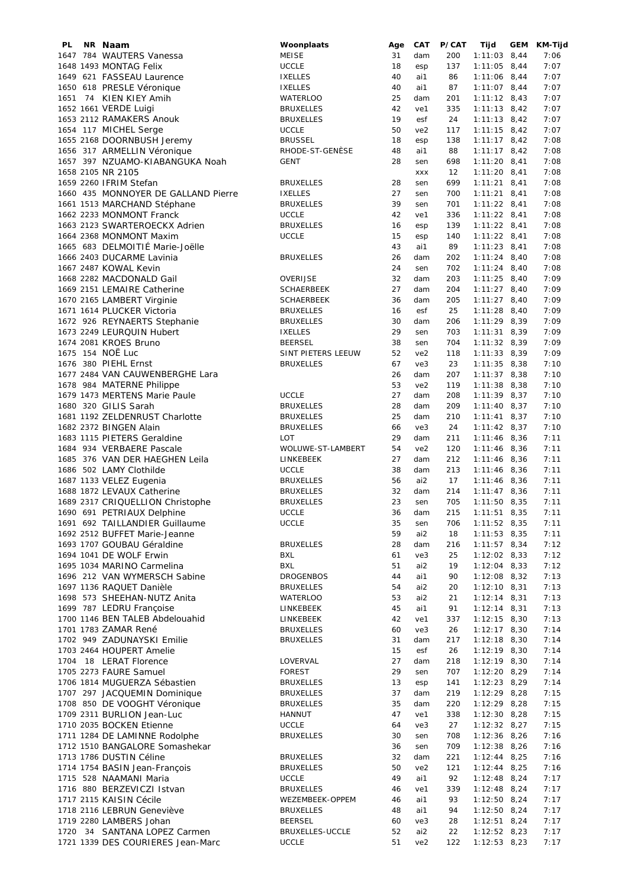| PL. | NR Naam                             | Woonplaats         | Age | <b>CAT</b>      | P/CAT | Tijd           | GEM | KM-Tijd |
|-----|-------------------------------------|--------------------|-----|-----------------|-------|----------------|-----|---------|
|     | 1647 784 WAUTERS Vanessa            | MEISE              | 31  | dam             | 200   | $1:11:03$ 8,44 |     | 7:06    |
|     | 1648 1493 MONTAG Felix              | <b>UCCLE</b>       | 18  | esp             | 137   | $1:11:05$ 8,44 |     | 7:07    |
|     | 1649 621 FASSEAU Laurence           | <b>IXELLES</b>     | 40  | ai1             | 86    | $1:11:06$ 8,44 |     | 7:07    |
|     |                                     |                    |     |                 |       |                |     |         |
|     | 1650 618 PRESLE Véronique           | <b>IXELLES</b>     | 40  | ai1             | 87    | $1:11:07$ 8,44 |     | 7:07    |
|     | 1651 74 KIEN KIEY Amih              | <b>WATERLOO</b>    | 25  | dam             | 201   | $1:11:12$ 8,43 |     | 7:07    |
|     | 1652 1661 VERDE Luigi               | <b>BRUXELLES</b>   | 42  | ve1             | 335   | $1:11:13$ 8,42 |     | 7:07    |
|     | 1653 2112 RAMAKERS Anouk            | <b>BRUXELLES</b>   | 19  | esf             | 24    | $1:11:13$ 8,42 |     | 7:07    |
|     |                                     | <b>UCCLE</b>       | 50  | ve2             | 117   |                |     | 7:07    |
|     | 1654 117 MICHEL Serge               |                    |     |                 |       | $1:11:15$ 8,42 |     |         |
|     | 1655 2168 DOORNBUSH Jeremy          | <b>BRUSSEL</b>     | 18  | esp             | 138   | $1:11:17$ 8,42 |     | 7:08    |
|     | 1656 317 ARMELLIN Véronique         | RHODE-ST-GENÈSE    | 48  | ai1             | 88    | $1:11:17$ 8,42 |     | 7:08    |
|     | 1657 397 NZUAMO-KIABANGUKA Noah     | <b>GENT</b>        | 28  | sen             | 698   | $1:11:20$ 8,41 |     | 7:08    |
|     | 1658 2105 NR 2105                   |                    |     | <b>XXX</b>      | 12    | $1:11:20$ 8,41 |     | 7:08    |
|     |                                     |                    |     |                 |       |                |     |         |
|     | 1659 2260 IFRIM Stefan              | <b>BRUXELLES</b>   | 28  | sen             | 699   | $1:11:21$ 8,41 |     | 7:08    |
|     | 1660 435 MONNOYER DE GALLAND Pierre | <b>IXELLES</b>     | 27  | sen             | 700   | $1:11:21$ 8,41 |     | 7:08    |
|     | 1661 1513 MARCHAND Stéphane         | <b>BRUXELLES</b>   | 39  | sen             | 701   | $1:11:22$ 8,41 |     | 7:08    |
|     |                                     |                    |     |                 |       |                |     |         |
|     | 1662 2233 MONMONT Franck            | <b>UCCLE</b>       | 42  | ve1             | 336   | $1:11:22$ 8,41 |     | 7:08    |
|     | 1663 2123 SWARTEROECKX Adrien       | <b>BRUXELLES</b>   | 16  | esp             | 139   | $1:11:22$ 8,41 |     | 7:08    |
|     | 1664 2368 MONMONT Maxim             | <b>UCCLE</b>       | 15  | esp             | 140   | $1:11:22$ 8,41 |     | 7:08    |
|     | 1665 683 DELMOITIÉ Marie-Joëlle     |                    | 43  | ai1             | 89    | $1:11:23$ 8,41 |     | 7:08    |
|     |                                     |                    |     |                 |       |                |     |         |
|     | 1666 2403 DUCARME Lavinia           | <b>BRUXELLES</b>   | 26  | dam             | 202   | $1:11:24$ 8,40 |     | 7:08    |
|     | 1667 2487 KOWAL Kevin               |                    | 24  | sen             | 702   | $1:11:24$ 8,40 |     | 7:08    |
|     | 1668 2282 MACDONALD Gail            | OVERIJSE           | 32  | dam             | 203   | $1:11:25$ 8,40 |     | 7:09    |
|     | 1669 2151 LEMAIRE Catherine         | <b>SCHAERBEEK</b>  | 27  | dam             | 204   | $1:11:27$ 8,40 |     | 7:09    |
|     |                                     |                    |     |                 |       |                |     |         |
|     | 1670 2165 LAMBERT Virginie          | <b>SCHAERBEEK</b>  | 36  | dam             | 205   | $1:11:27$ 8,40 |     | 7:09    |
|     | 1671 1614 PLUCKER Victoria          | <b>BRUXELLES</b>   | 16  | esf             | 25    | $1:11:28$ 8,40 |     | 7:09    |
|     | 1672 926 REYNAERTS Stephanie        | <b>BRUXELLES</b>   | 30  | dam             | 206   | $1:11:29$ 8,39 |     | 7:09    |
|     | 1673 2249 LEURQUIN Hubert           | <b>IXELLES</b>     | 29  | sen             | 703   | $1:11:31$ 8,39 |     | 7:09    |
|     |                                     |                    |     |                 |       |                |     |         |
|     | 1674 2081 KROES Bruno               | <b>BEERSEL</b>     | 38  | sen             | 704   | $1:11:32$ 8,39 |     | 7:09    |
|     | 1675 154 NOË Luc                    | SINT PIETERS LEEUW | 52  | ve2             | 118   | $1:11:33$ 8,39 |     | 7:09    |
|     | 1676 380 PIEHL Ernst                | <b>BRUXELLES</b>   | 67  | ve3             | 23    | $1:11:35$ 8,38 |     | 7:10    |
|     |                                     |                    |     |                 |       |                |     |         |
|     | 1677 2484 VAN CAUWENBERGHE Lara     |                    | 26  | dam             | 207   | $1:11:37$ 8,38 |     | 7:10    |
|     | 1678 984 MATERNE Philippe           |                    | 53  | ve <sub>2</sub> | 119   | $1:11:38$ 8,38 |     | 7:10    |
|     | 1679 1473 MERTENS Marie Paule       | <b>UCCLE</b>       | 27  | dam             | 208   | $1:11:39$ 8,37 |     | 7:10    |
|     | 1680 320 GILIS Sarah                | <b>BRUXELLES</b>   | 28  | dam             | 209   | $1:11:40$ 8,37 |     | 7:10    |
|     |                                     |                    |     |                 |       |                |     |         |
|     | 1681 1192 ZELDENRUST Charlotte      | <b>BRUXELLES</b>   | 25  | dam             | 210   | $1:11:41$ 8,37 |     | 7:10    |
|     | 1682 2372 BINGEN Alain              | <b>BRUXELLES</b>   | 66  | ve3             | 24    | $1:11:42$ 8,37 |     | 7:10    |
|     | 1683 1115 PIETERS Geraldine         | <b>LOT</b>         | 29  | dam             | 211   | $1:11:46$ 8,36 |     | 7:11    |
|     | 1684 934 VERBAERE Pascale           | WOLUWE-ST-LAMBERT  | 54  | ve2             | 120   | $1:11:46$ 8,36 |     | 7:11    |
|     |                                     |                    |     |                 |       |                |     |         |
|     | 1685 376 VAN DER HAEGHEN Leila      | LINKEBEEK          | 27  | dam             | 212   | $1:11:46$ 8,36 |     | 7:11    |
|     | 1686 502 LAMY Clothilde             | <b>UCCLE</b>       | 38  | dam             | 213   | $1:11:46$ 8,36 |     | 7:11    |
|     | 1687 1133 VELEZ Eugenia             | <b>BRUXELLES</b>   | 56  | ai2             | 17    | $1:11:46$ 8,36 |     | 7:11    |
|     | 1688 1872 LEVAUX Catherine          | <b>BRUXELLES</b>   | 32  | dam             | 214   | $1:11:47$ 8,36 |     | 7:11    |
|     |                                     |                    |     |                 |       |                |     |         |
|     | 1689 2317 CRIQUELLION Christophe    | <b>BRUXELLES</b>   | 23  | sen             | 705   | $1:11:50$ 8,35 |     | 7:11    |
|     | 1690 691 PETRIAUX Delphine          | <b>UCCLE</b>       | 36  | dam             | 215   | $1:11:51$ 8,35 |     | 7:11    |
|     | 1691 692 TAILLANDIER Guillaume      | <b>UCCLE</b>       | 35  | sen             | 706   | $1:11:52$ 8,35 |     | 7:11    |
|     | 1692 2512 BUFFET Marie-Jeanne       |                    | 59  | ai2             | 18    | $1:11:53$ 8,35 |     | 7:11    |
|     |                                     |                    |     |                 |       |                |     |         |
|     | 1693 1707 GOUBAU Géraldine          | <b>BRUXELLES</b>   | 28  | dam             | 216   | $1:11:57$ 8,34 |     | 7:12    |
|     | 1694 1041 DE WOLF Erwin             | BXL                | 61  | ve3             | 25    | $1:12:02$ 8,33 |     | 7:12    |
|     | 1695 1034 MARINO Carmelina          | <b>BXL</b>         | 51  | ai2             | 19    | $1:12:04$ 8,33 |     | 7:12    |
|     | 1696 212 VAN WYMERSCH Sabine        | <b>DROGENBOS</b>   | 44  | ai1             | 90    | $1:12:08$ 8,32 |     | 7:13    |
|     |                                     |                    |     |                 |       |                |     |         |
|     | 1697 1136 RAQUET Danièle            | <b>BRUXELLES</b>   | 54  | ai2             | 20    | $1:12:10$ 8,31 |     | 7:13    |
|     | 1698 573 SHEEHAN-NUTZ Anita         | WATERLOO           | 53  | ai2             | 21    | $1:12:14$ 8,31 |     | 7:13    |
|     | 1699 787 LEDRU Françoise            | LINKEBEEK          | 45  | ai1             | 91    | $1:12:14$ 8,31 |     | 7:13    |
|     | 1700 1146 BEN TALEB Abdelouahid     | LINKEBEEK          | 42  | ve1             | 337   | $1:12:15$ 8,30 |     | 7:13    |
|     | 1701 1783 ZAMAR René                | <b>BRUXELLES</b>   | 60  | ve3             | 26    | $1:12:17$ 8,30 |     | 7:14    |
|     |                                     |                    |     |                 |       |                |     |         |
|     | 1702 949 ZADUNAYSKI Emilie          | <b>BRUXELLES</b>   | 31  | dam             | 217   | $1:12:18$ 8,30 |     | 7:14    |
|     | 1703 2464 HOUPERT Amelie            |                    | 15  | esf             | 26    | $1:12:19$ 8,30 |     | 7:14    |
|     | 1704 18 LERAT Florence              | LOVERVAL           | 27  | dam             | 218   | $1:12:19$ 8,30 |     | 7:14    |
|     | 1705 2273 FAURE Samuel              |                    |     |                 |       |                |     |         |
|     |                                     | <b>FOREST</b>      | 29  | sen             | 707   | $1:12:20$ 8,29 |     | 7:14    |
|     | 1706 1814 MUGUERZA Sébastien        | <b>BRUXELLES</b>   | 13  | esp             | 141   | $1:12:23$ 8,29 |     | 7:14    |
|     | 1707 297 JACQUEMIN Dominique        | <b>BRUXELLES</b>   | 37  | dam             | 219   | $1:12:29$ 8,28 |     | 7:15    |
|     | 1708 850 DE VOOGHT Véronique        | <b>BRUXELLES</b>   | 35  | dam             | 220   | $1:12:29$ 8,28 |     | 7:15    |
|     | 1709 2311 BURLION Jean-Luc          |                    | 47  |                 |       | $1:12:30$ 8,28 |     |         |
|     |                                     | HANNUT             |     | ve1             | 338   |                |     | 7:15    |
|     | 1710 2035 BOCKEN Etienne            | <b>UCCLE</b>       | 64  | ve3             | 27    | $1:12:32$ 8,27 |     | 7:15    |
|     | 1711 1284 DE LAMINNE Rodolphe       | <b>BRUXELLES</b>   | 30  | sen             | 708   | $1:12:36$ 8,26 |     | 7:16    |
|     | 1712 1510 BANGALORE Somashekar      |                    | 36  | sen             | 709   | $1:12:38$ 8,26 |     | 7:16    |
|     |                                     |                    | 32  |                 |       |                |     |         |
|     | 1713 1786 DUSTIN Céline             | <b>BRUXELLES</b>   |     | dam             | 221   | $1:12:44$ 8,25 |     | 7:16    |
|     | 1714 1754 BASIN Jean-François       | <b>BRUXELLES</b>   | 50  | ve <sub>2</sub> | 121   | $1:12:44$ 8,25 |     | 7:16    |
|     | 1715 528 NAAMANI Maria              | <b>UCCLE</b>       | 49  | ai1             | 92    | $1:12:48$ 8,24 |     | 7:17    |
|     | 1716 880 BERZEVICZI Istvan          | <b>BRUXELLES</b>   | 46  | ve1             | 339   | $1:12:48$ 8,24 |     | 7:17    |
|     | 1717 2115 KAISIN Cécile             |                    |     |                 |       | $1:12:50$ 8,24 |     |         |
|     |                                     | WEZEMBEEK-OPPEM    | 46  | ai1             | 93    |                |     | 7:17    |
|     | 1718 2116 LEBRUN Geneviève          | <b>BRUXELLES</b>   | 48  | ai1             | 94    | $1:12:50$ 8,24 |     | 7:17    |
|     | 1719 2280 LAMBERS Johan             | <b>BEERSEL</b>     | 60  | ve3             | 28    | $1:12:51$ 8,24 |     | 7:17    |
|     | 1720 34 SANTANA LOPEZ Carmen        | BRUXELLES-UCCLE    | 52  | ai2             | 22    | $1:12:52$ 8,23 |     | 7:17    |
|     | 1721 1339 DES COURIERES Jean-Marc   | UCCLE              | 51  | ve <sub>2</sub> | 122   | $1:12:53$ 8,23 |     | 7:17    |
|     |                                     |                    |     |                 |       |                |     |         |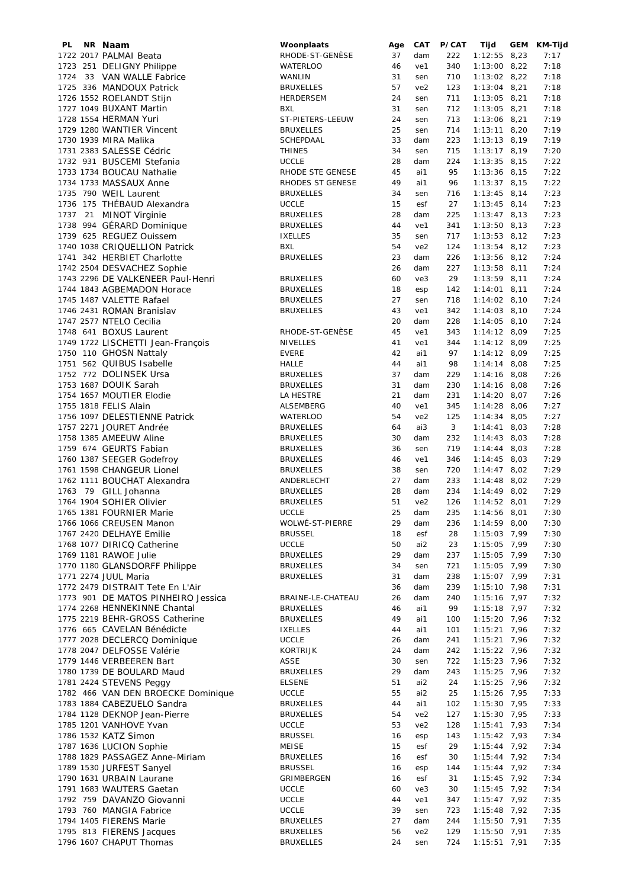| PL. | NR Naam                            | Woonplaats        | Age | CAT             | P/CAT | Tijd           | GEM | KM-Tijd |
|-----|------------------------------------|-------------------|-----|-----------------|-------|----------------|-----|---------|
|     | 1722 2017 PALMAI Beata             | RHODE-ST-GENÈSE   | 37  | dam             | 222   | $1:12:55$ 8,23 |     | 7:17    |
|     | 1723 251 DELIGNY Philippe          | <b>WATERLOO</b>   | 46  | ve1             | 340   | $1:13:00$ 8,22 |     | 7:18    |
|     | 1724 33 VAN WALLE Fabrice          | <b>WANLIN</b>     | 31  | sen             | 710   | $1:13:02$ 8,22 |     | 7:18    |
|     | 1725 336 MANDOUX Patrick           | <b>BRUXELLES</b>  | 57  | ve <sub>2</sub> | 123   | $1:13:04$ 8,21 |     | 7:18    |
|     | 1726 1552 ROELANDT Stijn           | HERDERSEM         | 24  | sen             | 711   | $1:13:05$ 8,21 |     | 7:18    |
|     | 1727 1049 BUXANT Martin            | <b>BXL</b>        | 31  |                 |       |                |     |         |
|     |                                    |                   |     | sen             | 712   | $1:13:05$ 8,21 |     | 7:18    |
|     | 1728 1554 HERMAN Yuri              | ST-PIETERS-LEEUW  | 24  | sen             | 713   | $1:13:06$ 8,21 |     | 7:19    |
|     | 1729 1280 WANTIER Vincent          | <b>BRUXELLES</b>  | 25  | sen             | 714   | $1:13:11$ 8,20 |     | 7:19    |
|     | 1730 1939 MIRA Malika              | SCHEPDAAL         | 33  | dam             | 223   | $1:13:13$ 8,19 |     | 7:19    |
|     | 1731 2383 SALESSE Cédric           | <b>THINES</b>     | 34  | sen             | 715   | $1:13:17$ 8,19 |     | 7:20    |
|     | 1732 931 BUSCEMI Stefania          | <b>UCCLE</b>      | 28  | dam             | 224   | $1:13:35$ 8,15 |     | 7:22    |
|     | 1733 1734 BOUCAU Nathalie          | RHODE STE GENESE  | 45  | ai1             | 95    | $1:13:36$ 8,15 |     | 7:22    |
|     | 1734 1733 MASSAUX Anne             | RHODES ST GENESE  | 49  | ai1             | 96    | $1:13:37$ 8,15 |     | 7:22    |
|     |                                    |                   |     |                 |       |                |     |         |
|     | 1735 790 WEIL Laurent              | <b>BRUXELLES</b>  | 34  | sen             | 716   | $1:13:45$ 8,14 |     | 7:23    |
|     | 1736 175 THÉBAUD Alexandra         | <b>UCCLE</b>      | 15  | esf             | 27    | $1:13:45$ 8,14 |     | 7:23    |
|     | 1737 21 MINOT Virginie             | <b>BRUXELLES</b>  | 28  | dam             | 225   | $1:13:47$ 8,13 |     | 7:23    |
|     | 1738 994 GÉRARD Dominique          | <b>BRUXELLES</b>  | 44  | ve1             | 341   | $1:13:50$ 8,13 |     | 7:23    |
|     | 1739 625 REGUEZ Ouissem            | <b>IXELLES</b>    | 35  | sen             | 717   | $1:13:53$ 8,12 |     | 7:23    |
|     | 1740 1038 CRIQUELLION Patrick      | <b>BXL</b>        | 54  | ve2             | 124   | $1:13:54$ 8,12 |     | 7:23    |
|     | 1741 342 HERBIET Charlotte         | <b>BRUXELLES</b>  | 23  | dam             | 226   | $1:13:56$ 8,12 |     | 7:24    |
|     |                                    |                   |     |                 |       |                |     |         |
|     | 1742 2504 DESVACHEZ Sophie         |                   | 26  | dam             | 227   | $1:13:58$ 8,11 |     | 7:24    |
|     | 1743 2296 DE VALKENEER Paul-Henri  | <b>BRUXELLES</b>  | 60  | ve3             | 29    | $1:13:59$ 8,11 |     | 7:24    |
|     | 1744 1843 AGBEMADON Horace         | <b>BRUXELLES</b>  | 18  | esp             | 142   | $1:14:01$ 8,11 |     | 7:24    |
|     | 1745 1487 VALETTE Rafael           | <b>BRUXELLES</b>  | 27  | sen             | 718   | $1:14:02$ 8,10 |     | 7:24    |
|     | 1746 2431 ROMAN Branislav          | <b>BRUXELLES</b>  | 43  | ve1             | 342   | $1:14:03$ 8,10 |     | 7:24    |
|     | 1747 2577 NTELO Cecilia            |                   | 20  | dam             | 228   | $1:14:05$ 8,10 |     | 7:24    |
|     |                                    |                   | 45  |                 |       |                |     |         |
|     | 1748 641 BOXUS Laurent             | RHODE-ST-GENESE   |     | ve1             | 343   | $1:14:12$ 8,09 |     | 7:25    |
|     | 1749 1722 LISCHETTI Jean-François  | <b>NIVELLES</b>   | 41  | ve1             | 344   | $1:14:12$ 8,09 |     | 7:25    |
|     | 1750 110 GHOSN Nattaly             | <b>EVERE</b>      | 42  | ai1             | 97    | $1:14:12$ 8,09 |     | 7:25    |
|     | 1751 562 QUIBUS Isabelle           | <b>HALLE</b>      | 44  | ai1             | 98    | $1:14:14$ 8,08 |     | 7:25    |
|     | 1752 772 DOLINSEK Ursa             | <b>BRUXELLES</b>  | 37  | dam             | 229   | $1:14:16$ 8,08 |     | 7:26    |
|     | 1753 1687 DOUIK Sarah              | <b>BRUXELLES</b>  | 31  | dam             | 230   | $1:14:16$ 8,08 |     | 7:26    |
|     | 1754 1657 MOUTIER Elodie           | LA HESTRE         | 21  | dam             | 231   | $1:14:20$ 8,07 |     | 7:26    |
|     | 1755 1818 FELIS Alain              |                   | 40  | ve1             | 345   | $1:14:28$ 8,06 |     | 7:27    |
|     |                                    | ALSEMBERG         |     |                 |       |                |     |         |
|     | 1756 1097 DELESTIENNE Patrick      | <b>WATERLOO</b>   | 54  | ve <sub>2</sub> | 125   | $1:14:34$ 8,05 |     | 7:27    |
|     | 1757 2271 JOURET Andrée            | <b>BRUXELLES</b>  | 64  | ai3             | 3     | $1:14:41$ 8,03 |     | 7:28    |
|     | 1758 1385 AMEEUW Aline             | <b>BRUXELLES</b>  | 30  | dam             | 232   | $1:14:43$ 8,03 |     | 7:28    |
|     | 1759 674 GEURTS Fabian             | <b>BRUXELLES</b>  | 36  | sen             | 719   | $1:14:44$ 8,03 |     | 7:28    |
|     | 1760 1387 SEEGER Godefroy          | <b>BRUXELLES</b>  | 46  | ve1             | 346   | $1:14:45$ 8,03 |     | 7:29    |
|     | 1761 1598 CHANGEUR Lionel          | <b>BRUXELLES</b>  | 38  | sen             | 720   | $1:14:47$ 8,02 |     | 7:29    |
|     | 1762 1111 BOUCHAT Alexandra        | ANDERLECHT        | 27  | dam             | 233   | $1:14:48$ 8,02 |     | 7:29    |
|     |                                    |                   |     |                 |       |                |     |         |
|     | 1763 79 GILL Johanna               | <b>BRUXELLES</b>  | 28  | dam             | 234   | $1:14:49$ 8,02 |     | 7:29    |
|     | 1764 1904 SOHIER Olivier           | <b>BRUXELLES</b>  | 51  | ve <sub>2</sub> | 126   | $1:14:52$ 8,01 |     | 7:29    |
|     | 1765 1381 FOURNIER Marie           | <b>UCCLE</b>      | 25  | dam             | 235   | $1:14:56$ 8,01 |     | 7:30    |
|     | 1766 1066 CREUSEN Manon            | WOLWÉ-ST-PIERRE   | 29  | dam             | 236   | $1:14:59$ 8,00 |     | 7:30    |
|     | 1767 2420 DELHAYE Emilie           | <b>BRUSSEL</b>    | 18  | esf             | 28    | $1:15:03$ 7,99 |     | 7:30    |
|     | 1768 1077 DIRICQ Catherine         | UCCLE             | 50  | ai2             | 23    | 1:15:05 7,99   |     | 7:30    |
|     | 1769 1181 RAWOE Julie              | <b>BRUXELLES</b>  | 29  | dam             | 237   | 1:15:05 7,99   |     | 7:30    |
|     | 1770 1180 GLANSDORFF Philippe      | <b>BRUXELLES</b>  | 34  | sen             | 721   | $1:15:05$ 7,99 |     | 7:30    |
|     | 1771 2274 JUUL Maria               |                   |     |                 |       |                |     |         |
|     |                                    | <b>BRUXELLES</b>  | 31  | dam             | 238   | $1:15:07$ 7,99 |     | 7:31    |
|     | 1772 2479 DISTRAIT Tete En L'Air   |                   | 36  | dam             | 239   | $1:15:10$ 7,98 |     | 7:31    |
|     | 1773 901 DE MATOS PINHEIRO Jessica | BRAINE-LE-CHATEAU | 26  | dam             | 240   | $1:15:16$ 7,97 |     | 7:32    |
|     | 1774 2268 HENNEKINNE Chantal       | <b>BRUXELLES</b>  | 46  | ai1             | 99    | $1:15:18$ 7,97 |     | 7:32    |
|     | 1775 2219 BEHR-GROSS Catherine     | <b>BRUXELLES</b>  | 49  | ai1             | 100   | 1:15:20 7,96   |     | 7:32    |
|     | 1776 665 CAVELAN Bénédicte         | <b>IXELLES</b>    | 44  | ai1             | 101   | 1:15:21 7,96   |     | 7:32    |
|     | 1777 2028 DECLERCQ Dominique       | <b>UCCLE</b>      | 26  | dam             | 241   | $1:15:21$ 7,96 |     | 7:32    |
|     | 1778 2047 DELFOSSE Valérie         | <b>KORTRIJK</b>   | 24  | dam             | 242   | $1:15:22$ 7,96 |     | 7:32    |
|     | 1779 1446 VERBEEREN Bart           | ASSE              | 30  | sen             | 722   | $1:15:23$ 7,96 |     | 7:32    |
|     |                                    |                   |     |                 |       |                |     |         |
|     | 1780 1739 DE BOULARD Maud          | <b>BRUXELLES</b>  | 29  | dam             | 243   | $1:15:25$ 7,96 |     | 7:32    |
|     | 1781 2424 STEVENS Peggy            | <b>ELSENE</b>     | 51  | ai2             | 24    | $1:15:25$ 7,96 |     | 7:32    |
|     | 1782 466 VAN DEN BROECKE Dominique | <b>UCCLE</b>      | 55  | ai2             | 25    | $1:15:26$ 7,95 |     | 7:33    |
|     | 1783 1884 CABEZUELO Sandra         | <b>BRUXELLES</b>  | 44  | ai1             | 102   | $1:15:30$ 7,95 |     | 7:33    |
|     | 1784 1128 DEKNOP Jean-Pierre       | <b>BRUXELLES</b>  | 54  | ve <sub>2</sub> | 127   | $1:15:30$ 7,95 |     | 7:33    |
|     | 1785 1201 VANHOVE Yvan             | <b>UCCLE</b>      | 53  | ve <sub>2</sub> | 128   | $1:15:41$ 7,93 |     | 7:34    |
|     | 1786 1532 KATZ Simon               | <b>BRUSSEL</b>    | 16  | esp             | 143   | $1:15:42$ 7,93 |     | 7:34    |
|     |                                    |                   |     |                 |       |                |     |         |
|     | 1787 1636 LUCION Sophie            | <b>MEISE</b>      | 15  | esf             | 29    | $1:15:44$ 7,92 |     | 7:34    |
|     | 1788 1829 PASSAGEZ Anne-Miriam     | <b>BRUXELLES</b>  | 16  | esf             | 30    | $1:15:44$ 7,92 |     | 7:34    |
|     | 1789 1530 JURFEST Sanyel           | <b>BRUSSEL</b>    | 16  | esp             | 144   | $1:15:44$ 7,92 |     | 7:34    |
|     | 1790 1631 URBAIN Laurane           | GRIMBERGEN        | 16  | esf             | 31    | $1:15:45$ 7,92 |     | 7:34    |
|     | 1791 1683 WAUTERS Gaetan           | <b>UCCLE</b>      | 60  | ve3             | 30    | $1:15:45$ 7,92 |     | 7:34    |
|     | 1792 759 DAVANZO Giovanni          | <b>UCCLE</b>      | 44  | ve1             | 347   | $1:15:47$ 7,92 |     | 7:35    |
|     | 1793 760 MANGIA Fabrice            | <b>UCCLE</b>      | 39  | sen             | 723   | $1:15:48$ 7,92 |     | 7:35    |
|     | 1794 1405 FIERENS Marie            | <b>BRUXELLES</b>  | 27  | dam             | 244   | $1:15:50$ 7,91 |     | 7:35    |
|     |                                    |                   |     |                 |       |                |     |         |
|     | 1795 813 FIERENS Jacques           | <b>BRUXELLES</b>  | 56  | ve2             | 129   | $1:15:50$ 7,91 |     | 7:35    |
|     | 1796 1607 CHAPUT Thomas            | <b>BRUXELLES</b>  | 24  | sen             | 724   | 1:15:51 7,91   |     | 7:35    |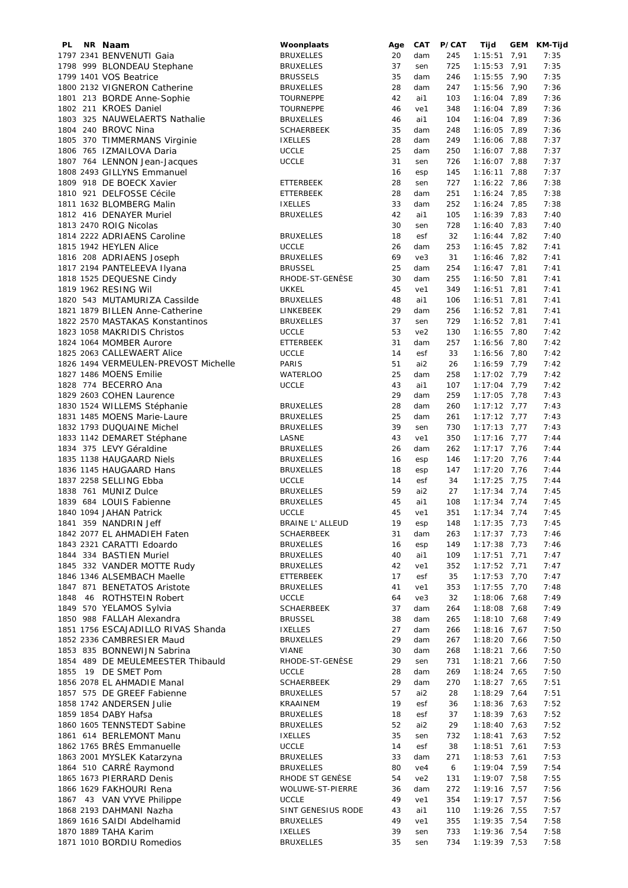| PL | NR Naam                              | Woonplaats              | Age | CAT             | P/CAT | Tijd           | GEM | KM-Tijd |
|----|--------------------------------------|-------------------------|-----|-----------------|-------|----------------|-----|---------|
|    | 1797 2341 BENVENUTI Gaia             | <b>BRUXELLES</b>        | 20  | dam             | 245   | $1:15:51$ 7,91 |     | 7:35    |
|    | 1798 999 BLONDEAU Stephane           | <b>BRUXELLES</b>        | 37  | sen             | 725   | $1:15:53$ 7,91 |     | 7:35    |
|    | 1799 1401 VOS Beatrice               | <b>BRUSSELS</b>         | 35  | dam             | 246   | $1:15:55$ 7,90 |     | 7:35    |
|    |                                      |                         |     |                 |       |                |     |         |
|    | 1800 2132 VIGNERON Catherine         | <b>BRUXELLES</b>        | 28  | dam             | 247   | $1:15:56$ 7,90 |     | 7:36    |
|    | 1801 213 BORDE Anne-Sophie           | <b>TOURNEPPE</b>        | 42  | ai1             | 103   | $1:16:04$ 7,89 |     | 7:36    |
|    | 1802 211 KROES Daniel                | <b>TOURNEPPE</b>        | 46  | ve1             | 348   | 1:16:04 7,89   |     | 7:36    |
|    | 1803 325 NAUWELAERTS Nathalie        | <b>BRUXELLES</b>        | 46  | ai1             | 104   | $1:16:04$ 7,89 |     | 7:36    |
|    |                                      |                         |     |                 |       |                |     |         |
|    | 1804 240 BROVC Nina                  | <b>SCHAERBEEK</b>       | 35  | dam             | 248   | 1:16:05 7,89   |     | 7:36    |
|    | 1805 370 TIMMERMANS Virginie         | <b>IXELLES</b>          | 28  | dam             | 249   | 1:16:06 7,88   |     | 7:37    |
|    | 1806 765 IZMAILOVA Daria             | <b>UCCLE</b>            | 25  | dam             | 250   | $1:16:07$ 7,88 |     | 7:37    |
|    | 1807 764 LENNON Jean-Jacques         | <b>UCCLE</b>            | 31  | sen             | 726   | $1:16:07$ 7,88 |     | 7:37    |
|    |                                      |                         |     |                 |       |                |     |         |
|    | 1808 2493 GILLYNS Emmanuel           |                         | 16  | esp             | 145   | $1:16:11$ 7,88 |     | 7:37    |
|    | 1809 918 DE BOECK Xavier             | ETTERBEEK               | 28  | sen             | 727   | $1:16:22$ 7,86 |     | 7:38    |
|    | 1810 921 DELFOSSE Cécile             | <b>ETTERBEEK</b>        | 28  | dam             | 251   | $1:16:24$ 7,85 |     | 7:38    |
|    | 1811 1632 BLOMBERG Malin             | <b>IXELLES</b>          | 33  | dam             | 252   | $1:16:24$ 7,85 |     | 7:38    |
|    |                                      |                         |     |                 |       |                |     |         |
|    | 1812 416 DENAYER Muriel              | <b>BRUXELLES</b>        | 42  | ai1             | 105   | $1:16:39$ 7,83 |     | 7:40    |
|    | 1813 2470 ROIG Nicolas               |                         | 30  | sen             | 728   | $1:16:40$ 7,83 |     | 7:40    |
|    | 1814 2222 ADRIAENS Caroline          | <b>BRUXELLES</b>        | 18  | esf             | 32    | $1:16:44$ 7,82 |     | 7:40    |
|    | 1815 1942 HEYLEN Alice               | <b>UCCLE</b>            | 26  | dam             | 253   | $1:16:45$ 7,82 |     | 7:41    |
|    |                                      |                         | 69  |                 |       |                |     |         |
|    | 1816 208 ADRIAENS Joseph             | <b>BRUXELLES</b>        |     | ve3             | 31    | $1:16:46$ 7,82 |     | 7:41    |
|    | 1817 2194 PANTELEEVA Ilyana          | <b>BRUSSEL</b>          | 25  | dam             | 254   | $1:16:47$ 7,81 |     | 7:41    |
|    | 1818 1525 DEQUESNE Cindy             | RHODE-ST-GENÈSE         | 30  | dam             | 255   | $1:16:50$ 7,81 |     | 7:41    |
|    | 1819 1962 RESING Wil                 | <b>UKKEL</b>            | 45  | ve1             | 349   | $1:16:51$ 7,81 |     | 7:41    |
|    |                                      |                         | 48  |                 |       |                |     |         |
|    | 1820 543 MUTAMURIZA Cassilde         | <b>BRUXELLES</b>        |     | ai1             | 106   | $1:16:51$ 7,81 |     | 7:41    |
|    | 1821 1879 BILLEN Anne-Catherine      | LINKEBEEK               | 29  | dam             | 256   | $1:16:52$ 7,81 |     | 7:41    |
|    | 1822 2570 MASTAKAS Konstantinos      | <b>BRUXELLES</b>        | 37  | sen             | 729   | $1:16:52$ 7,81 |     | 7:41    |
|    | 1823 1058 MAKRIDIS Christos          | <b>UCCLE</b>            | 53  | ve <sub>2</sub> | 130   | $1:16:55$ 7,80 |     | 7:42    |
|    |                                      |                         |     |                 |       |                |     |         |
|    | 1824 1064 MOMBER Aurore              | <b>ETTERBEEK</b>        | 31  | dam             | 257   | $1:16:56$ 7,80 |     | 7:42    |
|    | 1825 2063 CALLEWAERT Alice           | <b>UCCLE</b>            | 14  | esf             | 33    | $1:16:56$ 7,80 |     | 7:42    |
|    | 1826 1494 VERMEULEN-PREVOST Michelle | PARIS                   | 51  | ai2             | 26    | 1:16:59 7,79   |     | 7:42    |
|    | 1827 1486 MOENS Emilie               | <b>WATERLOO</b>         | 25  | dam             | 258   | $1:17:02$ 7,79 |     | 7:42    |
|    |                                      |                         |     |                 |       |                |     |         |
|    | 1828 774 BECERRO Ana                 | <b>UCCLE</b>            | 43  | ai1             | 107   | $1:17:04$ 7,79 |     | 7:42    |
|    | 1829 2603 COHEN Laurence             |                         | 29  | dam             | 259   | $1:17:05$ 7,78 |     | 7:43    |
|    | 1830 1524 WILLEMS Stéphanie          | <b>BRUXELLES</b>        | 28  | dam             | 260   | $1:17:12$ 7,77 |     | 7:43    |
|    | 1831 1485 MOENS Marie-Laure          | <b>BRUXELLES</b>        | 25  | dam             | 261   | $1:17:12$ 7,77 |     | 7:43    |
|    |                                      |                         |     |                 |       |                |     |         |
|    | 1832 1793 DUQUAINE Michel            | <b>BRUXELLES</b>        | 39  | sen             | 730   | $1:17:13$ 7,77 |     | 7:43    |
|    | 1833 1142 DEMARET Stéphane           | LASNE                   | 43  | ve1             | 350   | $1:17:16$ 7,77 |     | 7:44    |
|    | 1834 375 LEVY Géraldine              | <b>BRUXELLES</b>        | 26  | dam             | 262   | $1:17:17$ 7,76 |     | 7:44    |
|    | 1835 1138 HAUGAARD Niels             | <b>BRUXELLES</b>        | 16  | esp             | 146   | $1:17:20$ 7,76 |     | 7:44    |
|    |                                      |                         |     |                 |       |                |     |         |
|    | 1836 1145 HAUGAARD Hans              | <b>BRUXELLES</b>        | 18  | esp             | 147   | $1:17:20$ 7,76 |     | 7:44    |
|    | 1837 2258 SELLING Ebba               | <b>UCCLE</b>            | 14  | esf             | 34    | $1:17:25$ 7,75 |     | 7:44    |
|    | 1838 761 MUNIZ Dulce                 | <b>BRUXELLES</b>        | 59  | ai2             | 27    | $1:17:34$ 7,74 |     | 7:45    |
|    | 1839 684 LOUIS Fabienne              | <b>BRUXELLES</b>        | 45  | ai1             | 108   | $1:17:34$ 7,74 |     | 7:45    |
|    | 1840 1094 JAHAN Patrick              | <b>UCCLE</b>            | 45  | ve1             | 351   | $1:17:34$ 7,74 |     | 7:45    |
|    |                                      |                         |     |                 |       |                |     |         |
|    | 1841 359 NANDRIN Jeff                | <b>BRAINE L' ALLEUD</b> | 19  | esp             | 148   | $1:17:35$ 7,73 |     | 7:45    |
|    | 1842 2077 EL AHMADIEH Faten          | <b>SCHAERBEEK</b>       | 31  | dam             | 263   | $1:17:37$ 7,73 |     | 7:46    |
|    | 1843 2321 CARATTI Edoardo            | <b>BRUXELLES</b>        | 16  | esp             | 149   | $1:17:38$ 7,73 |     | 7:46    |
|    | 1844 334 BASTIEN Muriel              | <b>BRUXELLES</b>        | 40  | ai1             | 109   | $1:17:51$ 7,71 |     | 7:47    |
|    |                                      |                         |     |                 |       |                |     |         |
|    | 1845 332 VANDER MOTTE Rudy           | <b>BRUXELLES</b>        | 42  | ve1             | 352   | $1:17:52$ 7,71 |     | 7:47    |
|    | 1846 1346 ALSEMBACH Maelle           | ETTERBEEK               | 17  | esf             | 35    | $1:17:53$ 7,70 |     | 7:47    |
|    | 1847 871 BENETATOS Aristote          | <b>BRUXELLES</b>        | 41  | ve1             | 353   | $1:17:55$ 7,70 |     | 7:48    |
|    | 1848 46 ROTHSTEIN Robert             | <b>UCCLE</b>            | 64  | ve3             | 32    | $1:18:06$ 7,68 |     | 7:49    |
|    | 1849 570 YELAMOS Sylvia              | <b>SCHAERBEEK</b>       | 37  | dam             | 264   | $1:18:08$ 7,68 |     | 7:49    |
|    |                                      |                         |     |                 |       |                |     |         |
|    | 1850 988 FALLAH Alexandra            | <b>BRUSSEL</b>          | 38  | dam             | 265   | $1:18:10$ 7,68 |     | 7:49    |
|    | 1851 1756 ESCAJADILLO RIVAS Shanda   | <b>IXELLES</b>          | 27  | dam             | 266   | $1:18:16$ 7,67 |     | 7:50    |
|    | 1852 2336 CAMBRESIER Maud            | <b>BRUXELLES</b>        | 29  | dam             | 267   | $1:18:20$ 7,66 |     | 7:50    |
|    | 1853 835 BONNEWIJN Sabrina           | <b>VIANE</b>            | 30  | dam             | 268   | 1:18:21 7,66   |     | 7:50    |
|    |                                      |                         |     |                 |       |                |     |         |
|    | 1854 489 DE MEULEMEESTER Thibauld    | RHODE-ST-GENÈSE         | 29  | sen             | 731   | 1:18:21 7,66   |     | 7:50    |
|    | 1855 19 DE SMET Pom                  | <b>UCCLE</b>            | 28  | dam             | 269   | $1:18:24$ 7,65 |     | 7:50    |
|    | 1856 2078 EL AHMADIE Manal           | SCHAERBEEK              | 29  | dam             | 270   | $1:18:27$ 7,65 |     | 7:51    |
|    | 1857 575 DE GREEF Fabienne           | <b>BRUXELLES</b>        | 57  | ai2             | 28    | $1:18:29$ 7,64 |     | 7:51    |
|    |                                      |                         |     |                 |       |                |     |         |
|    | 1858 1742 ANDERSEN Julie             | KRAAINEM                | 19  | esf             | 36    | $1:18:36$ 7,63 |     | 7:52    |
|    | 1859 1854 DABY Hafsa                 | <b>BRUXELLES</b>        | 18  | esf             | 37    | $1:18:39$ 7,63 |     | 7:52    |
|    | 1860 1605 TENNSTEDT Sabine           | <b>BRUXELLES</b>        | 52  | ai2             | 29    | $1:18:40$ 7,63 |     | 7:52    |
|    | 1861 614 BERLEMONT Manu              | <b>IXELLES</b>          | 35  | sen             | 732   | $1:18:41$ 7,63 |     | 7:52    |
|    | 1862 1765 BRÈS Emmanuelle            |                         |     |                 |       |                |     |         |
|    |                                      | <b>UCCLE</b>            | 14  | esf             | 38    | $1:18:51$ 7,61 |     | 7:53    |
|    | 1863 2001 MYSLEK Katarzyna           | <b>BRUXELLES</b>        | 33  | dam             | 271   | $1:18:53$ 7,61 |     | 7:53    |
|    | 1864 510 CARRÉ Raymond               | <b>BRUXELLES</b>        | 80  | ve4             | 6     | 1:19:04 7,59   |     | 7:54    |
|    | 1865 1673 PIERRARD Denis             | RHODE ST GENÈSE         | 54  | ve2             | 131   | $1:19:07$ 7,58 |     | 7:55    |
|    | 1866 1629 FAKHOURI Rena              | WOLUWE-ST-PIERRE        | 36  | dam             | 272   | $1:19:16$ 7,57 |     | 7:56    |
|    |                                      |                         |     |                 |       |                |     |         |
|    | 1867 43 VAN VYVE Philippe            | <b>UCCLE</b>            | 49  | ve1             | 354   | $1:19:17$ 7,57 |     | 7:56    |
|    | 1868 2193 DAHMANI Nazha              | SINT GENESIUS RODE      | 43  | ai1             | 110   | $1:19:26$ 7,55 |     | 7:57    |
|    | 1869 1616 SAIDI Abdelhamid           | <b>BRUXELLES</b>        | 49  | ve1             | 355   | $1:19:35$ 7,54 |     | 7:58    |
|    | 1870 1889 TAHA Karim                 | <b>IXELLES</b>          | 39  | sen             | 733   | 1:19:36 7,54   |     | 7:58    |
|    |                                      |                         |     |                 |       |                |     |         |
|    | 1871 1010 BORDIU Romedios            | <b>BRUXELLES</b>        | 35  | sen             | 734   | 1:19:39 7,53   |     | 7:58    |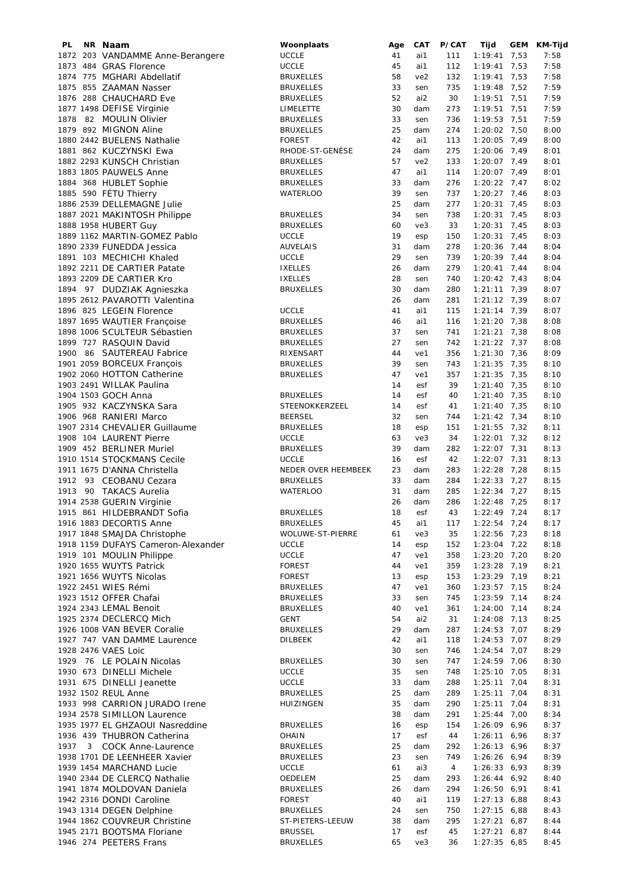| PL.  | NR Naam                            | Woonplaats          | Age | <b>CAT</b> | P/CAT | Tijd           | GEM | KM-Tijd |
|------|------------------------------------|---------------------|-----|------------|-------|----------------|-----|---------|
|      | 1872 203 VANDAMME Anne-Berangere   | <b>UCCLE</b>        | 41  | ai1        | 111   | $1:19:41$ 7,53 |     | 7:58    |
|      | 1873 484 GRAS Florence             | <b>UCCLE</b>        | 45  | ai1        | 112   | $1:19:41$ 7,53 |     | 7:58    |
|      | 1874 775 MGHARI Abdellatif         | <b>BRUXELLES</b>    | 58  | ve2        | 132   | $1:19:41$ 7,53 |     | 7:58    |
|      | 1875 855 ZAAMAN Nasser             | <b>BRUXELLES</b>    | 33  | sen        | 735   | $1:19:48$ 7,52 |     | 7:59    |
|      |                                    |                     | 52  | ai2        |       |                |     |         |
|      | 1876 288 CHAUCHARD Eve             | <b>BRUXELLES</b>    |     |            | 30    | $1:19:51$ 7,51 |     | 7:59    |
|      | 1877 1498 DEFISE Virginie          | LIMELETTE           | 30  | dam        | 273   | $1:19:51$ 7,51 |     | 7:59    |
|      | 1878 82 MOULIN Olivier             | <b>BRUXELLES</b>    | 33  | sen        | 736   | 1:19:53 7,51   |     | 7:59    |
|      | 1879 892 MIGNON Aline              | <b>BRUXELLES</b>    | 25  | dam        | 274   | 1:20:02 7,50   |     | 8:00    |
|      | 1880 2442 BUELENS Nathalie         | <b>FOREST</b>       | 42  | ai1        | 113   | $1:20:05$ 7,49 |     | 8:00    |
|      | 1881 862 KUCZYNSKI Ewa             | RHODE-ST-GENÈSE     | 24  | dam        | 275   | 1:20:06 7,49   |     | 8:01    |
|      | 1882 2293 KUNSCH Christian         | <b>BRUXELLES</b>    | 57  | ve2        | 133   | $1:20:07$ 7,49 |     | 8:01    |
|      | 1883 1805 PAUWELS Anne             |                     | 47  | ai1        | 114   |                |     |         |
|      |                                    | <b>BRUXELLES</b>    |     |            |       | $1:20:07$ 7,49 |     | 8:01    |
|      | 1884 368 HUBLET Sophie             | <b>BRUXELLES</b>    | 33  | dam        | 276   | $1:20:22$ 7,47 |     | 8:02    |
|      | 1885 590 FÉTU Thierry              | <b>WATERLOO</b>     | 39  | sen        | 737   | $1:20:27$ 7,46 |     | 8:03    |
|      | 1886 2539 DELLEMAGNE Julie         |                     | 25  | dam        | 277   | $1:20:31$ 7,45 |     | 8:03    |
|      | 1887 2021 MAKINTOSH Philippe       | <b>BRUXELLES</b>    | 34  | sen        | 738   | $1:20:31$ 7,45 |     | 8:03    |
|      | 1888 1958 HUBERT Guy               | <b>BRUXELLES</b>    | 60  | ve3        | 33    | $1:20:31$ 7,45 |     | 8:03    |
|      | 1889 1162 MARTIN-GOMEZ Pablo       | <b>UCCLE</b>        | 19  | esp        | 150   | $1:20:31$ 7,45 |     | 8:03    |
|      |                                    |                     |     |            |       |                |     |         |
|      | 1890 2339 FUNEDDA Jessica          | <b>AUVELAIS</b>     | 31  | dam        | 278   | $1:20:36$ 7,44 |     | 8:04    |
|      | 1891 103 MECHICHI Khaled           | <b>UCCLE</b>        | 29  | sen        | 739   | $1:20:39$ 7,44 |     | 8:04    |
|      | 1892 2211 DE CARTIER Patate        | <b>IXELLES</b>      | 26  | dam        | 279   | $1:20:41$ 7,44 |     | 8:04    |
|      | 1893 2209 DE CARTIER Kro           | <b>IXELLES</b>      | 28  | sen        | 740   | $1:20:42$ 7,43 |     | 8:04    |
|      | 1894 97 DUDZIAK Agnieszka          | <b>BRUXELLES</b>    | 30  | dam        | 280   | $1:21:11$ 7,39 |     | 8:07    |
|      | 1895 2612 PAVAROTTI Valentina      |                     | 26  | dam        | 281   | $1:21:12$ 7,39 |     | 8:07    |
|      |                                    |                     |     |            |       |                |     |         |
|      | 1896 825 LEGEIN Florence           | <b>UCCLE</b>        | 41  | ai1        | 115   | $1:21:14$ 7,39 |     | 8:07    |
|      | 1897 1695 WAUTIER Françoise        | <b>BRUXELLES</b>    | 46  | ai1        | 116   | $1:21:20$ 7,38 |     | 8:08    |
|      | 1898 1006 SCULTEUR Sébastien       | <b>BRUXELLES</b>    | 37  | sen        | 741   | $1:21:21$ 7,38 |     | 8:08    |
|      | 1899 727 RASQUIN David             | <b>BRUXELLES</b>    | 27  | sen        | 742   | $1:21:22$ 7,37 |     | 8:08    |
|      | 1900 86 SAUTEREAU Fabrice          | RIXENSART           | 44  | ve1        | 356   | $1:21:30$ 7,36 |     | 8:09    |
|      | 1901 2059 BORCEUX Francois         | <b>BRUXELLES</b>    | 39  | sen        | 743   | $1:21:35$ 7,35 |     | 8:10    |
|      |                                    |                     |     |            |       |                |     |         |
|      | 1902 2060 HOTTON Catherine         | <b>BRUXELLES</b>    | 47  | ve1        | 357   | $1:21:35$ 7,35 |     | 8:10    |
|      | 1903 2491 WILLAK Paulina           |                     | 14  | esf        | 39    | $1:21:40$ 7,35 |     | 8:10    |
|      | 1904 1503 GOCH Anna                | <b>BRUXELLES</b>    | 14  | esf        | 40    | $1:21:40$ 7,35 |     | 8:10    |
|      | 1905 932 KACZYNSKA Sara            | STEENOKKERZEEL      | 14  | esf        | 41    | $1:21:40$ 7,35 |     | 8:10    |
|      | 1906 968 RANIERI Marco             | <b>BEERSEL</b>      | 32  | sen        | 744   | $1:21:42$ 7,34 |     | 8:10    |
|      | 1907 2314 CHEVALIER Guillaume      | <b>BRUXELLES</b>    | 18  | esp        | 151   | $1:21:55$ 7,32 |     | 8:11    |
|      | 1908 104 LAURENT Pierre            | <b>UCCLE</b>        | 63  | ve3        | 34    | $1:22:01$ 7,32 |     |         |
|      |                                    |                     |     |            |       |                |     | 8:12    |
|      | 1909 452 BERLINER Muriel           | <b>BRUXELLES</b>    | 39  | dam        | 282   | $1:22:07$ 7,31 |     | 8:13    |
|      | 1910 1514 STOCKMANS Cecile         | <b>UCCLE</b>        | 16  | esf        | 42    | $1:22:07$ 7,31 |     | 8:13    |
|      | 1911 1675 D'ANNA Christella        | NEDER OVER HEEMBEEK | 23  | dam        | 283   | $1:22:28$ 7,28 |     | 8:15    |
|      | 1912 93 CEOBANU Cezara             | <b>BRUXELLES</b>    | 33  | dam        | 284   | $1:22:33$ 7,27 |     | 8:15    |
|      | 1913 90 TAKACS Aurelia             | <b>WATERLOO</b>     | 31  | dam        | 285   | $1:22:34$ 7,27 |     | 8:15    |
|      | 1914 2538 GUERIN Virginie          |                     | 26  | dam        | 286   | $1:22:48$ 7,25 |     | 8:17    |
|      |                                    |                     |     |            |       | $1:22:49$ 7.24 |     |         |
|      | 1915 861 HILDEBRANDT Sofia         | <b>BRUXELLES</b>    | 18  | esf        | 43    |                |     | 8:17    |
|      | 1916 1883 DECORTIS Anne            | <b>BRUXELLES</b>    | 45  | ai1        | 117   | $1:22:54$ 7,24 |     | 8:17    |
|      | 1917 1848 SMAJDA Christophe        | WOLUWE-ST-PIERRE    | 61  | ve3        | 35    | $1:22:56$ 7,23 |     | 8:18    |
|      | 1918 1159 DUFAYS Cameron-Alexander | <b>UCCLE</b>        | 14  | esp        | 152   | $1:23:04$ 7,22 |     | 8:18    |
|      | 1919 101 MOULIN Philippe           | <b>UCCLE</b>        | 47  | ve1        | 358   | $1:23:20$ 7,20 |     | 8:20    |
|      | 1920 1655 WUYTS Patrick            | <b>FOREST</b>       | 44  | ve1        | 359   | $1:23:28$ 7,19 |     | 8:21    |
|      | 1921 1656 WUYTS Nicolas            | <b>FOREST</b>       | 13  | esp        | 153   | $1:23:29$ 7,19 |     | 8:21    |
|      |                                    |                     |     |            |       |                |     |         |
|      | 1922 2451 WIES Rémi                | <b>BRUXELLES</b>    | 47  | ve1        | 360   | $1:23:57$ 7,15 |     | 8:24    |
|      | 1923 1512 OFFER Chafai             | <b>BRUXELLES</b>    | 33  | sen        | 745   | $1:23:59$ 7,14 |     | 8:24    |
|      | 1924 2343 LEMAL Benoit             | <b>BRUXELLES</b>    | 40  | ve1        | 361   | $1:24:00$ 7,14 |     | 8:24    |
|      | 1925 2374 DECLERCQ Mich            | <b>GENT</b>         | 54  | ai2        | 31    | $1:24:08$ 7,13 |     | 8:25    |
|      | 1926 1008 VAN BEVER Coralie        | <b>BRUXELLES</b>    | 29  | dam        | 287   | $1:24:53$ 7,07 |     | 8:29    |
|      | 1927 747 VAN DAMME Laurence        | <b>DILBEEK</b>      | 42  | ai1        | 118   | $1:24:53$ 7,07 |     | 8:29    |
|      | 1928 2476 VAES Loic                |                     | 30  | sen        | 746   | $1:24:54$ 7,07 |     | 8:29    |
|      |                                    |                     |     |            |       |                |     |         |
|      | 1929 76 LE POLAIN Nicolas          | <b>BRUXELLES</b>    | 30  | sen        | 747   | 1:24:59 7,06   |     | 8:30    |
|      | 1930 673 DINELLI Michele           | <b>UCCLE</b>        | 35  | sen        | 748   | $1:25:10$ 7,05 |     | 8:31    |
|      | 1931 675 DINELLI Jeanette          | <b>UCCLE</b>        | 33  | dam        | 288   | $1:25:11$ 7,04 |     | 8:31    |
|      | 1932 1502 REUL Anne                | <b>BRUXELLES</b>    | 25  | dam        | 289   | $1:25:11$ 7,04 |     | 8:31    |
|      | 1933 998 CARRION JURADO Irene      | HUIZINGEN           | 35  | dam        | 290   | $1:25:11$ 7,04 |     | 8:31    |
|      | 1934 2578 SIMILLON Laurence        |                     | 38  | dam        | 291   | $1:25:44$ 7,00 |     | 8:34    |
|      | 1935 1977 EL GHZAOUI Nasreddine    | <b>BRUXELLES</b>    | 16  | esp        | 154   | 1:26:09 6,96   |     | 8:37    |
|      |                                    |                     |     |            |       |                |     |         |
|      | 1936 439 THUBRON Catherina         | OHAIN               | 17  | esf        | 44    | $1:26:11$ 6,96 |     | 8:37    |
| 1937 | 3 COCK Anne-Laurence               | <b>BRUXELLES</b>    | 25  | dam        | 292   | $1:26:13$ 6,96 |     | 8:37    |
|      | 1938 1701 DE LEENHEER Xavier       | <b>BRUXELLES</b>    | 23  | sen        | 749   | 1:26:26 6,94   |     | 8:39    |
|      | 1939 1454 MARCHAND Lucie           | <b>UCCLE</b>        | 61  | ai3        | 4     | 1:26:336,93    |     | 8:39    |
|      | 1940 2344 DE CLERCQ Nathalie       | OEDELEM             | 25  | dam        | 293   | $1:26:44$ 6,92 |     | 8:40    |
|      | 1941 1874 MOLDOVAN Daniela         | <b>BRUXELLES</b>    | 26  | dam        | 294   | 1:26:50 6,91   |     | 8:41    |
|      | 1942 2316 DONDI Caroline           | <b>FOREST</b>       | 40  | ai1        | 119   | $1:27:13$ 6,88 |     | 8:43    |
|      |                                    |                     |     |            |       |                |     |         |
|      | 1943 1314 DEGEN Delphine           | <b>BRUXELLES</b>    | 24  | sen        | 750   | $1:27:15$ 6,88 |     | 8:43    |
|      | 1944 1862 COUVREUR Christine       | ST-PIETERS-LEEUW    | 38  | dam        | 295   | $1:27:21$ 6,87 |     | 8:44    |
|      | 1945 2171 BOOTSMA Floriane         | <b>BRUSSEL</b>      | 17  | esf        | 45    | $1:27:21$ 6,87 |     | 8:44    |
|      | 1946 274 PEETERS Frans             | <b>BRUXELLES</b>    | 65  | ve3        | 36    | $1:27:35$ 6,85 |     | 8:45    |